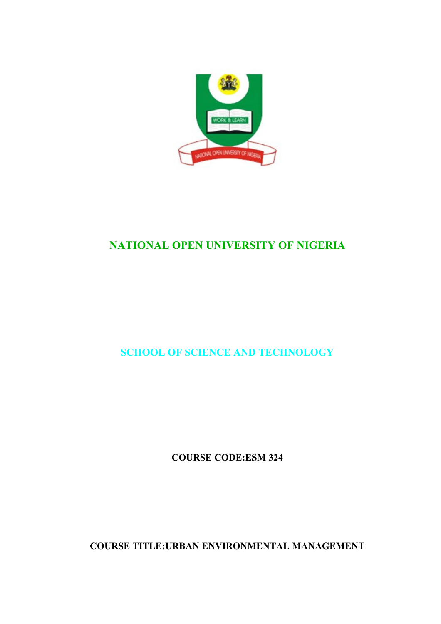

# **NATIONAL OPEN UNIVERSITY OF NIGERIA**

# **SCHOOL OF SCIENCE AND TECHNOLOGY**

**COURSE CODE:ESM 324**

**COURSE TITLE:URBAN ENVIRONMENTAL MANAGEMENT**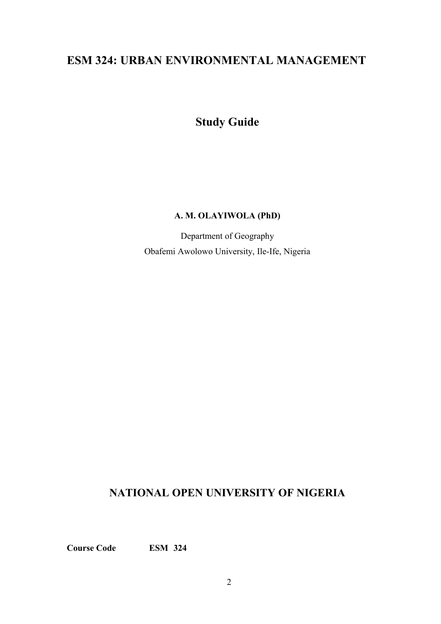# **ESM 324: URBAN ENVIRONMENTAL MANAGEMENT**

**Study Guide**

# **A. M. OLAYIWOLA (PhD)**

Department of Geography Obafemi Awolowo University, Ile-Ife, Nigeria

# **NATIONAL OPEN UNIVERSITY OF NIGERIA**

**Course Code ESM 324**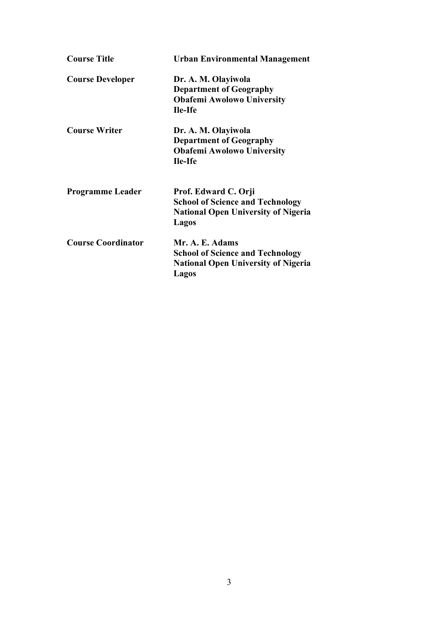| <b>Course Title</b>       | <b>Urban Environmental Management</b>                                                                                  |
|---------------------------|------------------------------------------------------------------------------------------------------------------------|
| <b>Course Developer</b>   | Dr. A. M. Olayiwola<br><b>Department of Geography</b><br><b>Obafemi Awolowo University</b><br>Ile-Ife                  |
| <b>Course Writer</b>      | Dr. A. M. Olayiwola<br><b>Department of Geography</b><br><b>Obafemi Awolowo University</b><br>Ile-Ife                  |
| <b>Programme Leader</b>   | Prof. Edward C. Orji<br><b>School of Science and Technology</b><br><b>National Open University of Nigeria</b><br>Lagos |
| <b>Course Coordinator</b> | Mr. A. E. Adams<br><b>School of Science and Technology</b><br><b>National Open University of Nigeria</b><br>Lagos      |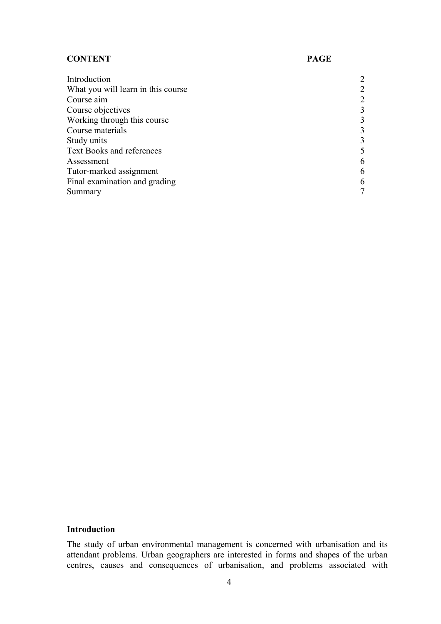# **CONTENT PAGE**

| Introduction                       | $\overline{2}$ |
|------------------------------------|----------------|
| What you will learn in this course | 2              |
| Course aim                         | 2              |
| Course objectives                  | 3              |
| Working through this course        | 3              |
| Course materials                   |                |
| Study units                        |                |
| Text Books and references          |                |
| Assessment                         | 6              |
| Tutor-marked assignment            | 6              |
| Final examination and grading      | 6              |
| Summary                            |                |

#### **Introduction**

The study of urban environmental management is concerned with urbanisation and its attendant problems. Urban geographers are interested in forms and shapes of the urban centres, causes and consequences of urbanisation, and problems associated with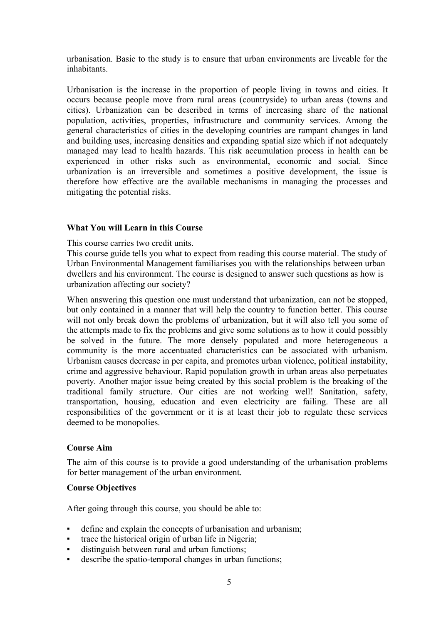urbanisation. Basic to the study is to ensure that urban environments are liveable for the inhabitants.

Urbanisation is the increase in the proportion of people living in towns and cities. It occurs because people move from rural areas (countryside) to urban areas (towns and cities). Urbanization can be described in terms of increasing share of the national population, activities, properties, infrastructure and community services. Among the general characteristics of cities in the developing countries are rampant changes in land and building uses, increasing densities and expanding spatial size which if not adequately managed may lead to health hazards. This risk accumulation process in health can be experienced in other risks such as environmental, economic and social. Since urbanization is an irreversible and sometimes a positive development, the issue is therefore how effective are the available mechanisms in managing the processes and mitigating the potential risks.

# **What You will Learn in this Course**

This course carries two credit units.

This course guide tells you what to expect from reading this course material. The study of Urban Environmental Management familiarises you with the relationships between urban dwellers and his environment. The course is designed to answer such questions as how is urbanization affecting our society?

When answering this question one must understand that urbanization, can not be stopped, but only contained in a manner that will help the country to function better. This course will not only break down the problems of urbanization, but it will also tell you some of the attempts made to fix the problems and give some solutions as to how it could possibly be solved in the future. The more densely populated and more heterogeneous a community is the more accentuated characteristics can be associated with urbanism. Urbanism causes decrease in per capita, and promotes urban violence, political instability, crime and aggressive behaviour. Rapid population growth in urban areas also perpetuates poverty. Another major issue being created by this social problem is the breaking of the traditional family structure. Our cities are not working well! Sanitation, safety, transportation, housing, education and even electricity are failing. These are all responsibilities of the government or it is at least their job to regulate these services deemed to be monopolies.

#### **Course Aim**

The aim of this course is to provide a good understanding of the urbanisation problems for better management of the urban environment.

#### **Course Objectives**

After going through this course, you should be able to:

- define and explain the concepts of urbanisation and urbanism;
- trace the historical origin of urban life in Nigeria;
- distinguish between rural and urban functions;
- describe the spatio-temporal changes in urban functions;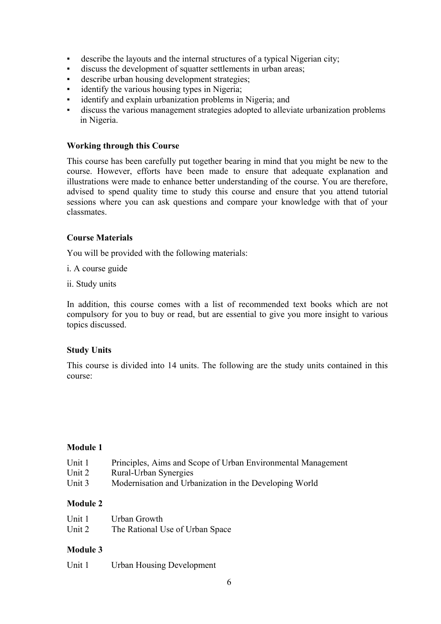- describe the layouts and the internal structures of a typical Nigerian city;
- discuss the development of squatter settlements in urban areas;
- describe urban housing development strategies;
- identify the various housing types in Nigeria;
- identify and explain urbanization problems in Nigeria; and
- discuss the various management strategies adopted to alleviate urbanization problems in Nigeria.

#### **Working through this Course**

This course has been carefully put together bearing in mind that you might be new to the course. However, efforts have been made to ensure that adequate explanation and illustrations were made to enhance better understanding of the course. You are therefore, advised to spend quality time to study this course and ensure that you attend tutorial sessions where you can ask questions and compare your knowledge with that of your classmates.

#### **Course Materials**

You will be provided with the following materials:

- i. A course guide
- ii. Study units

In addition, this course comes with a list of recommended text books which are not compulsory for you to buy or read, but are essential to give you more insight to various topics discussed.

#### **Study Units**

This course is divided into 14 units. The following are the study units contained in this course:

#### **Module 1**

- Unit 1 Principles, Aims and Scope of Urban Environmental Management
- Unit 2 Rural-Urban Synergies
- Unit 3 Modernisation and Urbanization in the Developing World

#### **Module 2**

| Unit 1 | Urban Growth                    |
|--------|---------------------------------|
| Unit 2 | The Rational Use of Urban Space |

# **Module 3**

| Unit 1 | <b>Urban Housing Development</b> |  |
|--------|----------------------------------|--|
|        |                                  |  |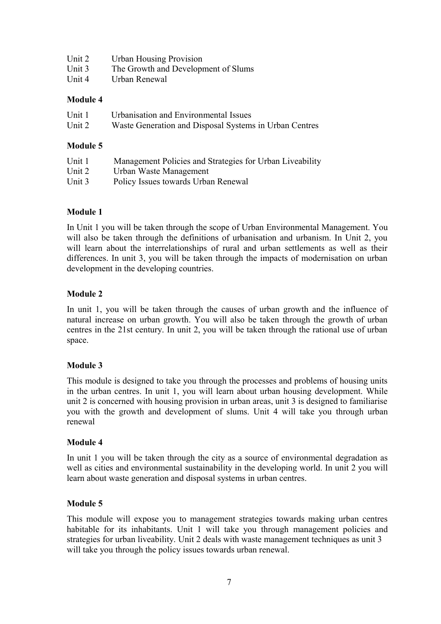| Unit 2 | <b>Urban Housing Provision</b>      |
|--------|-------------------------------------|
| Unit 3 | The Growth and Development of Slums |
| Unit 4 | Urban Renewal                       |

# **Module 4**

| Unit 1 | Urbanisation and Environmental Issues                  |
|--------|--------------------------------------------------------|
| Unit 2 | Waste Generation and Disposal Systems in Urban Centres |

#### **Module 5**

| Unit 1 | Management Policies and Strategies for Urban Liveability |
|--------|----------------------------------------------------------|
| Unit 2 | Urban Waste Management                                   |
| Unit 3 | Policy Issues towards Urban Renewal                      |

#### **Module 1**

In Unit 1 you will be taken through the scope of Urban Environmental Management. You will also be taken through the definitions of urbanisation and urbanism. In Unit 2, you will learn about the interrelationships of rural and urban settlements as well as their differences. In unit 3, you will be taken through the impacts of modernisation on urban development in the developing countries.

#### **Module 2**

In unit 1, you will be taken through the causes of urban growth and the influence of natural increase on urban growth. You will also be taken through the growth of urban centres in the 21st century. In unit 2, you will be taken through the rational use of urban space.

#### **Module 3**

This module is designed to take you through the processes and problems of housing units in the urban centres. In unit 1, you will learn about urban housing development. While unit 2 is concerned with housing provision in urban areas, unit 3 is designed to familiarise you with the growth and development of slums. Unit 4 will take you through urban renewal

#### **Module 4**

In unit 1 you will be taken through the city as a source of environmental degradation as well as cities and environmental sustainability in the developing world. In unit 2 you will learn about waste generation and disposal systems in urban centres.

#### **Module 5**

This module will expose you to management strategies towards making urban centres habitable for its inhabitants. Unit 1 will take you through management policies and strategies for urban liveability. Unit 2 deals with waste management techniques as unit 3 will take you through the policy issues towards urban renewal.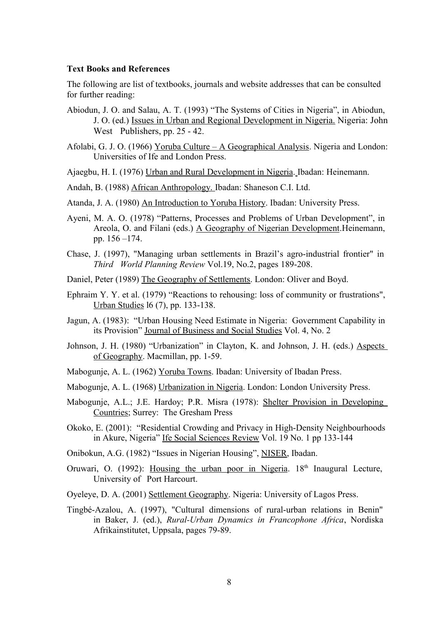#### **Text Books and References**

The following are list of textbooks, journals and website addresses that can be consulted for further reading:

- Abiodun, J. O. and Salau, A. T. (1993) "The Systems of Cities in Nigeria", in Abiodun, J. O. (ed.) Issues in Urban and Regional Development in Nigeria. Nigeria: John West Publishers, pp. 25 - 42.
- Afolabi, G. J. O. (1966) Yoruba Culture A Geographical Analysis. Nigeria and London: Universities of Ife and London Press.
- Ajaegbu, H. I. (1976) Urban and Rural Development in Nigeria. Ibadan: Heinemann.
- Andah, B. (1988) African Anthropology. Ibadan: Shaneson C.I. Ltd.
- Atanda, J. A. (1980) An Introduction to Yoruba History. Ibadan: University Press.
- Ayeni, M. A. O. (1978) "Patterns, Processes and Problems of Urban Development", in Areola, O. and Filani (eds.) A Geography of Nigerian Development.Heinemann, pp. 156 –174.
- Chase, J. (1997), "Managing urban settlements in Brazil's agro-industrial frontier" in *Third World Planning Review* Vol.19, No.2, pages 189-208.
- Daniel, Peter (1989) The Geography of Settlements. London: Oliver and Boyd.
- Ephraim Y. Y. et al. (1979) "Reactions to rehousing: loss of community or frustrations", Urban Studies l6 (7), pp. 133-138.
- Jagun, A. (1983): "Urban Housing Need Estimate in Nigeria: Government Capability in its Provision" Journal of Business and Social Studies Vol. 4, No. 2
- Johnson, J. H. (1980) "Urbanization" in Clayton, K. and Johnson, J. H. (eds.) Aspects of Geography. Macmillan, pp. 1-59.
- Mabogunje, A. L. (1962) Yoruba Towns. Ibadan: University of Ibadan Press.
- Mabogunje, A. L. (1968) Urbanization in Nigeria. London: London University Press.
- Mabogunje, A.L.; J.E. Hardoy; P.R. Misra (1978): Shelter Provision in Developing Countries; Surrey: The Gresham Press
- Okoko, E. (2001): "Residential Crowding and Privacy in High-Density Neighbourhoods in Akure, Nigeria" Ife Social Sciences Review Vol. 19 No. 1 pp 133-144
- Onibokun, A.G. (1982) "Issues in Nigerian Housing", NISER, Ibadan.
- Oruwari, O. (1992): Housing the urban poor in Nigeria.  $18<sup>th</sup>$  Inaugural Lecture, University of Port Harcourt.
- Oyeleye, D. A. (2001) Settlement Geography. Nigeria: University of Lagos Press.
- Tingbé-Azalou, A. (1997), "Cultural dimensions of rural-urban relations in Benin" in Baker, J. (ed.), *Rural-Urban Dynamics in Francophone Africa*, Nordiska Afrikainstitutet, Uppsala, pages 79-89.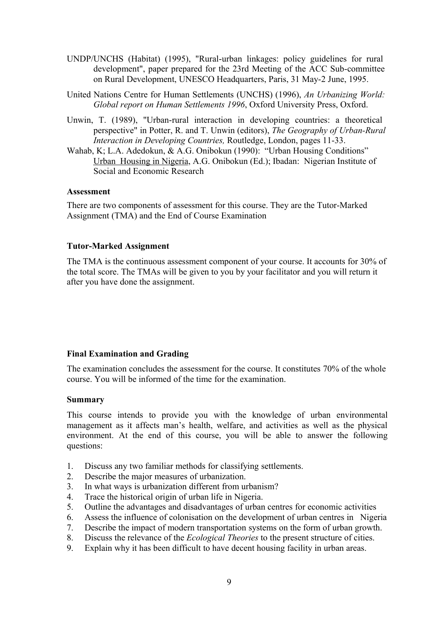- UNDP/UNCHS (Habitat) (1995), "Rural-urban linkages: policy guidelines for rural development", paper prepared for the 23rd Meeting of the ACC Sub-committee on Rural Development, UNESCO Headquarters, Paris, 31 May-2 June, 1995.
- United Nations Centre for Human Settlements (UNCHS) (1996), *An Urbanizing World: Global report on Human Settlements 1996*, Oxford University Press, Oxford.
- Unwin, T. (1989), "Urban-rural interaction in developing countries: a theoretical perspective" in Potter, R. and T. Unwin (editors), *The Geography of Urban-Rural Interaction in Developing Countries,* Routledge, London, pages 11-33.
- Wahab, K; L.A. Adedokun, & A.G. Onibokun (1990): "Urban Housing Conditions" Urban Housing in Nigeria, A.G. Onibokun (Ed.); Ibadan: Nigerian Institute of Social and Economic Research

#### **Assessment**

There are two components of assessment for this course. They are the Tutor-Marked Assignment (TMA) and the End of Course Examination

#### **Tutor-Marked Assignment**

The TMA is the continuous assessment component of your course. It accounts for 30% of the total score. The TMAs will be given to you by your facilitator and you will return it after you have done the assignment.

#### **Final Examination and Grading**

The examination concludes the assessment for the course. It constitutes 70% of the whole course. You will be informed of the time for the examination.

#### **Summary**

This course intends to provide you with the knowledge of urban environmental management as it affects man's health, welfare, and activities as well as the physical environment. At the end of this course, you will be able to answer the following questions:

- 1. Discuss any two familiar methods for classifying settlements.
- 2. Describe the major measures of urbanization.
- 3. In what ways is urbanization different from urbanism?
- 4. Trace the historical origin of urban life in Nigeria.
- 5. Outline the advantages and disadvantages of urban centres for economic activities
- 6. Assess the influence of colonisation on the development of urban centres in Nigeria
- 7. Describe the impact of modern transportation systems on the form of urban growth.
- 8. Discuss the relevance of the *Ecological Theories* to the present structure of cities.
- 9. Explain why it has been difficult to have decent housing facility in urban areas.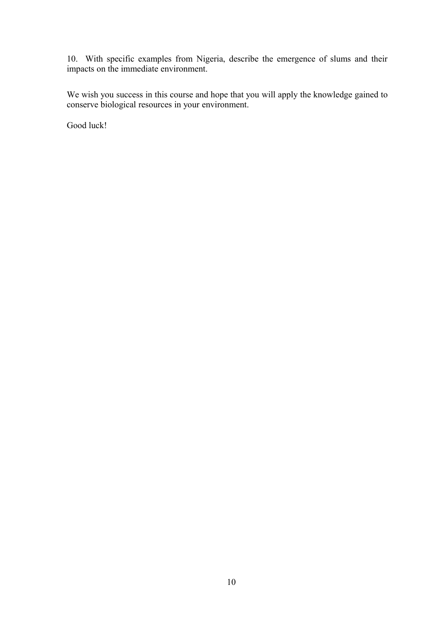10. With specific examples from Nigeria, describe the emergence of slums and their impacts on the immediate environment.

We wish you success in this course and hope that you will apply the knowledge gained to conserve biological resources in your environment.

Good luck!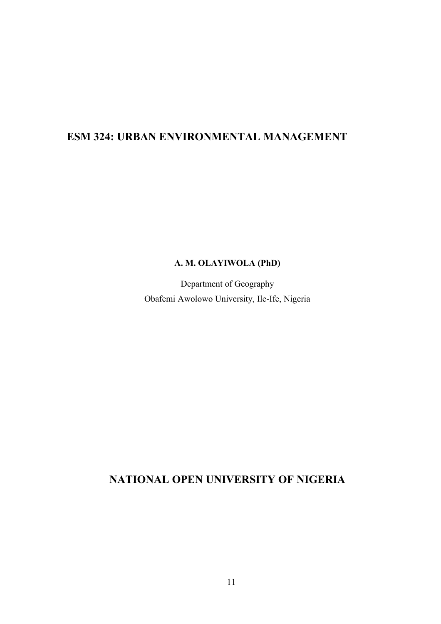# **ESM 324: URBAN ENVIRONMENTAL MANAGEMENT**

# **A. M. OLAYIWOLA (PhD)**

Department of Geography Obafemi Awolowo University, Ile-Ife, Nigeria

# **NATIONAL OPEN UNIVERSITY OF NIGERIA**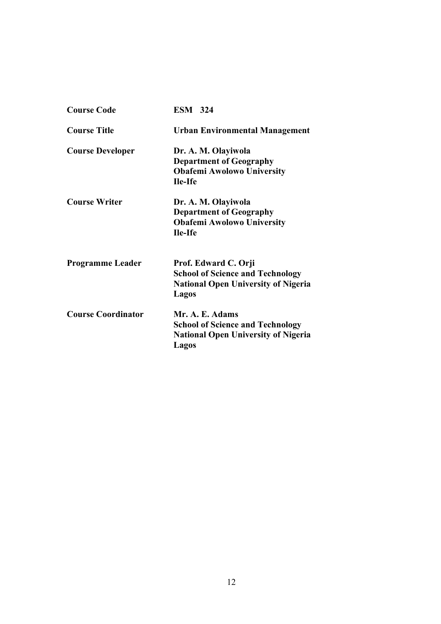| <b>Course Code</b>        | <b>ESM 324</b>                                                                                                         |
|---------------------------|------------------------------------------------------------------------------------------------------------------------|
| <b>Course Title</b>       | <b>Urban Environmental Management</b>                                                                                  |
| <b>Course Developer</b>   | Dr. A. M. Olayiwola<br><b>Department of Geography</b><br><b>Obafemi Awolowo University</b><br>Ile-Ife                  |
| <b>Course Writer</b>      | Dr. A. M. Olayiwola<br><b>Department of Geography</b><br><b>Obafemi Awolowo University</b><br>Ile-Ife                  |
| <b>Programme Leader</b>   | Prof. Edward C. Orji<br><b>School of Science and Technology</b><br><b>National Open University of Nigeria</b><br>Lagos |
| <b>Course Coordinator</b> | Mr. A. E. Adams<br><b>School of Science and Technology</b><br><b>National Open University of Nigeria</b><br>Lagos      |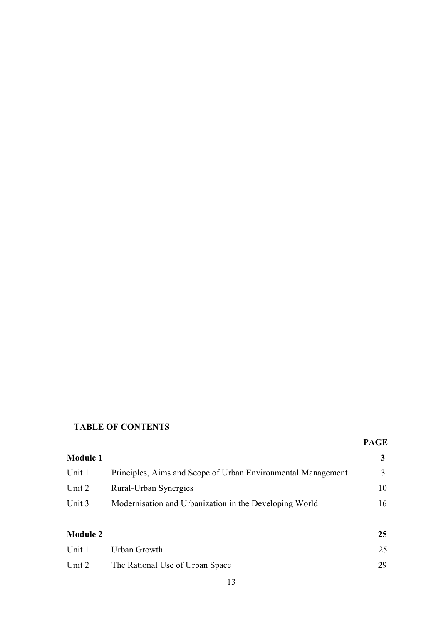# **TABLE OF CONTENTS**

| <b>Module 1</b> |                                                              | 3  |
|-----------------|--------------------------------------------------------------|----|
| Unit 1          | Principles, Aims and Scope of Urban Environmental Management | 3  |
| Unit 2          | Rural-Urban Synergies                                        | 10 |
| Unit 3          | Modernisation and Urbanization in the Developing World       | 16 |
| <b>Module 2</b> |                                                              | 25 |
| Unit 1          | Urban Growth                                                 | 25 |
| Unit 2          | The Rational Use of Urban Space                              | 29 |

**PAGE**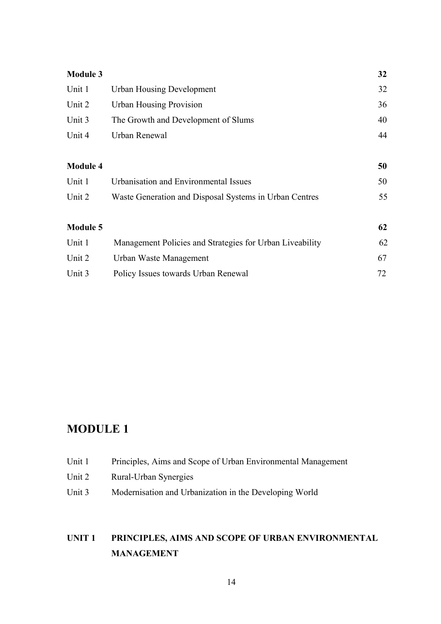| <b>Module 3</b> |                                                          | 32 |
|-----------------|----------------------------------------------------------|----|
| Unit 1          | <b>Urban Housing Development</b>                         | 32 |
| Unit 2          | <b>Urban Housing Provision</b>                           | 36 |
| Unit 3          | The Growth and Development of Slums                      | 40 |
| Unit 4          | Urban Renewal                                            | 44 |
|                 |                                                          |    |
| <b>Module 4</b> |                                                          | 50 |
| Unit 1          | Urbanisation and Environmental Issues                    | 50 |
| Unit 2          | Waste Generation and Disposal Systems in Urban Centres   | 55 |
|                 |                                                          |    |
| <b>Module 5</b> |                                                          | 62 |
| Unit 1          | Management Policies and Strategies for Urban Liveability | 62 |
| Unit 2          | Urban Waste Management                                   | 67 |
| Unit 3          | Policy Issues towards Urban Renewal                      | 72 |

# **MODULE 1**

- Unit 1 Principles, Aims and Scope of Urban Environmental Management
- Unit 2 Rural-Urban Synergies
- Unit 3 Modernisation and Urbanization in the Developing World

# **UNIT 1 PRINCIPLES, AIMS AND SCOPE OF URBAN ENVIRONMENTAL MANAGEMENT**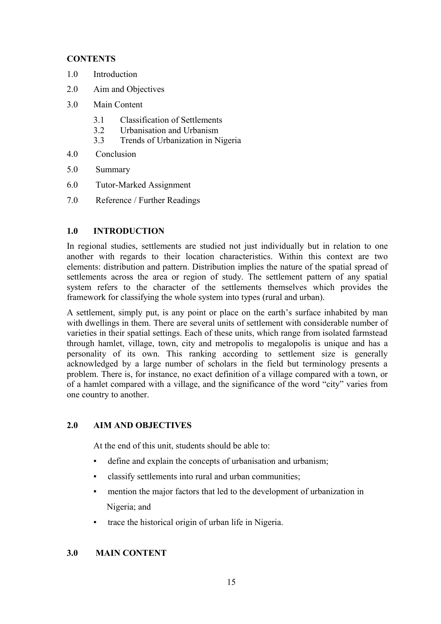# **CONTENTS**

- 1.0 Introduction
- 2.0 Aim and Objectives
- 3.0 Main Content
	- 3.1 Classification of Settlements
	- 3.2 Urbanisation and Urbanism
	- 3.3 Trends of Urbanization in Nigeria
- 4.0 Conclusion
- 5.0 Summary
- 6.0 Tutor-Marked Assignment
- 7.0 Reference / Further Readings

# **1.0 INTRODUCTION**

In regional studies, settlements are studied not just individually but in relation to one another with regards to their location characteristics. Within this context are two elements: distribution and pattern. Distribution implies the nature of the spatial spread of settlements across the area or region of study. The settlement pattern of any spatial system refers to the character of the settlements themselves which provides the framework for classifying the whole system into types (rural and urban).

A settlement, simply put, is any point or place on the earth's surface inhabited by man with dwellings in them. There are several units of settlement with considerable number of varieties in their spatial settings. Each of these units, which range from isolated farmstead through hamlet, village, town, city and metropolis to megalopolis is unique and has a personality of its own. This ranking according to settlement size is generally acknowledged by a large number of scholars in the field but terminology presents a problem. There is, for instance, no exact definition of a village compared with a town, or of a hamlet compared with a village, and the significance of the word "city" varies from one country to another.

# **2.0 AIM AND OBJECTIVES**

At the end of this unit, students should be able to:

- define and explain the concepts of urbanisation and urbanism;
- classify settlements into rural and urban communities;
- mention the major factors that led to the development of urbanization in Nigeria; and
- trace the historical origin of urban life in Nigeria.

# **3.0 MAIN CONTENT**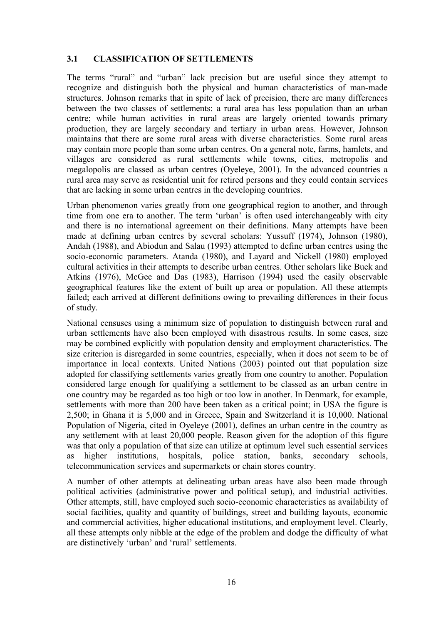# **3.1 CLASSIFICATION OF SETTLEMENTS**

The terms "rural" and "urban" lack precision but are useful since they attempt to recognize and distinguish both the physical and human characteristics of man-made structures. Johnson remarks that in spite of lack of precision, there are many differences between the two classes of settlements: a rural area has less population than an urban centre; while human activities in rural areas are largely oriented towards primary production, they are largely secondary and tertiary in urban areas. However, Johnson maintains that there are some rural areas with diverse characteristics. Some rural areas may contain more people than some urban centres. On a general note, farms, hamlets, and villages are considered as rural settlements while towns, cities, metropolis and megalopolis are classed as urban centres (Oyeleye, 2001). In the advanced countries a rural area may serve as residential unit for retired persons and they could contain services that are lacking in some urban centres in the developing countries.

Urban phenomenon varies greatly from one geographical region to another, and through time from one era to another. The term 'urban' is often used interchangeably with city and there is no international agreement on their definitions. Many attempts have been made at defining urban centres by several scholars: Yussuff (1974), Johnson (1980), Andah (1988), and Abiodun and Salau (1993) attempted to define urban centres using the socio-economic parameters. Atanda (1980), and Layard and Nickell (1980) employed cultural activities in their attempts to describe urban centres. Other scholars like Buck and Atkins (1976), McGee and Das (1983), Harrison (1994) used the easily observable geographical features like the extent of built up area or population. All these attempts failed; each arrived at different definitions owing to prevailing differences in their focus of study.

National censuses using a minimum size of population to distinguish between rural and urban settlements have also been employed with disastrous results. In some cases, size may be combined explicitly with population density and employment characteristics. The size criterion is disregarded in some countries, especially, when it does not seem to be of importance in local contexts. United Nations (2003) pointed out that population size adopted for classifying settlements varies greatly from one country to another. Population considered large enough for qualifying a settlement to be classed as an urban centre in one country may be regarded as too high or too low in another. In Denmark, for example, settlements with more than 200 have been taken as a critical point; in USA the figure is 2,500; in Ghana it is 5,000 and in Greece, Spain and Switzerland it is 10,000. National Population of Nigeria, cited in Oyeleye (2001), defines an urban centre in the country as any settlement with at least 20,000 people. Reason given for the adoption of this figure was that only a population of that size can utilize at optimum level such essential services as higher institutions, hospitals, police station, banks, secondary schools, telecommunication services and supermarkets or chain stores country.

A number of other attempts at delineating urban areas have also been made through political activities (administrative power and political setup), and industrial activities. Other attempts, still, have employed such socio-economic characteristics as availability of social facilities, quality and quantity of buildings, street and building layouts, economic and commercial activities, higher educational institutions, and employment level. Clearly, all these attempts only nibble at the edge of the problem and dodge the difficulty of what are distinctively 'urban' and 'rural' settlements.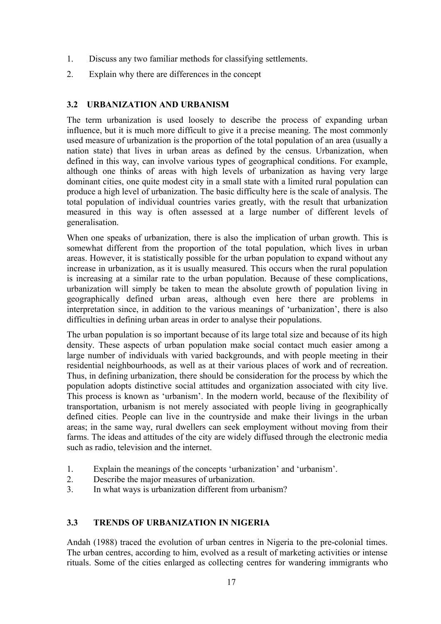- 1. Discuss any two familiar methods for classifying settlements.
- 2. Explain why there are differences in the concept

# **3.2 URBANIZATION AND URBANISM**

The term urbanization is used loosely to describe the process of expanding urban influence, but it is much more difficult to give it a precise meaning. The most commonly used measure of urbanization is the proportion of the total population of an area (usually a nation state) that lives in urban areas as defined by the census. Urbanization, when defined in this way, can involve various types of geographical conditions. For example, although one thinks of areas with high levels of urbanization as having very large dominant cities, one quite modest city in a small state with a limited rural population can produce a high level of urbanization. The basic difficulty here is the scale of analysis. The total population of individual countries varies greatly, with the result that urbanization measured in this way is often assessed at a large number of different levels of generalisation.

When one speaks of urbanization, there is also the implication of urban growth. This is somewhat different from the proportion of the total population, which lives in urban areas. However, it is statistically possible for the urban population to expand without any increase in urbanization, as it is usually measured. This occurs when the rural population is increasing at a similar rate to the urban population. Because of these complications, urbanization will simply be taken to mean the absolute growth of population living in geographically defined urban areas, although even here there are problems in interpretation since, in addition to the various meanings of 'urbanization', there is also difficulties in defining urban areas in order to analyse their populations.

The urban population is so important because of its large total size and because of its high density. These aspects of urban population make social contact much easier among a large number of individuals with varied backgrounds, and with people meeting in their residential neighbourhoods, as well as at their various places of work and of recreation. Thus, in defining urbanization, there should be consideration for the process by which the population adopts distinctive social attitudes and organization associated with city live. This process is known as 'urbanism'. In the modern world, because of the flexibility of transportation, urbanism is not merely associated with people living in geographically defined cities. People can live in the countryside and make their livings in the urban areas; in the same way, rural dwellers can seek employment without moving from their farms. The ideas and attitudes of the city are widely diffused through the electronic media such as radio, television and the internet.

- 1. Explain the meanings of the concepts 'urbanization' and 'urbanism'.
- 2. Describe the major measures of urbanization.
- 3. In what ways is urbanization different from urbanism?

# **3.3 TRENDS OF URBANIZATION IN NIGERIA**

Andah (1988) traced the evolution of urban centres in Nigeria to the pre-colonial times. The urban centres, according to him, evolved as a result of marketing activities or intense rituals. Some of the cities enlarged as collecting centres for wandering immigrants who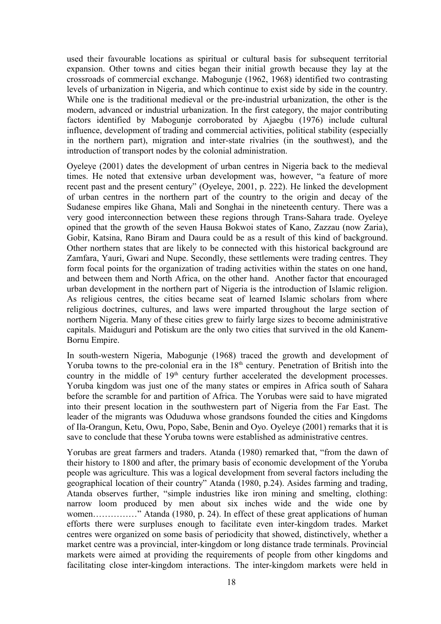used their favourable locations as spiritual or cultural basis for subsequent territorial expansion. Other towns and cities began their initial growth because they lay at the crossroads of commercial exchange. Mabogunje (1962, 1968) identified two contrasting levels of urbanization in Nigeria, and which continue to exist side by side in the country. While one is the traditional medieval or the pre-industrial urbanization, the other is the modern, advanced or industrial urbanization. In the first category, the major contributing factors identified by Mabogunje corroborated by Ajaegbu (1976) include cultural influence, development of trading and commercial activities, political stability (especially in the northern part), migration and inter-state rivalries (in the southwest), and the introduction of transport nodes by the colonial administration.

Oyeleye (2001) dates the development of urban centres in Nigeria back to the medieval times. He noted that extensive urban development was, however, "a feature of more recent past and the present century" (Oyeleye, 2001, p. 222). He linked the development of urban centres in the northern part of the country to the origin and decay of the Sudanese empires like Ghana, Mali and Songhai in the nineteenth century. There was a very good interconnection between these regions through Trans-Sahara trade. Oyeleye opined that the growth of the seven Hausa Bokwoi states of Kano, Zazzau (now Zaria), Gobir, Katsina, Rano Biram and Daura could be as a result of this kind of background. Other northern states that are likely to be connected with this historical background are Zamfara, Yauri, Gwari and Nupe. Secondly, these settlements were trading centres. They form focal points for the organization of trading activities within the states on one hand, and between them and North Africa, on the other hand. Another factor that encouraged urban development in the northern part of Nigeria is the introduction of Islamic religion. As religious centres, the cities became seat of learned Islamic scholars from where religious doctrines, cultures, and laws were imparted throughout the large section of northern Nigeria. Many of these cities grew to fairly large sizes to become administrative capitals. Maiduguri and Potiskum are the only two cities that survived in the old Kanem-Bornu Empire.

In south-western Nigeria, Mabogunje (1968) traced the growth and development of Yoruba towns to the pre-colonial era in the 18<sup>th</sup> century. Penetration of British into the country in the middle of 19<sup>th</sup> century further accelerated the development processes. Yoruba kingdom was just one of the many states or empires in Africa south of Sahara before the scramble for and partition of Africa. The Yorubas were said to have migrated into their present location in the southwestern part of Nigeria from the Far East. The leader of the migrants was Oduduwa whose grandsons founded the cities and Kingdoms of Ila-Orangun, Ketu, Owu, Popo, Sabe, Benin and Oyo. Oyeleye (2001) remarks that it is save to conclude that these Yoruba towns were established as administrative centres.

Yorubas are great farmers and traders. Atanda (1980) remarked that, "from the dawn of their history to 1800 and after, the primary basis of economic development of the Yoruba people was agriculture. This was a logical development from several factors including the geographical location of their country" Atanda (1980, p.24). Asides farming and trading, Atanda observes further, "simple industries like iron mining and smelting, clothing: narrow loom produced by men about six inches wide and the wide one by women……………" Atanda (1980, p. 24). In effect of these great applications of human efforts there were surpluses enough to facilitate even inter-kingdom trades. Market centres were organized on some basis of periodicity that showed, distinctively, whether a market centre was a provincial, inter-kingdom or long distance trade terminals. Provincial markets were aimed at providing the requirements of people from other kingdoms and facilitating close inter-kingdom interactions. The inter-kingdom markets were held in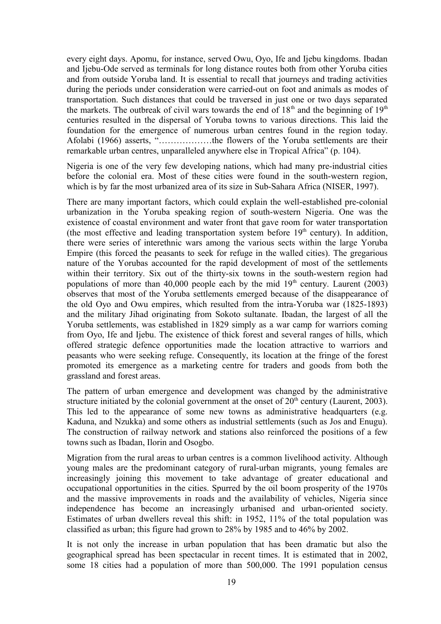every eight days. Apomu, for instance, served Owu, Oyo, Ife and Ijebu kingdoms. Ibadan and Ijebu-Ode served as terminals for long distance routes both from other Yoruba cities and from outside Yoruba land. It is essential to recall that journeys and trading activities during the periods under consideration were carried-out on foot and animals as modes of transportation. Such distances that could be traversed in just one or two days separated the markets. The outbreak of civil wars towards the end of  $18<sup>th</sup>$  and the beginning of  $19<sup>th</sup>$ centuries resulted in the dispersal of Yoruba towns to various directions. This laid the foundation for the emergence of numerous urban centres found in the region today. Afolabi (1966) asserts, "………………the flowers of the Yoruba settlements are their remarkable urban centres, unparalleled anywhere else in Tropical Africa" (p. 104).

Nigeria is one of the very few developing nations, which had many pre-industrial cities before the colonial era. Most of these cities were found in the south-western region, which is by far the most urbanized area of its size in Sub-Sahara Africa (NISER, 1997).

There are many important factors, which could explain the well-established pre-colonial urbanization in the Yoruba speaking region of south-western Nigeria. One was the existence of coastal environment and water front that gave room for water transportation (the most effective and leading transportation system before  $19<sup>th</sup>$  century). In addition, there were series of interethnic wars among the various sects within the large Yoruba Empire (this forced the peasants to seek for refuge in the walled cities). The gregarious nature of the Yorubas accounted for the rapid development of most of the settlements within their territory. Six out of the thirty-six towns in the south-western region had populations of more than 40,000 people each by the mid  $19<sup>th</sup>$  century. Laurent (2003) observes that most of the Yoruba settlements emerged because of the disappearance of the old Oyo and Owu empires, which resulted from the intra-Yoruba war (1825-1893) and the military Jihad originating from Sokoto sultanate. Ibadan, the largest of all the Yoruba settlements, was established in 1829 simply as a war camp for warriors coming from Oyo, Ife and Ijebu. The existence of thick forest and several ranges of hills, which offered strategic defence opportunities made the location attractive to warriors and peasants who were seeking refuge. Consequently, its location at the fringe of the forest promoted its emergence as a marketing centre for traders and goods from both the grassland and forest areas.

The pattern of urban emergence and development was changed by the administrative structure initiated by the colonial government at the onset of  $20<sup>th</sup>$  century (Laurent, 2003). This led to the appearance of some new towns as administrative headquarters (e.g. Kaduna, and Nzukka) and some others as industrial settlements (such as Jos and Enugu). The construction of railway network and stations also reinforced the positions of a few towns such as Ibadan, Ilorin and Osogbo.

Migration from the rural areas to urban centres is a common livelihood activity. Although young males are the predominant category of rural-urban migrants, young females are increasingly joining this movement to take advantage of greater educational and occupational opportunities in the cities. Spurred by the oil boom prosperity of the 1970s and the massive improvements in roads and the availability of vehicles, Nigeria since independence has become an increasingly urbanised and urban-oriented society. Estimates of urban dwellers reveal this shift: in 1952, 11% of the total population was classified as urban; this figure had grown to 28% by 1985 and to 46% by 2002.

It is not only the increase in urban population that has been dramatic but also the geographical spread has been spectacular in recent times. It is estimated that in 2002, some 18 cities had a population of more than 500,000. The 1991 population census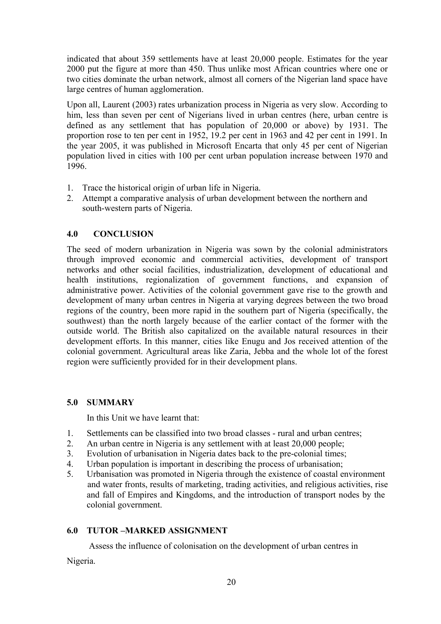indicated that about 359 settlements have at least 20,000 people. Estimates for the year 2000 put the figure at more than 450. Thus unlike most African countries where one or two cities dominate the urban network, almost all corners of the Nigerian land space have large centres of human agglomeration.

Upon all, Laurent (2003) rates urbanization process in Nigeria as very slow. According to him, less than seven per cent of Nigerians lived in urban centres (here, urban centre is defined as any settlement that has population of 20,000 or above) by 1931. The proportion rose to ten per cent in 1952, 19.2 per cent in 1963 and 42 per cent in 1991. In the year 2005, it was published in Microsoft Encarta that only 45 per cent of Nigerian population lived in cities with 100 per cent urban population increase between 1970 and 1996.

- 1. Trace the historical origin of urban life in Nigeria.
- 2. Attempt a comparative analysis of urban development between the northern and south-western parts of Nigeria.

# **4.0 CONCLUSION**

The seed of modern urbanization in Nigeria was sown by the colonial administrators through improved economic and commercial activities, development of transport networks and other social facilities, industrialization, development of educational and health institutions, regionalization of government functions, and expansion of administrative power. Activities of the colonial government gave rise to the growth and development of many urban centres in Nigeria at varying degrees between the two broad regions of the country, been more rapid in the southern part of Nigeria (specifically, the southwest) than the north largely because of the earlier contact of the former with the outside world. The British also capitalized on the available natural resources in their development efforts. In this manner, cities like Enugu and Jos received attention of the colonial government. Agricultural areas like Zaria, Jebba and the whole lot of the forest region were sufficiently provided for in their development plans.

# **5.0 SUMMARY**

In this Unit we have learnt that:

- 1. Settlements can be classified into two broad classes rural and urban centres;
- 2. An urban centre in Nigeria is any settlement with at least 20,000 people;
- 3. Evolution of urbanisation in Nigeria dates back to the pre-colonial times;
- 4. Urban population is important in describing the process of urbanisation;
- 5. Urbanisation was promoted in Nigeria through the existence of coastal environment and water fronts, results of marketing, trading activities, and religious activities, rise and fall of Empires and Kingdoms, and the introduction of transport nodes by the colonial government.

# **6.0 TUTOR –MARKED ASSIGNMENT**

Assess the influence of colonisation on the development of urban centres in

Nigeria.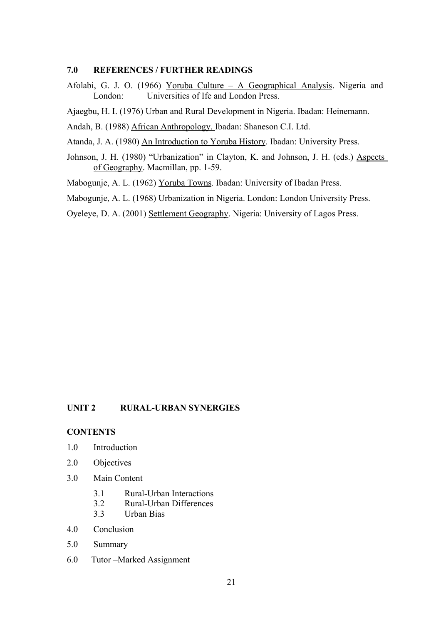# **7.0 REFERENCES / FURTHER READINGS**

Afolabi, G. J. O. (1966) Yoruba Culture – A Geographical Analysis. Nigeria and London: Universities of Ife and London Press.

Ajaegbu, H. I. (1976) Urban and Rural Development in Nigeria. Ibadan: Heinemann.

Andah, B. (1988) African Anthropology. Ibadan: Shaneson C.I. Ltd.

Atanda, J. A. (1980) An Introduction to Yoruba History. Ibadan: University Press.

Johnson, J. H. (1980) "Urbanization" in Clayton, K. and Johnson, J. H. (eds.) Aspects of Geography. Macmillan, pp. 1-59.

Mabogunje, A. L. (1962) Yoruba Towns. Ibadan: University of Ibadan Press.

Mabogunje, A. L. (1968) Urbanization in Nigeria. London: London University Press.

Oyeleye, D. A. (2001) Settlement Geography. Nigeria: University of Lagos Press.

#### **UNIT 2 RURAL-URBAN SYNERGIES**

#### **CONTENTS**

- 1.0 Introduction
- 2.0 Objectives
- 3.0 Main Content
	- 3.1 Rural-Urban Interactions
	- 3.2 Rural-Urban Differences
	- 3.3 Urban Bias
- 4.0 Conclusion
- 5.0 Summary
- 6.0 Tutor –Marked Assignment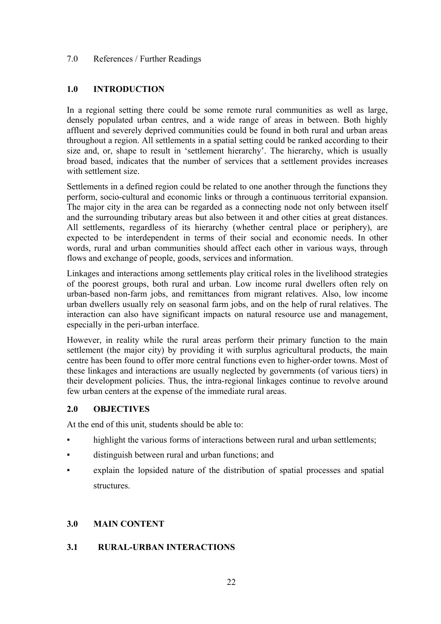# 7.0 References / Further Readings

# **1.0 INTRODUCTION**

In a regional setting there could be some remote rural communities as well as large, densely populated urban centres, and a wide range of areas in between. Both highly affluent and severely deprived communities could be found in both rural and urban areas throughout a region. All settlements in a spatial setting could be ranked according to their size and, or, shape to result in 'settlement hierarchy'. The hierarchy, which is usually broad based, indicates that the number of services that a settlement provides increases with settlement size.

Settlements in a defined region could be related to one another through the functions they perform, socio-cultural and economic links or through a continuous territorial expansion. The major city in the area can be regarded as a connecting node not only between itself and the surrounding tributary areas but also between it and other cities at great distances. All settlements, regardless of its hierarchy (whether central place or periphery), are expected to be interdependent in terms of their social and economic needs. In other words, rural and urban communities should affect each other in various ways, through flows and exchange of people, goods, services and information.

Linkages and interactions among settlements play critical roles in the livelihood strategies of the poorest groups, both rural and urban. Low income rural dwellers often rely on urban-based non-farm jobs, and remittances from migrant relatives. Also, low income urban dwellers usually rely on seasonal farm jobs, and on the help of rural relatives. The interaction can also have significant impacts on natural resource use and management, especially in the peri-urban interface.

However, in reality while the rural areas perform their primary function to the main settlement (the major city) by providing it with surplus agricultural products, the main centre has been found to offer more central functions even to higher-order towns. Most of these linkages and interactions are usually neglected by governments (of various tiers) in their development policies. Thus, the intra-regional linkages continue to revolve around few urban centers at the expense of the immediate rural areas.

# **2.0 OBJECTIVES**

At the end of this unit, students should be able to:

- highlight the various forms of interactions between rural and urban settlements;
- distinguish between rural and urban functions; and
- explain the lopsided nature of the distribution of spatial processes and spatial structures.

# **3.0 MAIN CONTENT**

# **3.1 RURAL-URBAN INTERACTIONS**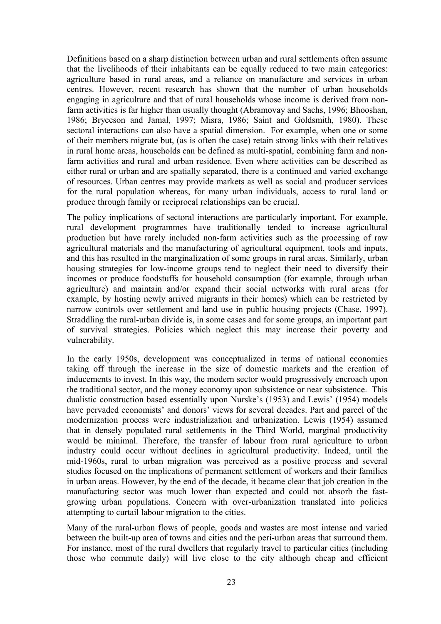Definitions based on a sharp distinction between urban and rural settlements often assume that the livelihoods of their inhabitants can be equally reduced to two main categories: agriculture based in rural areas, and a reliance on manufacture and services in urban centres. However, recent research has shown that the number of urban households engaging in agriculture and that of rural households whose income is derived from nonfarm activities is far higher than usually thought (Abramovay and Sachs, 1996; Bhooshan, 1986; Bryceson and Jamal, 1997; Misra, 1986; Saint and Goldsmith, 1980). These sectoral interactions can also have a spatial dimension. For example, when one or some of their members migrate but, (as is often the case) retain strong links with their relatives in rural home areas, households can be defined as multi-spatial, combining farm and nonfarm activities and rural and urban residence. Even where activities can be described as either rural or urban and are spatially separated, there is a continued and varied exchange of resources. Urban centres may provide markets as well as social and producer services for the rural population whereas, for many urban individuals, access to rural land or produce through family or reciprocal relationships can be crucial.

The policy implications of sectoral interactions are particularly important. For example, rural development programmes have traditionally tended to increase agricultural production but have rarely included non-farm activities such as the processing of raw agricultural materials and the manufacturing of agricultural equipment, tools and inputs, and this has resulted in the marginalization of some groups in rural areas. Similarly, urban housing strategies for low-income groups tend to neglect their need to diversify their incomes or produce foodstuffs for household consumption (for example, through urban agriculture) and maintain and/or expand their social networks with rural areas (for example, by hosting newly arrived migrants in their homes) which can be restricted by narrow controls over settlement and land use in public housing projects (Chase, 1997). Straddling the rural-urban divide is, in some cases and for some groups, an important part of survival strategies. Policies which neglect this may increase their poverty and vulnerability.

In the early 1950s, development was conceptualized in terms of national economies taking off through the increase in the size of domestic markets and the creation of inducements to invest. In this way, the modern sector would progressively encroach upon the traditional sector, and the money economy upon subsistence or near subsistence. This dualistic construction based essentially upon Nurske's (1953) and Lewis' (1954) models have pervaded economists' and donors' views for several decades. Part and parcel of the modernization process were industrialization and urbanization. Lewis (1954) assumed that in densely populated rural settlements in the Third World, marginal productivity would be minimal. Therefore, the transfer of labour from rural agriculture to urban industry could occur without declines in agricultural productivity. Indeed, until the mid-1960s, rural to urban migration was perceived as a positive process and several studies focused on the implications of permanent settlement of workers and their families in urban areas. However, by the end of the decade, it became clear that job creation in the manufacturing sector was much lower than expected and could not absorb the fastgrowing urban populations. Concern with over-urbanization translated into policies attempting to curtail labour migration to the cities.

Many of the rural-urban flows of people, goods and wastes are most intense and varied between the built-up area of towns and cities and the peri-urban areas that surround them. For instance, most of the rural dwellers that regularly travel to particular cities (including those who commute daily) will live close to the city although cheap and efficient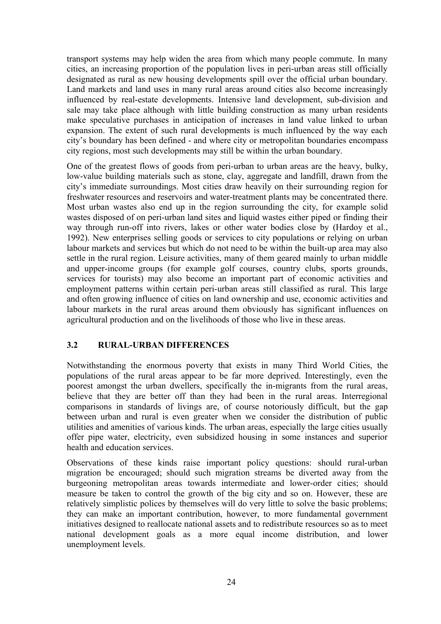transport systems may help widen the area from which many people commute. In many cities, an increasing proportion of the population lives in peri-urban areas still officially designated as rural as new housing developments spill over the official urban boundary. Land markets and land uses in many rural areas around cities also become increasingly influenced by real-estate developments. Intensive land development, sub-division and sale may take place although with little building construction as many urban residents make speculative purchases in anticipation of increases in land value linked to urban expansion. The extent of such rural developments is much influenced by the way each city's boundary has been defined - and where city or metropolitan boundaries encompass city regions, most such developments may still be within the urban boundary.

One of the greatest flows of goods from peri-urban to urban areas are the heavy, bulky, low-value building materials such as stone, clay, aggregate and landfill, drawn from the city's immediate surroundings. Most cities draw heavily on their surrounding region for freshwater resources and reservoirs and water-treatment plants may be concentrated there. Most urban wastes also end up in the region surrounding the city, for example solid wastes disposed of on peri-urban land sites and liquid wastes either piped or finding their way through run-off into rivers, lakes or other water bodies close by (Hardoy et al., 1992). New enterprises selling goods or services to city populations or relying on urban labour markets and services but which do not need to be within the built-up area may also settle in the rural region. Leisure activities, many of them geared mainly to urban middle and upper-income groups (for example golf courses, country clubs, sports grounds, services for tourists) may also become an important part of economic activities and employment patterns within certain peri-urban areas still classified as rural. This large and often growing influence of cities on land ownership and use, economic activities and labour markets in the rural areas around them obviously has significant influences on agricultural production and on the livelihoods of those who live in these areas.

# **3.2 RURAL-URBAN DIFFERENCES**

Notwithstanding the enormous poverty that exists in many Third World Cities, the populations of the rural areas appear to be far more deprived. Interestingly, even the poorest amongst the urban dwellers, specifically the in-migrants from the rural areas, believe that they are better off than they had been in the rural areas. Interregional comparisons in standards of livings are, of course notoriously difficult, but the gap between urban and rural is even greater when we consider the distribution of public utilities and amenities of various kinds. The urban areas, especially the large cities usually offer pipe water, electricity, even subsidized housing in some instances and superior health and education services.

Observations of these kinds raise important policy questions: should rural-urban migration be encouraged; should such migration streams be diverted away from the burgeoning metropolitan areas towards intermediate and lower-order cities; should measure be taken to control the growth of the big city and so on. However, these are relatively simplistic polices by themselves will do very little to solve the basic problems; they can make an important contribution, however, to more fundamental government initiatives designed to reallocate national assets and to redistribute resources so as to meet national development goals as a more equal income distribution, and lower unemployment levels.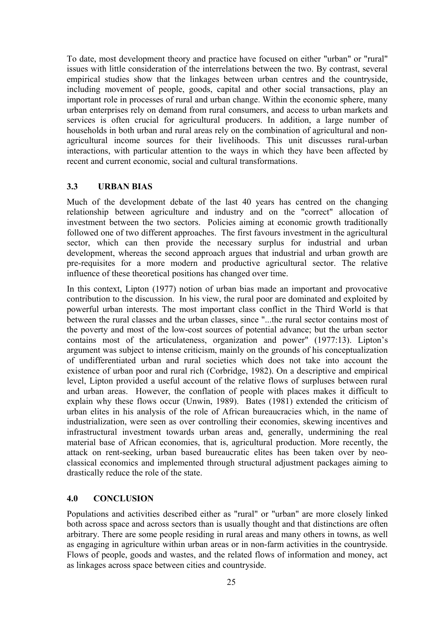To date, most development theory and practice have focused on either "urban" or "rural" issues with little consideration of the interrelations between the two. By contrast, several empirical studies show that the linkages between urban centres and the countryside, including movement of people, goods, capital and other social transactions, play an important role in processes of rural and urban change. Within the economic sphere, many urban enterprises rely on demand from rural consumers, and access to urban markets and services is often crucial for agricultural producers. In addition, a large number of households in both urban and rural areas rely on the combination of agricultural and nonagricultural income sources for their livelihoods. This unit discusses rural-urban interactions, with particular attention to the ways in which they have been affected by recent and current economic, social and cultural transformations.

# **3.3 URBAN BIAS**

Much of the development debate of the last 40 years has centred on the changing relationship between agriculture and industry and on the "correct" allocation of investment between the two sectors. Policies aiming at economic growth traditionally followed one of two different approaches. The first favours investment in the agricultural sector, which can then provide the necessary surplus for industrial and urban development, whereas the second approach argues that industrial and urban growth are pre-requisites for a more modern and productive agricultural sector. The relative influence of these theoretical positions has changed over time.

In this context, Lipton (1977) notion of urban bias made an important and provocative contribution to the discussion. In his view, the rural poor are dominated and exploited by powerful urban interests. The most important class conflict in the Third World is that between the rural classes and the urban classes, since "...the rural sector contains most of the poverty and most of the low-cost sources of potential advance; but the urban sector contains most of the articulateness, organization and power" (1977:13). Lipton's argument was subject to intense criticism, mainly on the grounds of his conceptualization of undifferentiated urban and rural societies which does not take into account the existence of urban poor and rural rich (Corbridge, 1982). On a descriptive and empirical level, Lipton provided a useful account of the relative flows of surpluses between rural and urban areas. However, the conflation of people with places makes it difficult to explain why these flows occur (Unwin, 1989). Bates (1981) extended the criticism of urban elites in his analysis of the role of African bureaucracies which, in the name of industrialization, were seen as over controlling their economies, skewing incentives and infrastructural investment towards urban areas and, generally, undermining the real material base of African economies, that is, agricultural production. More recently, the attack on rent-seeking, urban based bureaucratic elites has been taken over by neoclassical economics and implemented through structural adjustment packages aiming to drastically reduce the role of the state.

# **4.0 CONCLUSION**

Populations and activities described either as "rural" or "urban" are more closely linked both across space and across sectors than is usually thought and that distinctions are often arbitrary. There are some people residing in rural areas and many others in towns, as well as engaging in agriculture within urban areas or in non-farm activities in the countryside. Flows of people, goods and wastes, and the related flows of information and money, act as linkages across space between cities and countryside.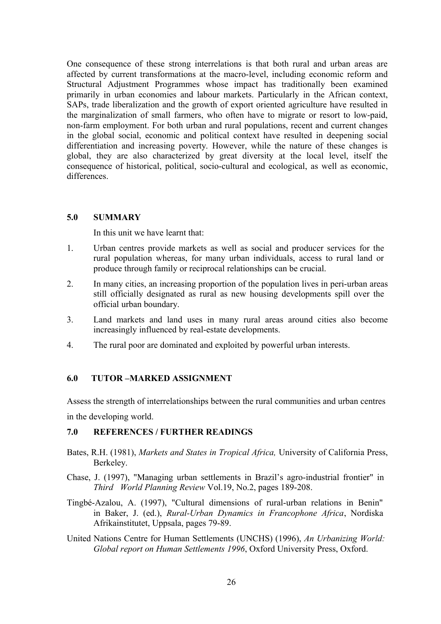One consequence of these strong interrelations is that both rural and urban areas are affected by current transformations at the macro-level, including economic reform and Structural Adjustment Programmes whose impact has traditionally been examined primarily in urban economies and labour markets. Particularly in the African context, SAPs, trade liberalization and the growth of export oriented agriculture have resulted in the marginalization of small farmers, who often have to migrate or resort to low-paid, non-farm employment. For both urban and rural populations, recent and current changes in the global social, economic and political context have resulted in deepening social differentiation and increasing poverty. However, while the nature of these changes is global, they are also characterized by great diversity at the local level, itself the consequence of historical, political, socio-cultural and ecological, as well as economic, differences.

#### **5.0 SUMMARY**

In this unit we have learnt that:

- 1. Urban centres provide markets as well as social and producer services for the rural population whereas, for many urban individuals, access to rural land or produce through family or reciprocal relationships can be crucial.
- 2. In many cities, an increasing proportion of the population lives in peri-urban areas still officially designated as rural as new housing developments spill over the official urban boundary.
- 3. Land markets and land uses in many rural areas around cities also become increasingly influenced by real-estate developments.
- 4. The rural poor are dominated and exploited by powerful urban interests.

#### **6.0 TUTOR –MARKED ASSIGNMENT**

Assess the strength of interrelationships between the rural communities and urban centres in the developing world.

#### **7.0 REFERENCES / FURTHER READINGS**

- Bates, R.H. (1981), *Markets and States in Tropical Africa,* University of California Press, Berkeley.
- Chase, J. (1997), "Managing urban settlements in Brazil's agro-industrial frontier" in *Third World Planning Review* Vol.19, No.2, pages 189-208.
- Tingbé-Azalou, A. (1997), "Cultural dimensions of rural-urban relations in Benin" in Baker, J. (ed.), *Rural-Urban Dynamics in Francophone Africa*, Nordiska Afrikainstitutet, Uppsala, pages 79-89.
- United Nations Centre for Human Settlements (UNCHS) (1996), *An Urbanizing World: Global report on Human Settlements 1996*, Oxford University Press, Oxford.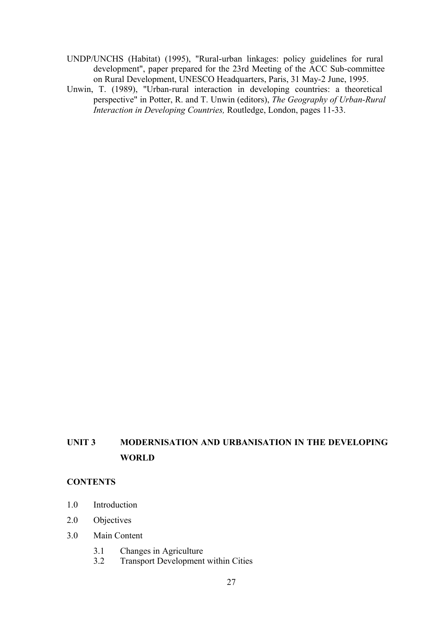- UNDP/UNCHS (Habitat) (1995), "Rural-urban linkages: policy guidelines for rural development", paper prepared for the 23rd Meeting of the ACC Sub-committee on Rural Development, UNESCO Headquarters, Paris, 31 May-2 June, 1995.
- Unwin, T. (1989), "Urban-rural interaction in developing countries: a theoretical perspective" in Potter, R. and T. Unwin (editors), *The Geography of Urban-Rural Interaction in Developing Countries,* Routledge, London, pages 11-33.

# **UNIT 3 MODERNISATION AND URBANISATION IN THE DEVELOPING WORLD**

# **CONTENTS**

- 1.0 Introduction
- 2.0 Objectives
- 3.0 Main Content
	- 3.1 Changes in Agriculture
	- 3.2 Transport Development within Cities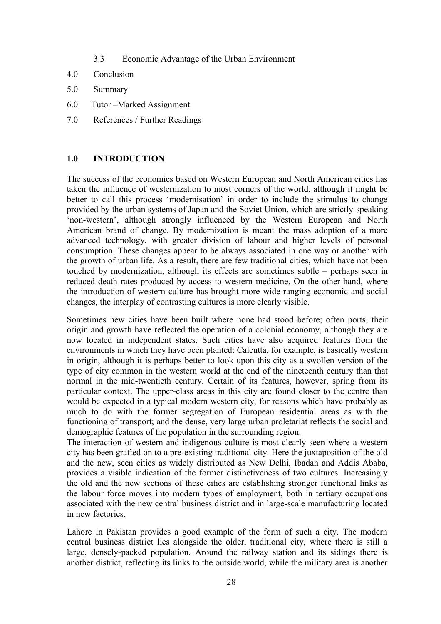- 3.3 Economic Advantage of the Urban Environment
- 4.0 Conclusion
- 5.0 Summary
- 6.0 Tutor –Marked Assignment
- 7.0 References / Further Readings

# **1.0 INTRODUCTION**

The success of the economies based on Western European and North American cities has taken the influence of westernization to most corners of the world, although it might be better to call this process 'modernisation' in order to include the stimulus to change provided by the urban systems of Japan and the Soviet Union, which are strictly-speaking 'non-western', although strongly influenced by the Western European and North American brand of change. By modernization is meant the mass adoption of a more advanced technology, with greater division of labour and higher levels of personal consumption. These changes appear to be always associated in one way or another with the growth of urban life. As a result, there are few traditional cities, which have not been touched by modernization, although its effects are sometimes subtle – perhaps seen in reduced death rates produced by access to western medicine. On the other hand, where the introduction of western culture has brought more wide-ranging economic and social changes, the interplay of contrasting cultures is more clearly visible.

Sometimes new cities have been built where none had stood before; often ports, their origin and growth have reflected the operation of a colonial economy, although they are now located in independent states. Such cities have also acquired features from the environments in which they have been planted: Calcutta, for example, is basically western in origin, although it is perhaps better to look upon this city as a swollen version of the type of city common in the western world at the end of the nineteenth century than that normal in the mid-twentieth century. Certain of its features, however, spring from its particular context. The upper-class areas in this city are found closer to the centre than would be expected in a typical modern western city, for reasons which have probably as much to do with the former segregation of European residential areas as with the functioning of transport; and the dense, very large urban proletariat reflects the social and demographic features of the population in the surrounding region.

The interaction of western and indigenous culture is most clearly seen where a western city has been grafted on to a pre-existing traditional city. Here the juxtaposition of the old and the new, seen cities as widely distributed as New Delhi, Ibadan and Addis Ababa, provides a visible indication of the former distinctiveness of two cultures. Increasingly the old and the new sections of these cities are establishing stronger functional links as the labour force moves into modern types of employment, both in tertiary occupations associated with the new central business district and in large-scale manufacturing located in new factories.

Lahore in Pakistan provides a good example of the form of such a city. The modern central business district lies alongside the older, traditional city, where there is still a large, densely-packed population. Around the railway station and its sidings there is another district, reflecting its links to the outside world, while the military area is another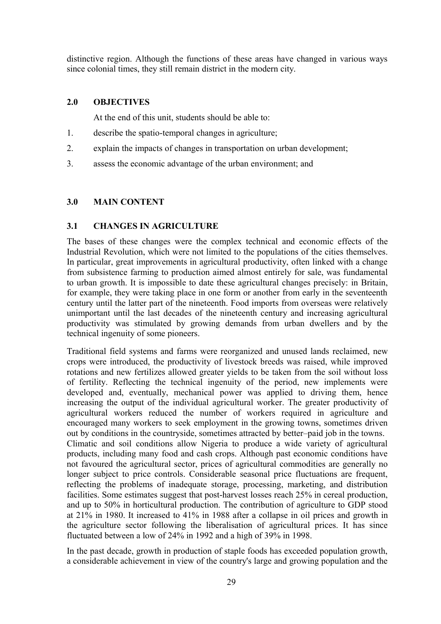distinctive region. Although the functions of these areas have changed in various ways since colonial times, they still remain district in the modern city.

# **2.0 OBJECTIVES**

At the end of this unit, students should be able to:

- 1. describe the spatio-temporal changes in agriculture;
- 2. explain the impacts of changes in transportation on urban development;
- 3. assess the economic advantage of the urban environment; and

# **3.0 MAIN CONTENT**

# **3.1 CHANGES IN AGRICULTURE**

The bases of these changes were the complex technical and economic effects of the Industrial Revolution, which were not limited to the populations of the cities themselves. In particular, great improvements in agricultural productivity, often linked with a change from subsistence farming to production aimed almost entirely for sale, was fundamental to urban growth. It is impossible to date these agricultural changes precisely: in Britain, for example, they were taking place in one form or another from early in the seventeenth century until the latter part of the nineteenth. Food imports from overseas were relatively unimportant until the last decades of the nineteenth century and increasing agricultural productivity was stimulated by growing demands from urban dwellers and by the technical ingenuity of some pioneers.

Traditional field systems and farms were reorganized and unused lands reclaimed, new crops were introduced, the productivity of livestock breeds was raised, while improved rotations and new fertilizes allowed greater yields to be taken from the soil without loss of fertility. Reflecting the technical ingenuity of the period, new implements were developed and, eventually, mechanical power was applied to driving them, hence increasing the output of the individual agricultural worker. The greater productivity of agricultural workers reduced the number of workers required in agriculture and encouraged many workers to seek employment in the growing towns, sometimes driven out by conditions in the countryside, sometimes attracted by better–paid job in the towns. Climatic and soil conditions allow Nigeria to produce a wide variety of agricultural products, including many food and cash crops. Although past economic conditions have not favoured the agricultural sector, prices of agricultural commodities are generally no longer subject to price controls. Considerable seasonal price fluctuations are frequent, reflecting the problems of inadequate storage, processing, marketing, and distribution facilities. Some estimates suggest that post-harvest losses reach 25% in cereal production, and up to 50% in horticultural production. The contribution of agriculture to GDP stood at 21% in 1980. It increased to 41% in 1988 after a collapse in oil prices and growth in the agriculture sector following the liberalisation of agricultural prices. It has since fluctuated between a low of 24% in 1992 and a high of 39% in 1998.

In the past decade, growth in production of staple foods has exceeded population growth, a considerable achievement in view of the country's large and growing population and the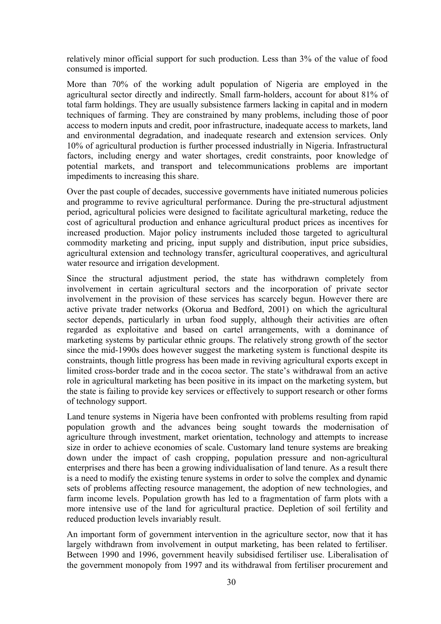relatively minor official support for such production. Less than 3% of the value of food consumed is imported.

More than 70% of the working adult population of Nigeria are employed in the agricultural sector directly and indirectly. Small farm-holders, account for about 81% of total farm holdings. They are usually subsistence farmers lacking in capital and in modern techniques of farming. They are constrained by many problems, including those of poor access to modern inputs and credit, poor infrastructure, inadequate access to markets, land and environmental degradation, and inadequate research and extension services. Only 10% of agricultural production is further processed industrially in Nigeria. Infrastructural factors, including energy and water shortages, credit constraints, poor knowledge of potential markets, and transport and telecommunications problems are important impediments to increasing this share.

Over the past couple of decades, successive governments have initiated numerous policies and programme to revive agricultural performance. During the pre-structural adjustment period, agricultural policies were designed to facilitate agricultural marketing, reduce the cost of agricultural production and enhance agricultural product prices as incentives for increased production. Major policy instruments included those targeted to agricultural commodity marketing and pricing, input supply and distribution, input price subsidies, agricultural extension and technology transfer, agricultural cooperatives, and agricultural water resource and irrigation development.

Since the structural adjustment period, the state has withdrawn completely from involvement in certain agricultural sectors and the incorporation of private sector involvement in the provision of these services has scarcely begun. However there are active private trader networks (Okorua and Bedford, 2001) on which the agricultural sector depends, particularly in urban food supply, although their activities are often regarded as exploitative and based on cartel arrangements, with a dominance of marketing systems by particular ethnic groups. The relatively strong growth of the sector since the mid-1990s does however suggest the marketing system is functional despite its constraints, though little progress has been made in reviving agricultural exports except in limited cross-border trade and in the cocoa sector. The state's withdrawal from an active role in agricultural marketing has been positive in its impact on the marketing system, but the state is failing to provide key services or effectively to support research or other forms of technology support.

Land tenure systems in Nigeria have been confronted with problems resulting from rapid population growth and the advances being sought towards the modernisation of agriculture through investment, market orientation, technology and attempts to increase size in order to achieve economies of scale. Customary land tenure systems are breaking down under the impact of cash cropping, population pressure and non-agricultural enterprises and there has been a growing individualisation of land tenure. As a result there is a need to modify the existing tenure systems in order to solve the complex and dynamic sets of problems affecting resource management, the adoption of new technologies, and farm income levels. Population growth has led to a fragmentation of farm plots with a more intensive use of the land for agricultural practice. Depletion of soil fertility and reduced production levels invariably result.

An important form of government intervention in the agriculture sector, now that it has largely withdrawn from involvement in output marketing, has been related to fertiliser. Between 1990 and 1996, government heavily subsidised fertiliser use. Liberalisation of the government monopoly from 1997 and its withdrawal from fertiliser procurement and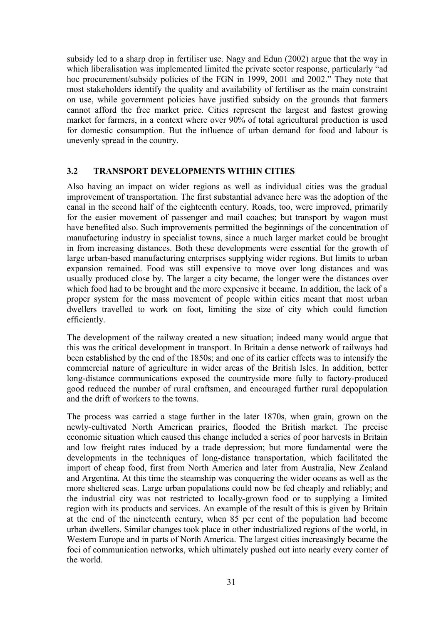subsidy led to a sharp drop in fertiliser use. Nagy and Edun (2002) argue that the way in which liberalisation was implemented limited the private sector response, particularly "ad hoc procurement/subsidy policies of the FGN in 1999, 2001 and 2002." They note that most stakeholders identify the quality and availability of fertiliser as the main constraint on use, while government policies have justified subsidy on the grounds that farmers cannot afford the free market price. Cities represent the largest and fastest growing market for farmers, in a context where over 90% of total agricultural production is used for domestic consumption. But the influence of urban demand for food and labour is unevenly spread in the country.

# **3.2 TRANSPORT DEVELOPMENTS WITHIN CITIES**

Also having an impact on wider regions as well as individual cities was the gradual improvement of transportation. The first substantial advance here was the adoption of the canal in the second half of the eighteenth century. Roads, too, were improved, primarily for the easier movement of passenger and mail coaches; but transport by wagon must have benefited also. Such improvements permitted the beginnings of the concentration of manufacturing industry in specialist towns, since a much larger market could be brought in from increasing distances. Both these developments were essential for the growth of large urban-based manufacturing enterprises supplying wider regions. But limits to urban expansion remained. Food was still expensive to move over long distances and was usually produced close by. The larger a city became, the longer were the distances over which food had to be brought and the more expensive it became. In addition, the lack of a proper system for the mass movement of people within cities meant that most urban dwellers travelled to work on foot, limiting the size of city which could function efficiently.

The development of the railway created a new situation; indeed many would argue that this was the critical development in transport. In Britain a dense network of railways had been established by the end of the 1850s; and one of its earlier effects was to intensify the commercial nature of agriculture in wider areas of the British Isles. In addition, better long-distance communications exposed the countryside more fully to factory-produced good reduced the number of rural craftsmen, and encouraged further rural depopulation and the drift of workers to the towns.

The process was carried a stage further in the later 1870s, when grain, grown on the newly-cultivated North American prairies, flooded the British market. The precise economic situation which caused this change included a series of poor harvests in Britain and low freight rates induced by a trade depression; but more fundamental were the developments in the techniques of long-distance transportation, which facilitated the import of cheap food, first from North America and later from Australia, New Zealand and Argentina. At this time the steamship was conquering the wider oceans as well as the more sheltered seas. Large urban populations could now be fed cheaply and reliably; and the industrial city was not restricted to locally-grown food or to supplying a limited region with its products and services. An example of the result of this is given by Britain at the end of the nineteenth century, when 85 per cent of the population had become urban dwellers. Similar changes took place in other industrialized regions of the world, in Western Europe and in parts of North America. The largest cities increasingly became the foci of communication networks, which ultimately pushed out into nearly every corner of the world.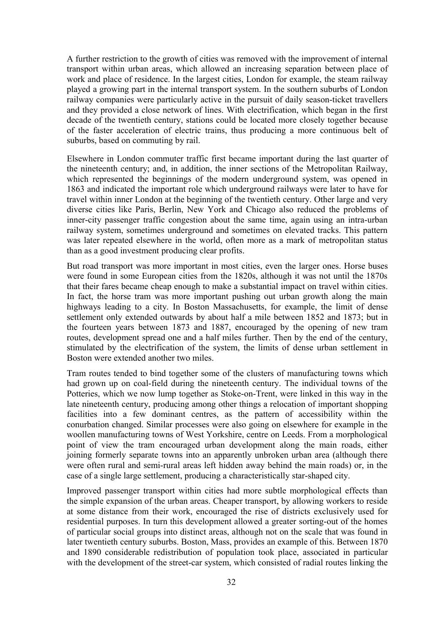A further restriction to the growth of cities was removed with the improvement of internal transport within urban areas, which allowed an increasing separation between place of work and place of residence. In the largest cities, London for example, the steam railway played a growing part in the internal transport system. In the southern suburbs of London railway companies were particularly active in the pursuit of daily season-ticket travellers and they provided a close network of lines. With electrification, which began in the first decade of the twentieth century, stations could be located more closely together because of the faster acceleration of electric trains, thus producing a more continuous belt of suburbs, based on commuting by rail.

Elsewhere in London commuter traffic first became important during the last quarter of the nineteenth century; and, in addition, the inner sections of the Metropolitan Railway, which represented the beginnings of the modern underground system, was opened in 1863 and indicated the important role which underground railways were later to have for travel within inner London at the beginning of the twentieth century. Other large and very diverse cities like Paris, Berlin, New York and Chicago also reduced the problems of inner-city passenger traffic congestion about the same time, again using an intra-urban railway system, sometimes underground and sometimes on elevated tracks. This pattern was later repeated elsewhere in the world, often more as a mark of metropolitan status than as a good investment producing clear profits.

But road transport was more important in most cities, even the larger ones. Horse buses were found in some European cities from the 1820s, although it was not until the 1870s that their fares became cheap enough to make a substantial impact on travel within cities. In fact, the horse tram was more important pushing out urban growth along the main highways leading to a city. In Boston Massachusetts, for example, the limit of dense settlement only extended outwards by about half a mile between 1852 and 1873; but in the fourteen years between 1873 and 1887, encouraged by the opening of new tram routes, development spread one and a half miles further. Then by the end of the century, stimulated by the electrification of the system, the limits of dense urban settlement in Boston were extended another two miles.

Tram routes tended to bind together some of the clusters of manufacturing towns which had grown up on coal-field during the nineteenth century. The individual towns of the Potteries, which we now lump together as Stoke-on-Trent, were linked in this way in the late nineteenth century, producing among other things a relocation of important shopping facilities into a few dominant centres, as the pattern of accessibility within the conurbation changed. Similar processes were also going on elsewhere for example in the woollen manufacturing towns of West Yorkshire, centre on Leeds. From a morphological point of view the tram encouraged urban development along the main roads, either joining formerly separate towns into an apparently unbroken urban area (although there were often rural and semi-rural areas left hidden away behind the main roads) or, in the case of a single large settlement, producing a characteristically star-shaped city.

Improved passenger transport within cities had more subtle morphological effects than the simple expansion of the urban areas. Cheaper transport, by allowing workers to reside at some distance from their work, encouraged the rise of districts exclusively used for residential purposes. In turn this development allowed a greater sorting-out of the homes of particular social groups into distinct areas, although not on the scale that was found in later twentieth century suburbs. Boston, Mass, provides an example of this. Between 1870 and 1890 considerable redistribution of population took place, associated in particular with the development of the street-car system, which consisted of radial routes linking the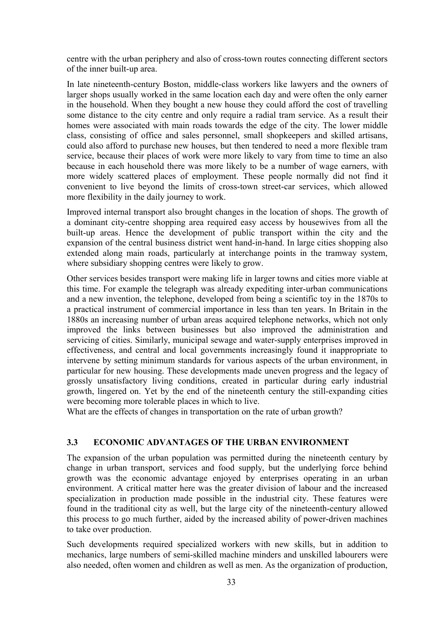centre with the urban periphery and also of cross-town routes connecting different sectors of the inner built-up area.

In late nineteenth-century Boston, middle-class workers like lawyers and the owners of larger shops usually worked in the same location each day and were often the only earner in the household. When they bought a new house they could afford the cost of travelling some distance to the city centre and only require a radial tram service. As a result their homes were associated with main roads towards the edge of the city. The lower middle class, consisting of office and sales personnel, small shopkeepers and skilled artisans, could also afford to purchase new houses, but then tendered to need a more flexible tram service, because their places of work were more likely to vary from time to time an also because in each household there was more likely to be a number of wage earners, with more widely scattered places of employment. These people normally did not find it convenient to live beyond the limits of cross-town street-car services, which allowed more flexibility in the daily journey to work.

Improved internal transport also brought changes in the location of shops. The growth of a dominant city-centre shopping area required easy access by housewives from all the built-up areas. Hence the development of public transport within the city and the expansion of the central business district went hand-in-hand. In large cities shopping also extended along main roads, particularly at interchange points in the tramway system, where subsidiary shopping centres were likely to grow.

Other services besides transport were making life in larger towns and cities more viable at this time. For example the telegraph was already expediting inter-urban communications and a new invention, the telephone, developed from being a scientific toy in the 1870s to a practical instrument of commercial importance in less than ten years. In Britain in the 1880s an increasing number of urban areas acquired telephone networks, which not only improved the links between businesses but also improved the administration and servicing of cities. Similarly, municipal sewage and water-supply enterprises improved in effectiveness, and central and local governments increasingly found it inappropriate to intervene by setting minimum standards for various aspects of the urban environment, in particular for new housing. These developments made uneven progress and the legacy of grossly unsatisfactory living conditions, created in particular during early industrial growth, lingered on. Yet by the end of the nineteenth century the still-expanding cities were becoming more tolerable places in which to live.

What are the effects of changes in transportation on the rate of urban growth?

# **3.3 ECONOMIC ADVANTAGES OF THE URBAN ENVIRONMENT**

The expansion of the urban population was permitted during the nineteenth century by change in urban transport, services and food supply, but the underlying force behind growth was the economic advantage enjoyed by enterprises operating in an urban environment. A critical matter here was the greater division of labour and the increased specialization in production made possible in the industrial city. These features were found in the traditional city as well, but the large city of the nineteenth-century allowed this process to go much further, aided by the increased ability of power-driven machines to take over production.

Such developments required specialized workers with new skills, but in addition to mechanics, large numbers of semi-skilled machine minders and unskilled labourers were also needed, often women and children as well as men. As the organization of production,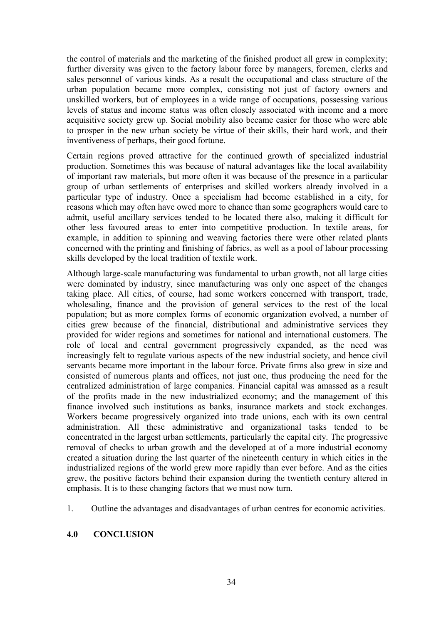the control of materials and the marketing of the finished product all grew in complexity; further diversity was given to the factory labour force by managers, foremen, clerks and sales personnel of various kinds. As a result the occupational and class structure of the urban population became more complex, consisting not just of factory owners and unskilled workers, but of employees in a wide range of occupations, possessing various levels of status and income status was often closely associated with income and a more acquisitive society grew up. Social mobility also became easier for those who were able to prosper in the new urban society be virtue of their skills, their hard work, and their inventiveness of perhaps, their good fortune.

Certain regions proved attractive for the continued growth of specialized industrial production. Sometimes this was because of natural advantages like the local availability of important raw materials, but more often it was because of the presence in a particular group of urban settlements of enterprises and skilled workers already involved in a particular type of industry. Once a specialism had become established in a city, for reasons which may often have owed more to chance than some geographers would care to admit, useful ancillary services tended to be located there also, making it difficult for other less favoured areas to enter into competitive production. In textile areas, for example, in addition to spinning and weaving factories there were other related plants concerned with the printing and finishing of fabrics, as well as a pool of labour processing skills developed by the local tradition of textile work.

Although large-scale manufacturing was fundamental to urban growth, not all large cities were dominated by industry, since manufacturing was only one aspect of the changes taking place. All cities, of course, had some workers concerned with transport, trade, wholesaling, finance and the provision of general services to the rest of the local population; but as more complex forms of economic organization evolved, a number of cities grew because of the financial, distributional and administrative services they provided for wider regions and sometimes for national and international customers. The role of local and central government progressively expanded, as the need was increasingly felt to regulate various aspects of the new industrial society, and hence civil servants became more important in the labour force. Private firms also grew in size and consisted of numerous plants and offices, not just one, thus producing the need for the centralized administration of large companies. Financial capital was amassed as a result of the profits made in the new industrialized economy; and the management of this finance involved such institutions as banks, insurance markets and stock exchanges. Workers became progressively organized into trade unions, each with its own central administration. All these administrative and organizational tasks tended to be concentrated in the largest urban settlements, particularly the capital city. The progressive removal of checks to urban growth and the developed at of a more industrial economy created a situation during the last quarter of the nineteenth century in which cities in the industrialized regions of the world grew more rapidly than ever before. And as the cities grew, the positive factors behind their expansion during the twentieth century altered in emphasis. It is to these changing factors that we must now turn.

1. Outline the advantages and disadvantages of urban centres for economic activities.

#### **4.0 CONCLUSION**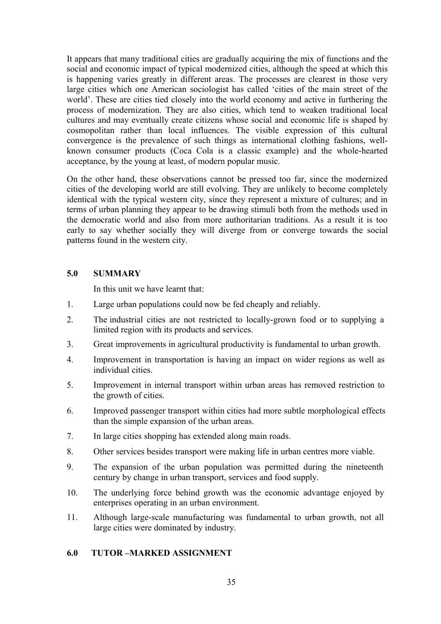It appears that many traditional cities are gradually acquiring the mix of functions and the social and economic impact of typical modernized cities, although the speed at which this is happening varies greatly in different areas. The processes are clearest in those very large cities which one American sociologist has called 'cities of the main street of the world'. These are cities tied closely into the world economy and active in furthering the process of modernization. They are also cities, which tend to weaken traditional local cultures and may eventually create citizens whose social and economic life is shaped by cosmopolitan rather than local influences. The visible expression of this cultural convergence is the prevalence of such things as international clothing fashions, wellknown consumer products (Coca Cola is a classic example) and the whole-hearted acceptance, by the young at least, of modern popular music.

On the other hand, these observations cannot be pressed too far, since the modernized cities of the developing world are still evolving. They are unlikely to become completely identical with the typical western city, since they represent a mixture of cultures; and in terms of urban planning they appear to be drawing stimuli both from the methods used in the democratic world and also from more authoritarian traditions. As a result it is too early to say whether socially they will diverge from or converge towards the social patterns found in the western city.

# **5.0 SUMMARY**

In this unit we have learnt that:

- 1. Large urban populations could now be fed cheaply and reliably.
- 2. The industrial cities are not restricted to locally-grown food or to supplying a limited region with its products and services.
- 3. Great improvements in agricultural productivity is fundamental to urban growth.
- 4. Improvement in transportation is having an impact on wider regions as well as individual cities.
- 5. Improvement in internal transport within urban areas has removed restriction to the growth of cities.
- 6. Improved passenger transport within cities had more subtle morphological effects than the simple expansion of the urban areas.
- 7. In large cities shopping has extended along main roads.
- 8. Other services besides transport were making life in urban centres more viable.
- 9. The expansion of the urban population was permitted during the nineteenth century by change in urban transport, services and food supply.
- 10. The underlying force behind growth was the economic advantage enjoyed by enterprises operating in an urban environment.
- 11. Although large-scale manufacturing was fundamental to urban growth, not all large cities were dominated by industry.

# **6.0 TUTOR –MARKED ASSIGNMENT**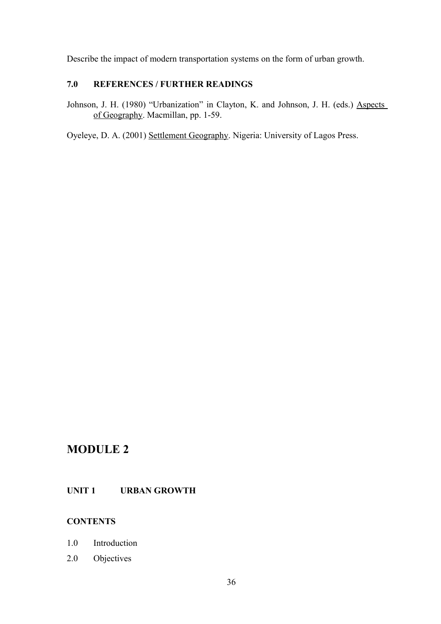Describe the impact of modern transportation systems on the form of urban growth.

# **7.0 REFERENCES / FURTHER READINGS**

Johnson, J. H. (1980) "Urbanization" in Clayton, K. and Johnson, J. H. (eds.) Aspects of Geography. Macmillan, pp. 1-59.

Oyeleye, D. A. (2001) Settlement Geography. Nigeria: University of Lagos Press.

# **MODULE 2**

# **UNIT 1 URBAN GROWTH**

# **CONTENTS**

- 1.0 Introduction
- 2.0 Objectives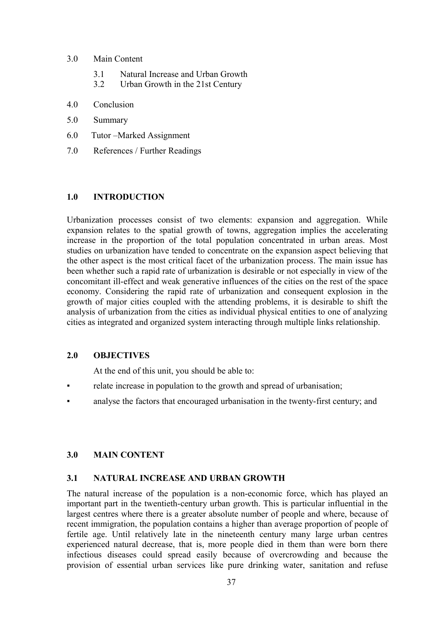#### 3.0 Main Content

- 3.1 Natural Increase and Urban Growth
- 3.2 Urban Growth in the 21st Century
- 4.0 Conclusion
- 5.0 Summary
- 6.0 Tutor –Marked Assignment
- 7.0 References / Further Readings

# **1.0 INTRODUCTION**

Urbanization processes consist of two elements: expansion and aggregation. While expansion relates to the spatial growth of towns, aggregation implies the accelerating increase in the proportion of the total population concentrated in urban areas. Most studies on urbanization have tended to concentrate on the expansion aspect believing that the other aspect is the most critical facet of the urbanization process. The main issue has been whether such a rapid rate of urbanization is desirable or not especially in view of the concomitant ill-effect and weak generative influences of the cities on the rest of the space economy. Considering the rapid rate of urbanization and consequent explosion in the growth of major cities coupled with the attending problems, it is desirable to shift the analysis of urbanization from the cities as individual physical entities to one of analyzing cities as integrated and organized system interacting through multiple links relationship.

# **2.0 OBJECTIVES**

At the end of this unit, you should be able to:

- relate increase in population to the growth and spread of urbanisation;
- analyse the factors that encouraged urbanisation in the twenty-first century; and

# **3.0 MAIN CONTENT**

#### **3.1 NATURAL INCREASE AND URBAN GROWTH**

The natural increase of the population is a non-economic force, which has played an important part in the twentieth-century urban growth. This is particular influential in the largest centres where there is a greater absolute number of people and where, because of recent immigration, the population contains a higher than average proportion of people of fertile age. Until relatively late in the nineteenth century many large urban centres experienced natural decrease, that is, more people died in them than were born there infectious diseases could spread easily because of overcrowding and because the provision of essential urban services like pure drinking water, sanitation and refuse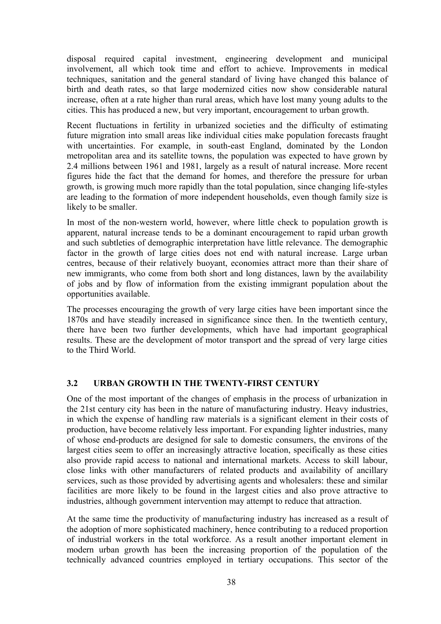disposal required capital investment, engineering development and municipal involvement, all which took time and effort to achieve. Improvements in medical techniques, sanitation and the general standard of living have changed this balance of birth and death rates, so that large modernized cities now show considerable natural increase, often at a rate higher than rural areas, which have lost many young adults to the cities. This has produced a new, but very important, encouragement to urban growth.

Recent fluctuations in fertility in urbanized societies and the difficulty of estimating future migration into small areas like individual cities make population forecasts fraught with uncertainties. For example, in south-east England, dominated by the London metropolitan area and its satellite towns, the population was expected to have grown by 2.4 millions between 1961 and 1981, largely as a result of natural increase. More recent figures hide the fact that the demand for homes, and therefore the pressure for urban growth, is growing much more rapidly than the total population, since changing life-styles are leading to the formation of more independent households, even though family size is likely to be smaller.

In most of the non-western world, however, where little check to population growth is apparent, natural increase tends to be a dominant encouragement to rapid urban growth and such subtleties of demographic interpretation have little relevance. The demographic factor in the growth of large cities does not end with natural increase. Large urban centres, because of their relatively buoyant, economies attract more than their share of new immigrants, who come from both short and long distances, lawn by the availability of jobs and by flow of information from the existing immigrant population about the opportunities available.

The processes encouraging the growth of very large cities have been important since the 1870s and have steadily increased in significance since then. In the twentieth century, there have been two further developments, which have had important geographical results. These are the development of motor transport and the spread of very large cities to the Third World.

#### **3.2 URBAN GROWTH IN THE TWENTY-FIRST CENTURY**

One of the most important of the changes of emphasis in the process of urbanization in the 21st century city has been in the nature of manufacturing industry. Heavy industries, in which the expense of handling raw materials is a significant element in their costs of production, have become relatively less important. For expanding lighter industries, many of whose end-products are designed for sale to domestic consumers, the environs of the largest cities seem to offer an increasingly attractive location, specifically as these cities also provide rapid access to national and international markets. Access to skill labour, close links with other manufacturers of related products and availability of ancillary services, such as those provided by advertising agents and wholesalers: these and similar facilities are more likely to be found in the largest cities and also prove attractive to industries, although government intervention may attempt to reduce that attraction.

At the same time the productivity of manufacturing industry has increased as a result of the adoption of more sophisticated machinery, hence contributing to a reduced proportion of industrial workers in the total workforce. As a result another important element in modern urban growth has been the increasing proportion of the population of the technically advanced countries employed in tertiary occupations. This sector of the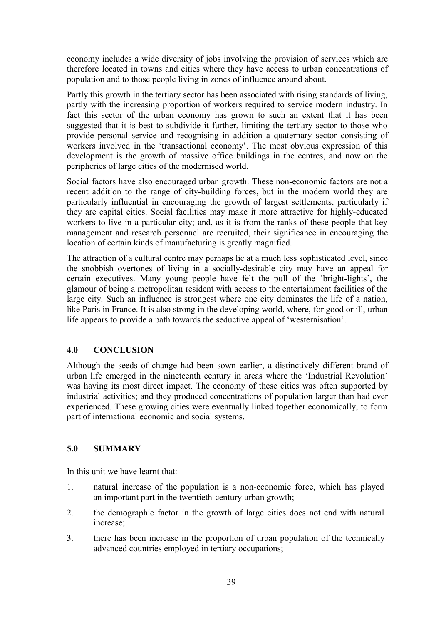economy includes a wide diversity of jobs involving the provision of services which are therefore located in towns and cities where they have access to urban concentrations of population and to those people living in zones of influence around about.

Partly this growth in the tertiary sector has been associated with rising standards of living, partly with the increasing proportion of workers required to service modern industry. In fact this sector of the urban economy has grown to such an extent that it has been suggested that it is best to subdivide it further, limiting the tertiary sector to those who provide personal service and recognising in addition a quaternary sector consisting of workers involved in the 'transactional economy'. The most obvious expression of this development is the growth of massive office buildings in the centres, and now on the peripheries of large cities of the modernised world.

Social factors have also encouraged urban growth. These non-economic factors are not a recent addition to the range of city-building forces, but in the modern world they are particularly influential in encouraging the growth of largest settlements, particularly if they are capital cities. Social facilities may make it more attractive for highly-educated workers to live in a particular city; and, as it is from the ranks of these people that key management and research personnel are recruited, their significance in encouraging the location of certain kinds of manufacturing is greatly magnified.

The attraction of a cultural centre may perhaps lie at a much less sophisticated level, since the snobbish overtones of living in a socially-desirable city may have an appeal for certain executives. Many young people have felt the pull of the 'bright-lights', the glamour of being a metropolitan resident with access to the entertainment facilities of the large city. Such an influence is strongest where one city dominates the life of a nation, like Paris in France. It is also strong in the developing world, where, for good or ill, urban life appears to provide a path towards the seductive appeal of 'westernisation'.

# **4.0 CONCLUSION**

Although the seeds of change had been sown earlier, a distinctively different brand of urban life emerged in the nineteenth century in areas where the 'Industrial Revolution' was having its most direct impact. The economy of these cities was often supported by industrial activities; and they produced concentrations of population larger than had ever experienced. These growing cities were eventually linked together economically, to form part of international economic and social systems.

# **5.0 SUMMARY**

In this unit we have learnt that:

- 1. natural increase of the population is a non-economic force, which has played an important part in the twentieth-century urban growth;
- 2. the demographic factor in the growth of large cities does not end with natural increase;
- 3. there has been increase in the proportion of urban population of the technically advanced countries employed in tertiary occupations;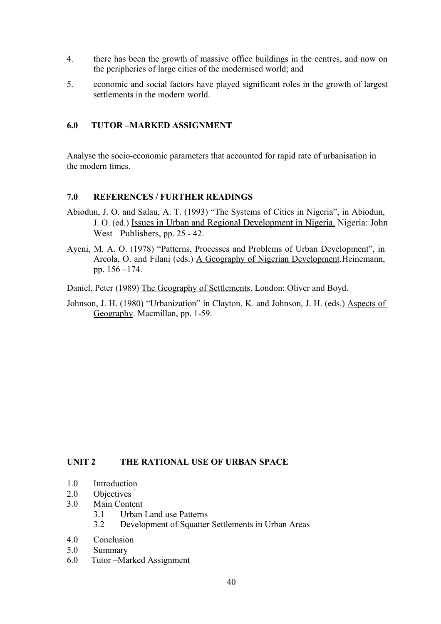- 4. there has been the growth of massive office buildings in the centres, and now on the peripheries of large cities of the modernised world; and
- 5. economic and social factors have played significant roles in the growth of largest settlements in the modern world.

# **6.0 TUTOR –MARKED ASSIGNMENT**

Analyse the socio-economic parameters that accounted for rapid rate of urbanisation in the modern times.

# **7.0 REFERENCES / FURTHER READINGS**

- Abiodun, J. O. and Salau, A. T. (1993) "The Systems of Cities in Nigeria", in Abiodun, J. O. (ed.) Issues in Urban and Regional Development in Nigeria. Nigeria: John West Publishers, pp. 25 - 42.
- Ayeni, M. A. O. (1978) "Patterns, Processes and Problems of Urban Development", in Areola, O. and Filani (eds.) A Geography of Nigerian Development.Heinemann, pp. 156 –174.

Daniel, Peter (1989) The Geography of Settlements. London: Oliver and Boyd.

Johnson, J. H. (1980) "Urbanization" in Clayton, K. and Johnson, J. H. (eds.) Aspects of Geography. Macmillan, pp. 1-59.

# **UNIT 2 THE RATIONAL USE OF URBAN SPACE**

- 1.0 Introduction
- 2.0 Objectives
- 3.0 Main Content
	- 3.1 Urban Land use Patterns
	- 3.2 Development of Squatter Settlements in Urban Areas
- 4.0 Conclusion
- 5.0 Summary
- 6.0 Tutor –Marked Assignment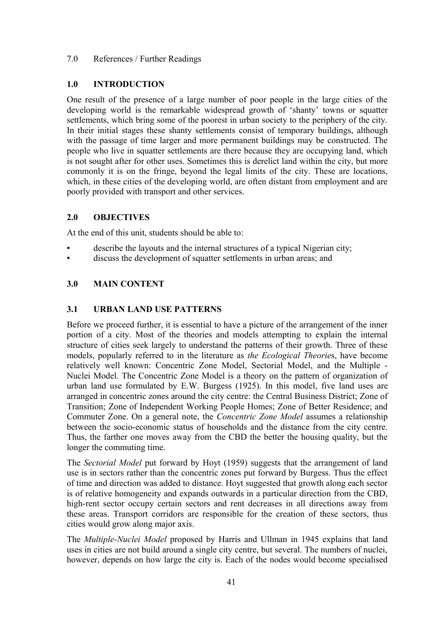# 7.0 References / Further Readings

# **1.0 INTRODUCTION**

One result of the presence of a large number of poor people in the large cities of the developing world is the remarkable widespread growth of 'shanty' towns or squatter settlements, which bring some of the poorest in urban society to the periphery of the city. In their initial stages these shanty settlements consist of temporary buildings, although with the passage of time larger and more permanent buildings may be constructed. The people who live in squatter settlements are there because they are occupying land, which is not sought after for other uses. Sometimes this is derelict land within the city, but more commonly it is on the fringe, beyond the legal limits of the city. These are locations, which, in these cities of the developing world, are often distant from employment and are poorly provided with transport and other services.

# **2.0 OBJECTIVES**

At the end of this unit, students should be able to:

- describe the layouts and the internal structures of a typical Nigerian city;
- discuss the development of squatter settlements in urban areas; and

# **3.0 MAIN CONTENT**

# **3.1 URBAN LAND USE PATTERNS**

Before we proceed further, it is essential to have a picture of the arrangement of the inner portion of a city. Most of the theories and models attempting to explain the internal structure of cities seek largely to understand the patterns of their growth. Three of these models, popularly referred to in the literature as *the Ecological Theorie*s, have become relatively well known: Concentric Zone Model, Sectorial Model, and the Multiple - Nuclei Model. The Concentric Zone Model is a theory on the pattern of organization of urban land use formulated by E.W. Burgess (1925). In this model, five land uses are arranged in concentric zones around the city centre: the Central Business District; Zone of Transition; Zone of Independent Working People Homes; Zone of Better Residence; and Commuter Zone. On a general note, the *Concentric Zone Model* assumes a relationship between the socio-economic status of households and the distance from the city centre. Thus, the farther one moves away from the CBD the better the housing quality, but the longer the commuting time.

The *Sectorial Model* put forward by Hoyt (1959) suggests that the arrangement of land use is in sectors rather than the concentric zones put forward by Burgess. Thus the effect of time and direction was added to distance. Hoyt suggested that growth along each sector is of relative homogeneity and expands outwards in a particular direction from the CBD, high-rent sector occupy certain sectors and rent decreases in all directions away from these areas. Transport corridors are responsible for the creation of these sectors, thus cities would grow along major axis.

The *Multiple-Nuclei Model* proposed by Harris and Ullman in 1945 explains that land uses in cities are not build around a single city centre, but several. The numbers of nuclei, however, depends on how large the city is. Each of the nodes would become specialised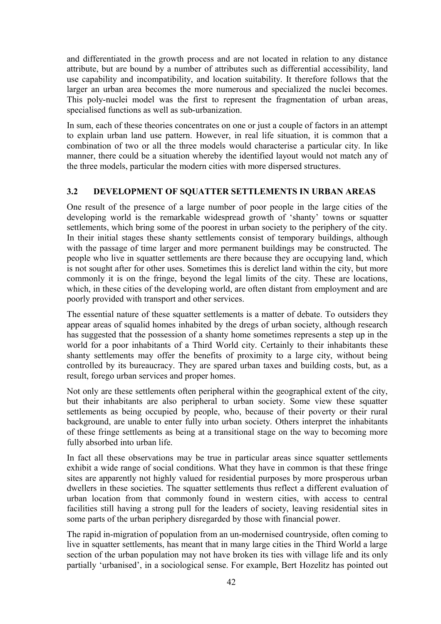and differentiated in the growth process and are not located in relation to any distance attribute, but are bound by a number of attributes such as differential accessibility, land use capability and incompatibility, and location suitability. It therefore follows that the larger an urban area becomes the more numerous and specialized the nuclei becomes. This poly-nuclei model was the first to represent the fragmentation of urban areas, specialised functions as well as sub-urbanization.

In sum, each of these theories concentrates on one or just a couple of factors in an attempt to explain urban land use pattern. However, in real life situation, it is common that a combination of two or all the three models would characterise a particular city. In like manner, there could be a situation whereby the identified layout would not match any of the three models, particular the modern cities with more dispersed structures.

#### **3.2 DEVELOPMENT OF SQUATTER SETTLEMENTS IN URBAN AREAS**

One result of the presence of a large number of poor people in the large cities of the developing world is the remarkable widespread growth of 'shanty' towns or squatter settlements, which bring some of the poorest in urban society to the periphery of the city. In their initial stages these shanty settlements consist of temporary buildings, although with the passage of time larger and more permanent buildings may be constructed. The people who live in squatter settlements are there because they are occupying land, which is not sought after for other uses. Sometimes this is derelict land within the city, but more commonly it is on the fringe, beyond the legal limits of the city. These are locations, which, in these cities of the developing world, are often distant from employment and are poorly provided with transport and other services.

The essential nature of these squatter settlements is a matter of debate. To outsiders they appear areas of squalid homes inhabited by the dregs of urban society, although research has suggested that the possession of a shanty home sometimes represents a step up in the world for a poor inhabitants of a Third World city. Certainly to their inhabitants these shanty settlements may offer the benefits of proximity to a large city, without being controlled by its bureaucracy. They are spared urban taxes and building costs, but, as a result, forego urban services and proper homes.

Not only are these settlements often peripheral within the geographical extent of the city, but their inhabitants are also peripheral to urban society. Some view these squatter settlements as being occupied by people, who, because of their poverty or their rural background, are unable to enter fully into urban society. Others interpret the inhabitants of these fringe settlements as being at a transitional stage on the way to becoming more fully absorbed into urban life.

In fact all these observations may be true in particular areas since squatter settlements exhibit a wide range of social conditions. What they have in common is that these fringe sites are apparently not highly valued for residential purposes by more prosperous urban dwellers in these societies. The squatter settlements thus reflect a different evaluation of urban location from that commonly found in western cities, with access to central facilities still having a strong pull for the leaders of society, leaving residential sites in some parts of the urban periphery disregarded by those with financial power.

The rapid in-migration of population from an un-modernised countryside, often coming to live in squatter settlements, has meant that in many large cities in the Third World a large section of the urban population may not have broken its ties with village life and its only partially 'urbanised', in a sociological sense. For example, Bert Hozelitz has pointed out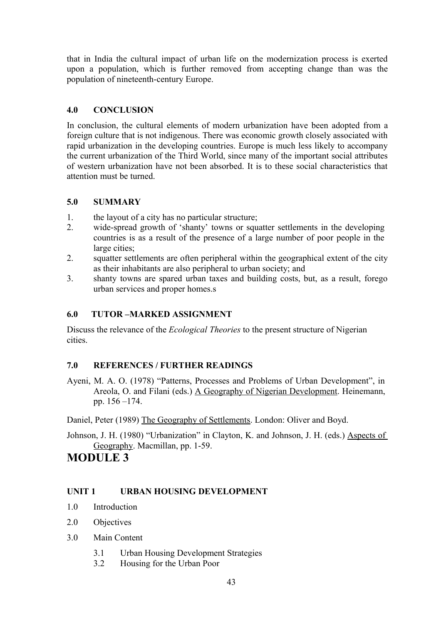that in India the cultural impact of urban life on the modernization process is exerted upon a population, which is further removed from accepting change than was the population of nineteenth-century Europe.

# **4.0 CONCLUSION**

In conclusion, the cultural elements of modern urbanization have been adopted from a foreign culture that is not indigenous. There was economic growth closely associated with rapid urbanization in the developing countries. Europe is much less likely to accompany the current urbanization of the Third World, since many of the important social attributes of western urbanization have not been absorbed. It is to these social characteristics that attention must be turned.

# **5.0 SUMMARY**

- 1. the layout of a city has no particular structure;
- 2. wide-spread growth of 'shanty' towns or squatter settlements in the developing countries is as a result of the presence of a large number of poor people in the large cities;
- 2. squatter settlements are often peripheral within the geographical extent of the city as their inhabitants are also peripheral to urban society; and
- 3. shanty towns are spared urban taxes and building costs, but, as a result, forego urban services and proper homes.s

# **6.0 TUTOR –MARKED ASSIGNMENT**

Discuss the relevance of the *Ecological Theories* to the present structure of Nigerian cities.

# **7.0 REFERENCES / FURTHER READINGS**

Ayeni, M. A. O. (1978) "Patterns, Processes and Problems of Urban Development", in Areola, O. and Filani (eds.) A Geography of Nigerian Development. Heinemann, pp. 156 –174.

Daniel, Peter (1989) The Geography of Settlements. London: Oliver and Boyd.

Johnson, J. H. (1980) "Urbanization" in Clayton, K. and Johnson, J. H. (eds.) Aspects of Geography. Macmillan, pp. 1-59.

# **MODULE 3**

# **UNIT 1 URBAN HOUSING DEVELOPMENT**

- 1.0 Introduction
- 2.0 Objectives
- 3.0 Main Content
	- 3.1 Urban Housing Development Strategies
	- 3.2 Housing for the Urban Poor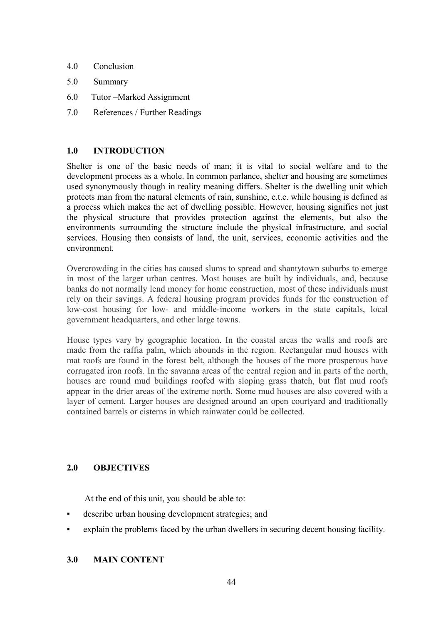- 4.0 Conclusion
- 5.0 Summary
- 6.0 Tutor –Marked Assignment
- 7.0 References / Further Readings

#### **1.0 INTRODUCTION**

Shelter is one of the basic needs of man; it is vital to social welfare and to the development process as a whole. In common parlance, shelter and housing are sometimes used synonymously though in reality meaning differs. Shelter is the dwelling unit which protects man from the natural elements of rain, sunshine, e.t.c. while housing is defined as a process which makes the act of dwelling possible. However, housing signifies not just the physical structure that provides protection against the elements, but also the environments surrounding the structure include the physical infrastructure, and social services. Housing then consists of land, the unit, services, economic activities and the environment.

Overcrowding in the cities has caused slums to spread and shantytown suburbs to emerge in most of the larger urban centres. Most houses are built by individuals, and, because banks do not normally lend money for home construction, most of these individuals must rely on their savings. A federal housing program provides funds for the construction of low-cost housing for low- and middle-income workers in the state capitals, local government headquarters, and other large towns.

House types vary by geographic location. In the coastal areas the walls and roofs are made from the raffia palm, which abounds in the region. Rectangular mud houses with mat roofs are found in the forest belt, although the houses of the more prosperous have corrugated iron roofs. In the savanna areas of the central region and in parts of the north, houses are round mud buildings roofed with sloping grass thatch, but flat mud roofs appear in the drier areas of the extreme north. Some mud houses are also covered with a layer of cement. Larger houses are designed around an open courtyard and traditionally contained barrels or cisterns in which rainwater could be collected.

# **2.0 OBJECTIVES**

At the end of this unit, you should be able to:

- describe urban housing development strategies; and
- explain the problems faced by the urban dwellers in securing decent housing facility.

# **3.0 MAIN CONTENT**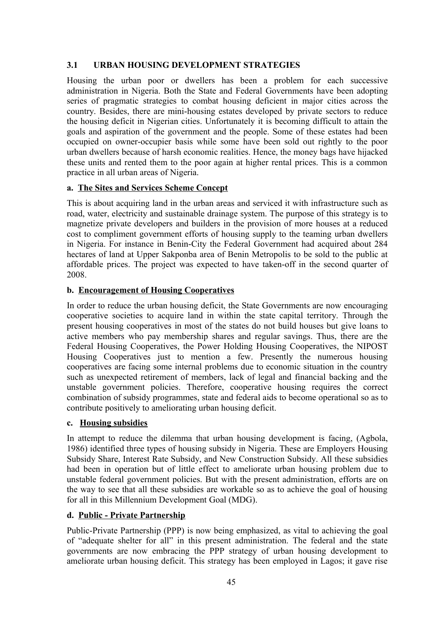# **3.1 URBAN HOUSING DEVELOPMENT STRATEGIES**

Housing the urban poor or dwellers has been a problem for each successive administration in Nigeria. Both the State and Federal Governments have been adopting series of pragmatic strategies to combat housing deficient in major cities across the country. Besides, there are mini-housing estates developed by private sectors to reduce the housing deficit in Nigerian cities. Unfortunately it is becoming difficult to attain the goals and aspiration of the government and the people. Some of these estates had been occupied on owner-occupier basis while some have been sold out rightly to the poor urban dwellers because of harsh economic realities. Hence, the money bags have hijacked these units and rented them to the poor again at higher rental prices. This is a common practice in all urban areas of Nigeria.

#### **a. The Sites and Services Scheme Concept**

This is about acquiring land in the urban areas and serviced it with infrastructure such as road, water, electricity and sustainable drainage system. The purpose of this strategy is to magnetize private developers and builders in the provision of more houses at a reduced cost to compliment government efforts of housing supply to the teaming urban dwellers in Nigeria. For instance in Benin-City the Federal Government had acquired about 284 hectares of land at Upper Sakponba area of Benin Metropolis to be sold to the public at affordable prices. The project was expected to have taken-off in the second quarter of 2008.

#### **b. Encouragement of Housing Cooperatives**

In order to reduce the urban housing deficit, the State Governments are now encouraging cooperative societies to acquire land in within the state capital territory. Through the present housing cooperatives in most of the states do not build houses but give loans to active members who pay membership shares and regular savings. Thus, there are the Federal Housing Cooperatives, the Power Holding Housing Cooperatives, the NIPOST Housing Cooperatives just to mention a few. Presently the numerous housing cooperatives are facing some internal problems due to economic situation in the country such as unexpected retirement of members, lack of legal and financial backing and the unstable government policies. Therefore, cooperative housing requires the correct combination of subsidy programmes, state and federal aids to become operational so as to contribute positively to ameliorating urban housing deficit.

#### **c. Housing subsidies**

In attempt to reduce the dilemma that urban housing development is facing, (Agbola, 1986) identified three types of housing subsidy in Nigeria. These are Employers Housing Subsidy Share, Interest Rate Subsidy, and New Construction Subsidy. All these subsidies had been in operation but of little effect to ameliorate urban housing problem due to unstable federal government policies. But with the present administration, efforts are on the way to see that all these subsidies are workable so as to achieve the goal of housing for all in this Millennium Development Goal (MDG).

# **d. Public - Private Partnership**

Public-Private Partnership (PPP) is now being emphasized, as vital to achieving the goal of "adequate shelter for all" in this present administration. The federal and the state governments are now embracing the PPP strategy of urban housing development to ameliorate urban housing deficit. This strategy has been employed in Lagos; it gave rise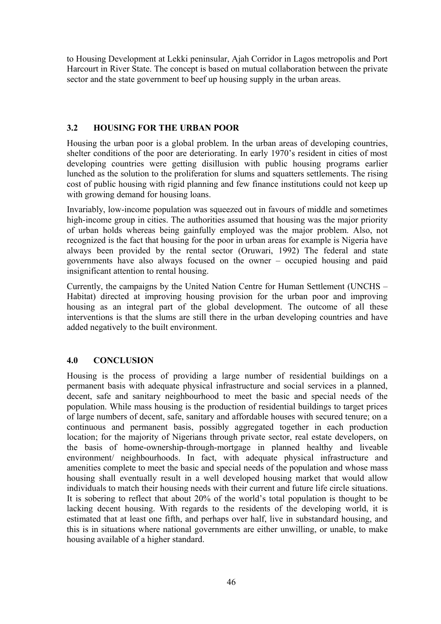to Housing Development at Lekki peninsular, Ajah Corridor in Lagos metropolis and Port Harcourt in River State. The concept is based on mutual collaboration between the private sector and the state government to beef up housing supply in the urban areas.

# **3.2 HOUSING FOR THE URBAN POOR**

Housing the urban poor is a global problem. In the urban areas of developing countries, shelter conditions of the poor are deteriorating. In early 1970's resident in cities of most developing countries were getting disillusion with public housing programs earlier lunched as the solution to the proliferation for slums and squatters settlements. The rising cost of public housing with rigid planning and few finance institutions could not keep up with growing demand for housing loans.

Invariably, low-income population was squeezed out in favours of middle and sometimes high-income group in cities. The authorities assumed that housing was the major priority of urban holds whereas being gainfully employed was the major problem. Also, not recognized is the fact that housing for the poor in urban areas for example is Nigeria have always been provided by the rental sector (Oruwari, 1992) The federal and state governments have also always focused on the owner – occupied housing and paid insignificant attention to rental housing.

Currently, the campaigns by the United Nation Centre for Human Settlement (UNCHS – Habitat) directed at improving housing provision for the urban poor and improving housing as an integral part of the global development. The outcome of all these interventions is that the slums are still there in the urban developing countries and have added negatively to the built environment.

# **4.0 CONCLUSION**

Housing is the process of providing a large number of residential buildings on a permanent basis with adequate physical infrastructure and social services in a planned, decent, safe and sanitary neighbourhood to meet the basic and special needs of the population. While mass housing is the production of residential buildings to target prices of large numbers of decent, safe, sanitary and affordable houses with secured tenure; on a continuous and permanent basis, possibly aggregated together in each production location; for the majority of Nigerians through private sector, real estate developers, on the basis of home-ownership-through-mortgage in planned healthy and liveable environment/ neighbourhoods. In fact, with adequate physical infrastructure and amenities complete to meet the basic and special needs of the population and whose mass housing shall eventually result in a well developed housing market that would allow individuals to match their housing needs with their current and future life circle situations. It is sobering to reflect that about 20% of the world's total population is thought to be lacking decent housing. With regards to the residents of the developing world, it is estimated that at least one fifth, and perhaps over half, live in substandard housing, and this is in situations where national governments are either unwilling, or unable, to make housing available of a higher standard.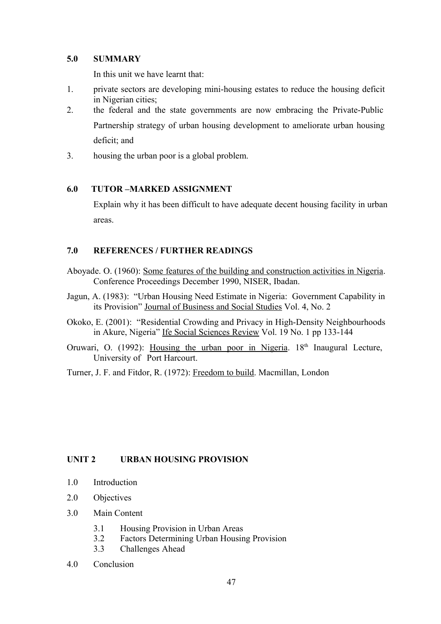#### **5.0 SUMMARY**

In this unit we have learnt that:

- 1. private sectors are developing mini-housing estates to reduce the housing deficit in Nigerian cities;
- 2. the federal and the state governments are now embracing the Private-Public Partnership strategy of urban housing development to ameliorate urban housing deficit; and
- 3. housing the urban poor is a global problem.

#### **6.0 TUTOR –MARKED ASSIGNMENT**

Explain why it has been difficult to have adequate decent housing facility in urban areas.

#### **7.0 REFERENCES / FURTHER READINGS**

- Aboyade. O. (1960): Some features of the building and construction activities in Nigeria. Conference Proceedings December 1990, NISER, Ibadan.
- Jagun, A. (1983): "Urban Housing Need Estimate in Nigeria: Government Capability in its Provision" Journal of Business and Social Studies Vol. 4, No. 2
- Okoko, E. (2001): "Residential Crowding and Privacy in High-Density Neighbourhoods in Akure, Nigeria" Ife Social Sciences Review Vol. 19 No. 1 pp 133-144
- Oruwari, O. (1992): Housing the urban poor in Nigeria.  $18<sup>th</sup>$  Inaugural Lecture, University of Port Harcourt.
- Turner, J. F. and Fitdor, R. (1972): Freedom to build. Macmillan, London

# **UNIT 2 URBAN HOUSING PROVISION**

- 1.0 Introduction
- 2.0 Objectives
- 3.0 Main Content
	- 3.1 Housing Provision in Urban Areas
	- 3.2 Factors Determining Urban Housing Provision
	- 3.3 Challenges Ahead
- 4.0 Conclusion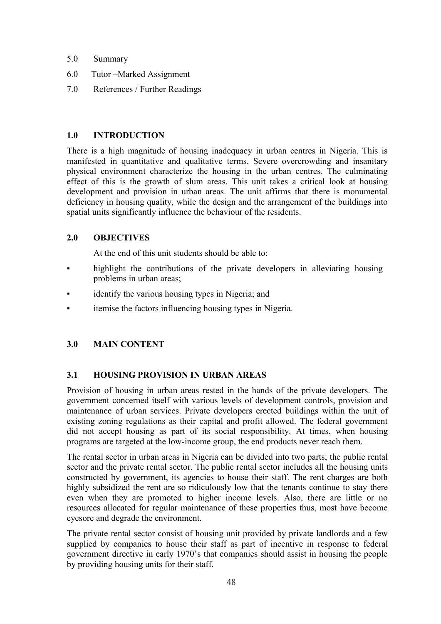- 5.0 Summary
- 6.0 Tutor –Marked Assignment
- 7.0 References / Further Readings

# **1.0 INTRODUCTION**

There is a high magnitude of housing inadequacy in urban centres in Nigeria. This is manifested in quantitative and qualitative terms. Severe overcrowding and insanitary physical environment characterize the housing in the urban centres. The culminating effect of this is the growth of slum areas. This unit takes a critical look at housing development and provision in urban areas. The unit affirms that there is monumental deficiency in housing quality, while the design and the arrangement of the buildings into spatial units significantly influence the behaviour of the residents.

# **2.0 OBJECTIVES**

At the end of this unit students should be able to:

- highlight the contributions of the private developers in alleviating housing problems in urban areas;
- identify the various housing types in Nigeria; and
- itemise the factors influencing housing types in Nigeria.

# **3.0 MAIN CONTENT**

# **3.1 HOUSING PROVISION IN URBAN AREAS**

Provision of housing in urban areas rested in the hands of the private developers. The government concerned itself with various levels of development controls, provision and maintenance of urban services. Private developers erected buildings within the unit of existing zoning regulations as their capital and profit allowed. The federal government did not accept housing as part of its social responsibility. At times, when housing programs are targeted at the low-income group, the end products never reach them.

The rental sector in urban areas in Nigeria can be divided into two parts; the public rental sector and the private rental sector. The public rental sector includes all the housing units constructed by government, its agencies to house their staff. The rent charges are both highly subsidized the rent are so ridiculously low that the tenants continue to stay there even when they are promoted to higher income levels. Also, there are little or no resources allocated for regular maintenance of these properties thus, most have become eyesore and degrade the environment.

The private rental sector consist of housing unit provided by private landlords and a few supplied by companies to house their staff as part of incentive in response to federal government directive in early 1970's that companies should assist in housing the people by providing housing units for their staff.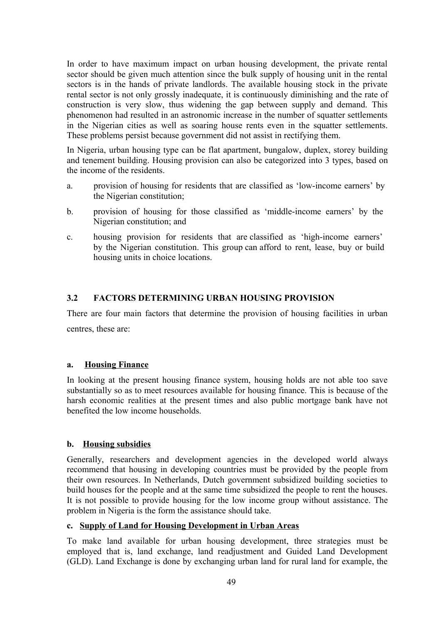In order to have maximum impact on urban housing development, the private rental sector should be given much attention since the bulk supply of housing unit in the rental sectors is in the hands of private landlords. The available housing stock in the private rental sector is not only grossly inadequate, it is continuously diminishing and the rate of construction is very slow, thus widening the gap between supply and demand. This phenomenon had resulted in an astronomic increase in the number of squatter settlements in the Nigerian cities as well as soaring house rents even in the squatter settlements. These problems persist because government did not assist in rectifying them.

In Nigeria, urban housing type can be flat apartment, bungalow, duplex, storey building and tenement building. Housing provision can also be categorized into 3 types, based on the income of the residents.

- a. provision of housing for residents that are classified as 'low-income earners' by the Nigerian constitution;
- b. provision of housing for those classified as 'middle-income earners' by the Nigerian constitution; and
- c. housing provision for residents that are classified as 'high-income earners' by the Nigerian constitution. This group can afford to rent, lease, buy or build housing units in choice locations.

#### **3.2 FACTORS DETERMINING URBAN HOUSING PROVISION**

There are four main factors that determine the provision of housing facilities in urban centres, these are:

#### **a. Housing Finance**

In looking at the present housing finance system, housing holds are not able too save substantially so as to meet resources available for housing finance. This is because of the harsh economic realities at the present times and also public mortgage bank have not benefited the low income households.

#### **b. Housing subsidies**

Generally, researchers and development agencies in the developed world always recommend that housing in developing countries must be provided by the people from their own resources. In Netherlands, Dutch government subsidized building societies to build houses for the people and at the same time subsidized the people to rent the houses. It is not possible to provide housing for the low income group without assistance. The problem in Nigeria is the form the assistance should take.

#### **c. Supply of Land for Housing Development in Urban Areas**

To make land available for urban housing development, three strategies must be employed that is, land exchange, land readjustment and Guided Land Development (GLD). Land Exchange is done by exchanging urban land for rural land for example, the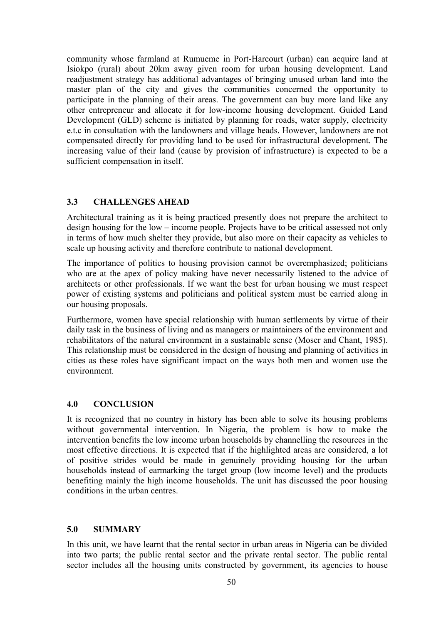community whose farmland at Rumueme in Port-Harcourt (urban) can acquire land at Isiokpo (rural) about 20km away given room for urban housing development. Land readjustment strategy has additional advantages of bringing unused urban land into the master plan of the city and gives the communities concerned the opportunity to participate in the planning of their areas. The government can buy more land like any other entrepreneur and allocate it for low-income housing development. Guided Land Development (GLD) scheme is initiated by planning for roads, water supply, electricity e.t.c in consultation with the landowners and village heads. However, landowners are not compensated directly for providing land to be used for infrastructural development. The increasing value of their land (cause by provision of infrastructure) is expected to be a sufficient compensation in itself.

#### **3.3 CHALLENGES AHEAD**

Architectural training as it is being practiced presently does not prepare the architect to design housing for the low – income people. Projects have to be critical assessed not only in terms of how much shelter they provide, but also more on their capacity as vehicles to scale up housing activity and therefore contribute to national development.

The importance of politics to housing provision cannot be overemphasized; politicians who are at the apex of policy making have never necessarily listened to the advice of architects or other professionals. If we want the best for urban housing we must respect power of existing systems and politicians and political system must be carried along in our housing proposals.

Furthermore, women have special relationship with human settlements by virtue of their daily task in the business of living and as managers or maintainers of the environment and rehabilitators of the natural environment in a sustainable sense (Moser and Chant, 1985). This relationship must be considered in the design of housing and planning of activities in cities as these roles have significant impact on the ways both men and women use the environment.

#### **4.0 CONCLUSION**

It is recognized that no country in history has been able to solve its housing problems without governmental intervention. In Nigeria, the problem is how to make the intervention benefits the low income urban households by channelling the resources in the most effective directions. It is expected that if the highlighted areas are considered, a lot of positive strides would be made in genuinely providing housing for the urban households instead of earmarking the target group (low income level) and the products benefiting mainly the high income households. The unit has discussed the poor housing conditions in the urban centres.

#### **5.0 SUMMARY**

In this unit, we have learnt that the rental sector in urban areas in Nigeria can be divided into two parts; the public rental sector and the private rental sector. The public rental sector includes all the housing units constructed by government, its agencies to house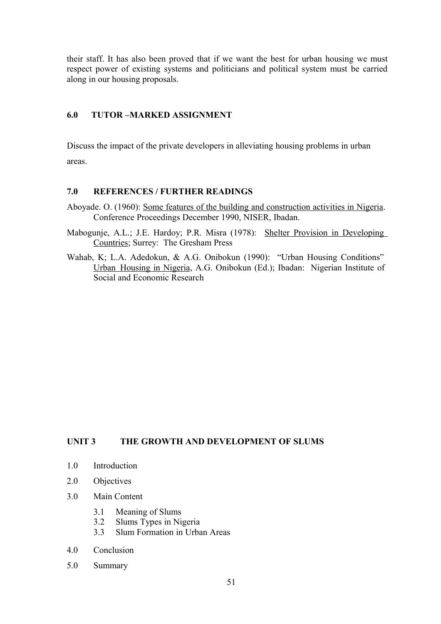their staff. It has also been proved that if we want the best for urban housing we must respect power of existing systems and politicians and political system must be carried along in our housing proposals.

# **6.0 TUTOR –MARKED ASSIGNMENT**

Discuss the impact of the private developers in alleviating housing problems in urban areas.

# **7.0 REFERENCES / FURTHER READINGS**

- Aboyade. O. (1960): Some features of the building and construction activities in Nigeria. Conference Proceedings December 1990, NISER, Ibadan.
- Mabogunje, A.L.; J.E. Hardoy; P.R. Misra (1978): Shelter Provision in Developing Countries; Surrey: The Gresham Press
- Wahab, K; L.A. Adedokun, & A.G. Onibokun (1990): "Urban Housing Conditions" Urban Housing in Nigeria, A.G. Onibokun (Ed.); Ibadan: Nigerian Institute of Social and Economic Research

# **UNIT 3 THE GROWTH AND DEVELOPMENT OF SLUMS**

- 1.0 Introduction
- 2.0 Objectives
- 3.0 Main Content
	- 3.1 Meaning of Slums
	- 3.2 Slums Types in Nigeria
	- 3.3 Slum Formation in Urban Areas
- 4.0 Conclusion
- 5.0 Summary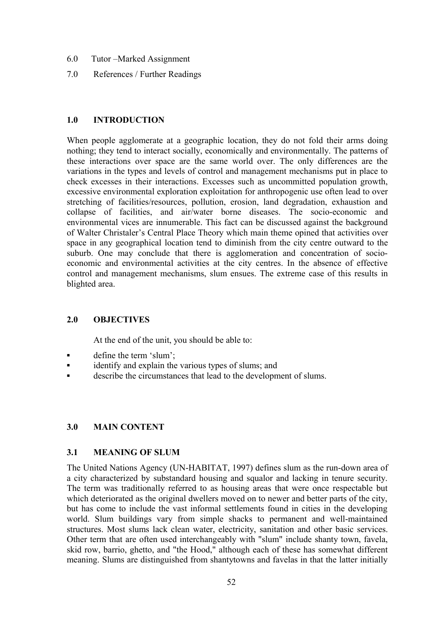- 6.0 Tutor –Marked Assignment
- 7.0 References / Further Readings

# **1.0 INTRODUCTION**

When people agglomerate at a geographic location, they do not fold their arms doing nothing; they tend to interact socially, economically and environmentally. The patterns of these interactions over space are the same world over. The only differences are the variations in the types and levels of control and management mechanisms put in place to check excesses in their interactions. Excesses such as uncommitted population growth, excessive environmental exploration exploitation for anthropogenic use often lead to over stretching of facilities/resources, pollution, erosion, land degradation, exhaustion and collapse of facilities, and air/water borne diseases. The socio-economic and environmental vices are innumerable. This fact can be discussed against the background of Walter Christaler's Central Place Theory which main theme opined that activities over space in any geographical location tend to diminish from the city centre outward to the suburb. One may conclude that there is agglomeration and concentration of socioeconomic and environmental activities at the city centres. In the absence of effective control and management mechanisms, slum ensues. The extreme case of this results in blighted area.

# **2.0 OBJECTIVES**

At the end of the unit, you should be able to:

- **•** define the term 'slum';
- **•** identify and explain the various types of slums; and
- **•** describe the circumstances that lead to the development of slums.

# **3.0 MAIN CONTENT**

# **3.1 MEANING OF SLUM**

The United Nations Agency (UN-HABITAT, 1997) defines slum as the run-down area of a city characterized by substandard housing and squalor and lacking in tenure security. The term was traditionally referred to as housing areas that were once respectable but which deteriorated as the original dwellers moved on to newer and better parts of the city, but has come to include the vast informal settlements found in cities in the developing world. Slum buildings vary from simple shacks to permanent and well-maintained structures. Most slums lack clean water, electricity, sanitation and other basic services. Other term that are often used interchangeably with "slum" include shanty town, favela, skid row, barrio, ghetto, and "the Hood," although each of these has somewhat different meaning. Slums are distinguished from shantytowns and favelas in that the latter initially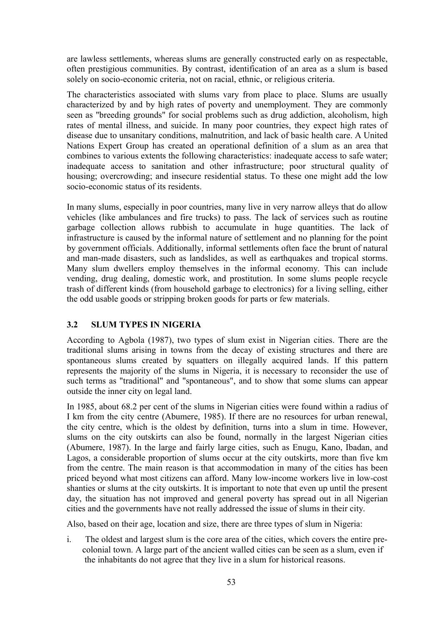are lawless settlements, whereas slums are generally constructed early on as respectable, often prestigious communities. By contrast, identification of an area as a slum is based solely on socio-economic criteria, not on racial, ethnic, or religious criteria.

The characteristics associated with slums vary from place to place. Slums are usually characterized by and by high rates of poverty and unemployment. They are commonly seen as "breeding grounds" for social problems such as drug addiction, alcoholism, high rates of mental illness, and suicide. In many poor countries, they expect high rates of disease due to unsanitary conditions, malnutrition, and lack of basic health care. A United Nations Expert Group has created an operational definition of a slum as an area that combines to various extents the following characteristics: inadequate access to safe water; inadequate access to sanitation and other infrastructure; poor structural quality of housing; overcrowding; and insecure residential status. To these one might add the low socio-economic status of its residents.

In many slums, especially in poor countries, many live in very narrow alleys that do allow vehicles (like ambulances and fire trucks) to pass. The lack of services such as routine garbage collection allows rubbish to accumulate in huge quantities. The lack of infrastructure is caused by the informal nature of settlement and no planning for the point by government officials. Additionally, informal settlements often face the brunt of natural and man-made disasters, such as landslides, as well as earthquakes and tropical storms. Many slum dwellers employ themselves in the informal economy. This can include vending, drug dealing, domestic work, and prostitution. In some slums people recycle trash of different kinds (from household garbage to electronics) for a living selling, either the odd usable goods or stripping broken goods for parts or few materials.

# **3.2 SLUM TYPES IN NIGERIA**

According to Agbola (1987), two types of slum exist in Nigerian cities. There are the traditional slums arising in towns from the decay of existing structures and there are spontaneous slums created by squatters on illegally acquired lands. If this pattern represents the majority of the slums in Nigeria, it is necessary to reconsider the use of such terms as "traditional" and "spontaneous", and to show that some slums can appear outside the inner city on legal land.

In 1985, about 68.2 per cent of the slums in Nigerian cities were found within a radius of I km from the city centre (Abumere, 1985). If there are no resources for urban renewal, the city centre, which is the oldest by definition, turns into a slum in time. However, slums on the city outskirts can also be found, normally in the largest Nigerian cities (Abumere, 1987). In the large and fairly large cities, such as Enugu, Kano, Ibadan, and Lagos, a considerable proportion of slums occur at the city outskirts, more than five km from the centre. The main reason is that accommodation in many of the cities has been priced beyond what most citizens can afford. Many low-income workers live in low-cost shanties or slums at the city outskirts. It is important to note that even up until the present day, the situation has not improved and general poverty has spread out in all Nigerian cities and the governments have not really addressed the issue of slums in their city.

Also, based on their age, location and size, there are three types of slum in Nigeria:

i. The oldest and largest slum is the core area of the cities, which covers the entire pre colonial town. A large part of the ancient walled cities can be seen as a slum, even if the inhabitants do not agree that they live in a slum for historical reasons.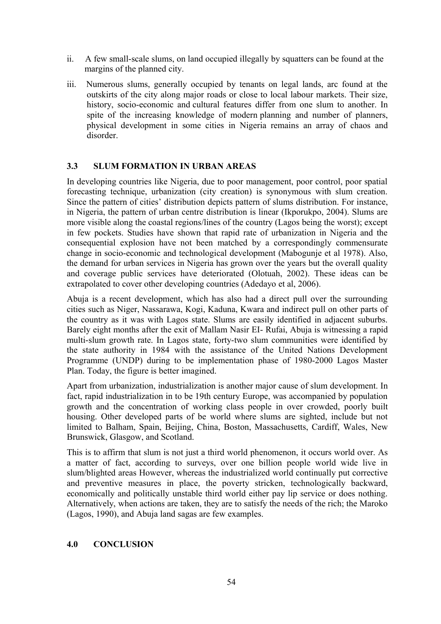- ii. A few small-scale slums, on land occupied illegally by squatters can be found at the margins of the planned city.
- iii. Numerous slums, generally occupied by tenants on legal lands, arc found at the outskirts of the city along major roads or close to local labour markets. Their size, history, socio-economic and cultural features differ from one slum to another. In spite of the increasing knowledge of modern planning and number of planners, physical development in some cities in Nigeria remains an array of chaos and disorder.

# **3.3 SLUM FORMATION IN URBAN AREAS**

In developing countries like Nigeria, due to poor management, poor control, poor spatial forecasting technique, urbanization (city creation) is synonymous with slum creation. Since the pattern of cities' distribution depicts pattern of slums distribution. For instance, in Nigeria, the pattern of urban centre distribution is linear (Ikporukpo, 2004). Slums are more visible along the coastal regions/lines of the country (Lagos being the worst); except in few pockets. Studies have shown that rapid rate of urbanization in Nigeria and the consequential explosion have not been matched by a correspondingly commensurate change in socio-economic and technological development (Mabogunje et al 1978). Also, the demand for urban services in Nigeria has grown over the years but the overall quality and coverage public services have deteriorated (Olotuah, 2002). These ideas can be extrapolated to cover other developing countries (Adedayo et al, 2006).

Abuja is a recent development, which has also had a direct pull over the surrounding cities such as Niger, Nassarawa, Kogi, Kaduna, Kwara and indirect pull on other parts of the country as it was with Lagos state. Slums are easily identified in adjacent suburbs. Barely eight months after the exit of Mallam Nasir EI- Rufai, Abuja is witnessing a rapid multi-slum growth rate. In Lagos state, forty-two slum communities were identified by the state authority in 1984 with the assistance of the United Nations Development Programme (UNDP) during to be implementation phase of 1980-2000 Lagos Master Plan. Today, the figure is better imagined.

Apart from urbanization, industrialization is another major cause of slum development. In fact, rapid industrialization in to be 19th century Europe, was accompanied by population growth and the concentration of working class people in over crowded, poorly built housing. Other developed parts of be world where slums are sighted, include but not limited to Balham, Spain, Beijing, China, Boston, Massachusetts, Cardiff, Wales, New Brunswick, Glasgow, and Scotland.

This is to affirm that slum is not just a third world phenomenon, it occurs world over. As a matter of fact, according to surveys, over one billion people world wide live in slum/blighted areas However, whereas the industrialized world continually put corrective and preventive measures in place, the poverty stricken, technologically backward, economically and politically unstable third world either pay lip service or does nothing. Alternatively, when actions are taken, they are to satisfy the needs of the rich; the Maroko (Lagos, 1990), and Abuja land sagas are few examples.

# **4.0 CONCLUSION**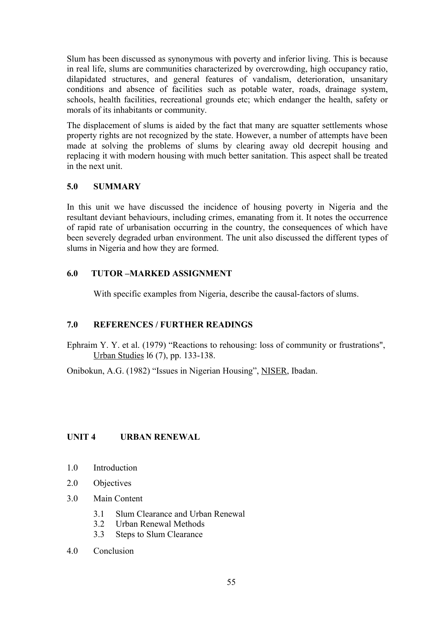Slum has been discussed as synonymous with poverty and inferior living. This is because in real life, slums are communities characterized by overcrowding, high occupancy ratio, dilapidated structures, and general features of vandalism, deterioration, unsanitary conditions and absence of facilities such as potable water, roads, drainage system, schools, health facilities, recreational grounds etc; which endanger the health, safety or morals of its inhabitants or community.

The displacement of slums is aided by the fact that many are squatter settlements whose property rights are not recognized by the state. However, a number of attempts have been made at solving the problems of slums by clearing away old decrepit housing and replacing it with modern housing with much better sanitation. This aspect shall be treated in the next unit.

# **5.0 SUMMARY**

In this unit we have discussed the incidence of housing poverty in Nigeria and the resultant deviant behaviours, including crimes, emanating from it. It notes the occurrence of rapid rate of urbanisation occurring in the country, the consequences of which have been severely degraded urban environment. The unit also discussed the different types of slums in Nigeria and how they are formed.

# **6.0 TUTOR –MARKED ASSIGNMENT**

With specific examples from Nigeria, describe the causal-factors of slums.

# **7.0 REFERENCES / FURTHER READINGS**

Ephraim Y. Y. et al. (1979) "Reactions to rehousing: loss of community or frustrations", Urban Studies l6 (7), pp. 133-138.

Onibokun, A.G. (1982) "Issues in Nigerian Housing", NISER, Ibadan.

# **UNIT 4 URBAN RENEWAL**

- 1.0 Introduction
- 2.0 Objectives
- 3.0 Main Content
	- 3.1 Slum Clearance and Urban Renewal
	- 3.2 Urban Renewal Methods
	- 3.3 Steps to Slum Clearance
- 4.0 Conclusion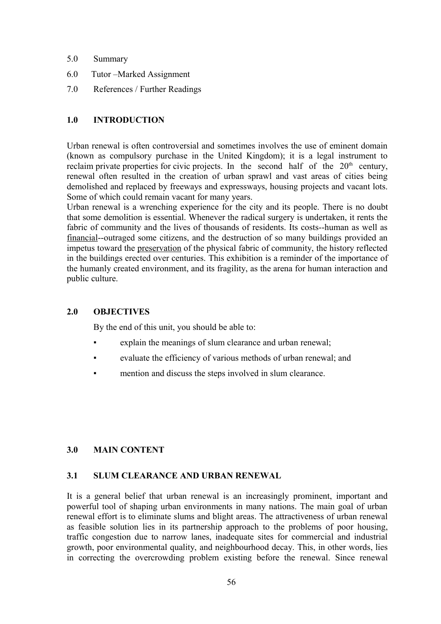- 5.0 Summary
- 6.0 Tutor –Marked Assignment
- 7.0 References / Further Readings

# **1.0 INTRODUCTION**

Urban renewal is often controversial and sometimes involves the use of eminent domain (known as compulsory purchase in the United Kingdom); it is a legal instrument to reclaim private properties for civic projects. In the second half of the  $20<sup>th</sup>$  century, renewal often resulted in the creation of urban sprawl and vast areas of cities being demolished and replaced by freeways and expressways, housing projects and vacant lots. Some of which could remain vacant for many years.

Urban renewal is a wrenching experience for the city and its people. There is no doubt that some demolition is essential. Whenever the radical surgery is undertaken, it rents the fabric of community and the lives of thousands of residents. Its costs--human as well as [financial-](http://server1.fandm.edu/departments/AmericanStudies/faculty/schuyler/urbanrenewal/rebmanprotest.html)-outraged some citizens, and the destruction of so many buildings provided an impetus toward the [preservation](http://server1.fandm.edu/departments/AmericanStudies/faculty/schuyler/urbanrenewal/preservation.html) of the physical fabric of community, the history reflected in the buildings erected over centuries. This exhibition is a reminder of the importance of the humanly created environment, and its fragility, as the arena for human interaction and public culture.

# **2.0 OBJECTIVES**

By the end of this unit, you should be able to:

- explain the meanings of slum clearance and urban renewal;
- evaluate the efficiency of various methods of urban renewal; and
- mention and discuss the steps involved in slum clearance.

#### **3.0 MAIN CONTENT**

# **3.1 SLUM CLEARANCE AND URBAN RENEWAL**

It is a general belief that urban renewal is an increasingly prominent, important and powerful tool of shaping urban environments in many nations. The main goal of urban renewal effort is to eliminate slums and blight areas. The attractiveness of urban renewal as feasible solution lies in its partnership approach to the problems of poor housing, traffic congestion due to narrow lanes, inadequate sites for commercial and industrial growth, poor environmental quality, and neighbourhood decay. This, in other words, lies in correcting the overcrowding problem existing before the renewal. Since renewal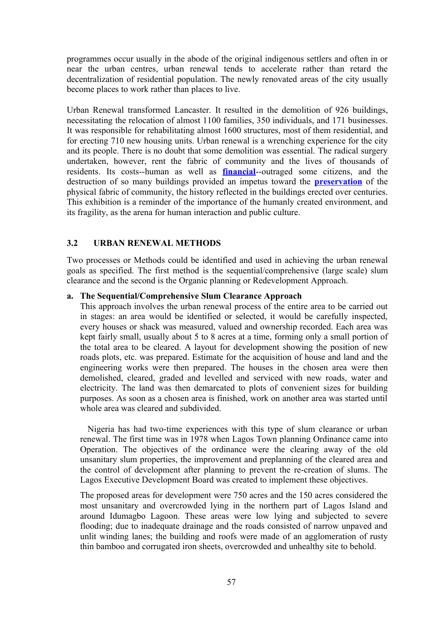programmes occur usually in the abode of the original indigenous settlers and often in or near the urban centres, urban renewal tends to accelerate rather than retard the decentralization of residential population. The newly renovated areas of the city usually become places to work rather than places to live.

Urban Renewal transformed Lancaster. It resulted in the demolition of 926 buildings, necessitating the relocation of almost 1100 families, 350 individuals, and 171 businesses. It was responsible for rehabilitating almost 1600 structures, most of them residential, and for erecting 710 new housing units. Urban renewal is a wrenching experience for the city and its people. There is no doubt that some demolition was essential. The radical surgery undertaken, however, rent the fabric of community and the lives of thousands of residents. Its costs--human as well as **[financial](http://server1.fandm.edu/departments/AmericanStudies/faculty/schuyler/urbanrenewal/rebmanprotest.html)**--outraged some citizens, and the destruction of so many buildings provided an impetus toward the **[preservation](http://server1.fandm.edu/departments/AmericanStudies/faculty/schuyler/urbanrenewal/preservation.html)** of the physical fabric of community, the history reflected in the buildings erected over centuries. This exhibition is a reminder of the importance of the humanly created environment, and its fragility, as the arena for human interaction and public culture.

#### **3.2 URBAN RENEWAL METHODS**

Two processes or Methods could be identified and used in achieving the urban renewal goals as specified. The first method is the sequential/comprehensive (large scale) slum clearance and the second is the Organic planning or Redevelopment Approach.

#### **a. The Sequential/Comprehensive Slum Clearance Approach**

This approach involves the urban renewal process of the entire area to be carried out in stages: an area would be identified or selected, it would be carefully inspected, every houses or shack was measured, valued and ownership recorded. Each area was kept fairly small, usually about 5 to 8 acres at a time, forming only a small portion of the total area to be cleared. A layout for development showing the position of new roads plots, etc. was prepared. Estimate for the acquisition of house and land and the engineering works were then prepared. The houses in the chosen area were then demolished, cleared, graded and levelled and serviced with new roads, water and electricity. The land was then demarcated to plots of convenient sizes for building purposes. As soon as a chosen area is finished, work on another area was started until whole area was cleared and subdivided.

 Nigeria has had two-time experiences with this type of slum clearance or urban renewal. The first time was in 1978 when Lagos Town planning Ordinance came into Operation. The objectives of the ordinance were the clearing away of the old unsanitary slum properties, the improvement and preplanning of the cleared area and the control of development after planning to prevent the re-creation of slums. The Lagos Executive Development Board was created to implement these objectives.

The proposed areas for development were 750 acres and the 150 acres considered the most unsanitary and overcrowded lying in the northern part of Lagos Island and around Idumagbo Lagoon. These areas were low lying and subjected to severe flooding; due to inadequate drainage and the roads consisted of narrow unpaved and unlit winding lanes; the building and roofs were made of an agglomeration of rusty thin bamboo and corrugated iron sheets, overcrowded and unhealthy site to behold.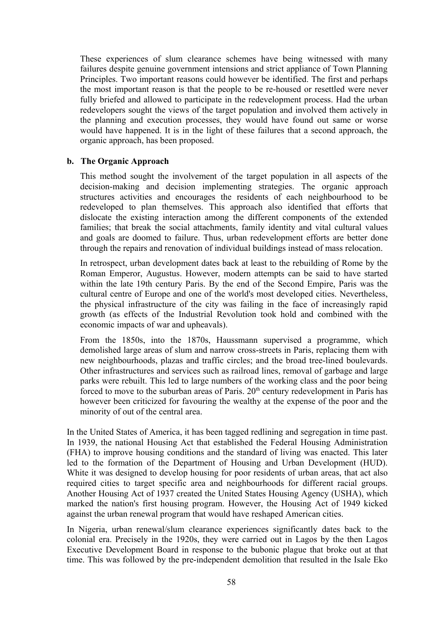These experiences of slum clearance schemes have being witnessed with many failures despite genuine government intensions and strict appliance of Town Planning Principles. Two important reasons could however be identified. The first and perhaps the most important reason is that the people to be re-housed or resettled were never fully briefed and allowed to participate in the redevelopment process. Had the urban redevelopers sought the views of the target population and involved them actively in the planning and execution processes, they would have found out same or worse would have happened. It is in the light of these failures that a second approach, the organic approach, has been proposed.

#### **b. The Organic Approach**

This method sought the involvement of the target population in all aspects of the decision-making and decision implementing strategies. The organic approach structures activities and encourages the residents of each neighbourhood to be redeveloped to plan themselves. This approach also identified that efforts that dislocate the existing interaction among the different components of the extended families; that break the social attachments, family identity and vital cultural values and goals are doomed to failure. Thus, urban redevelopment efforts are better done through the repairs and renovation of individual buildings instead of mass relocation.

In retrospect, urban development dates back at least to the rebuilding of Rome by the Roman Emperor, Augustus. However, modern attempts can be said to have started within the late 19th century Paris. By the end of the Second Empire, Paris was the cultural centre of Europe and one of the world's most developed cities. Nevertheless, the physical infrastructure of the city was failing in the face of increasingly rapid growth (as effects of the Industrial Revolution took hold and combined with the economic impacts of war and upheavals).

From the 1850s, into the 1870s, Haussmann supervised a programme, which demolished large areas of slum and narrow cross-streets in Paris, replacing them with new neighbourhoods, plazas and traffic circles; and the broad tree-lined boulevards. Other infrastructures and services such as railroad lines, removal of garbage and large parks were rebuilt. This led to large numbers of the working class and the poor being forced to move to the suburban areas of Paris.  $20<sup>th</sup>$  century redevelopment in Paris has however been criticized for favouring the wealthy at the expense of the poor and the minority of out of the central area.

In the United States of America, it has been tagged redlining and segregation in time past. In 1939, the national Housing Act that established the Federal Housing Administration (FHA) to improve housing conditions and the standard of living was enacted. This later led to the formation of the Department of Housing and Urban Development (HUD). White it was designed to develop housing for poor residents of urban areas, that act also required cities to target specific area and neighbourhoods for different racial groups. Another Housing Act of 1937 created the United States Housing Agency (USHA), which marked the nation's first housing program. However, the Housing Act of 1949 kicked against the urban renewal program that would have reshaped American cities.

In Nigeria, urban renewal/slum clearance experiences significantly dates back to the colonial era. Precisely in the 1920s, they were carried out in Lagos by the then Lagos Executive Development Board in response to the bubonic plague that broke out at that time. This was followed by the pre-independent demolition that resulted in the Isale Eko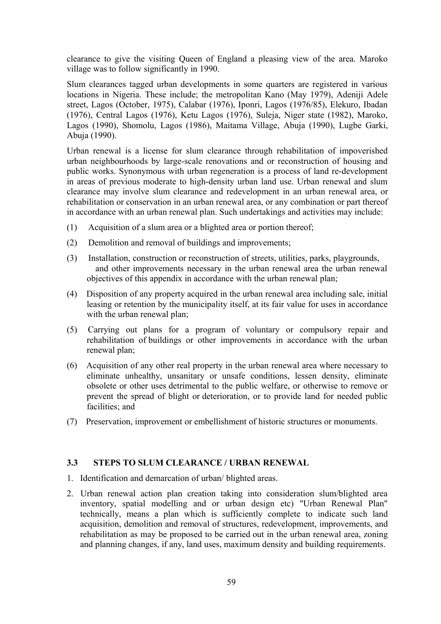clearance to give the visiting Queen of England a pleasing view of the area. Maroko village was to follow significantly in 1990.

Slum clearances tagged urban developments in some quarters are registered in various locations in Nigeria. These include; the metropolitan Kano (May 1979), Adeniji Adele street, Lagos (October, 1975), Calabar (1976), Iponri, Lagos (1976/85), Elekuro, Ibadan (1976), Central Lagos (1976), Ketu Lagos (1976), Suleja, Niger state (1982), Maroko, Lagos (1990), Shomolu, Lagos (1986), Maitama Village, Abuja (1990), Lugbe Garki, Abuja (1990).

Urban renewal is a license for slum clearance through rehabilitation of impoverished urban neighbourhoods by large-scale renovations and or reconstruction of housing and public works. Synonymous with urban regeneration is a process of land re-development in areas of previous moderate to high-density urban land use. Urban renewal and slum clearance may involve slum clearance and redevelopment in an urban renewal area, or rehabilitation or conservation in an urban renewal area, or any combination or part thereof in accordance with an urban renewal plan. Such undertakings and activities may include:

- (1) Acquisition of a slum area or a blighted area or portion thereof;
- (2) Demolition and removal of buildings and improvements;
- (3) Installation, construction or reconstruction of streets, utilities, parks, playgrounds, and other improvements necessary in the urban renewal area the urban renewal objectives of this appendix in accordance with the urban renewal plan;
- (4) Disposition of any property acquired in the urban renewal area including sale, initial leasing or retention by the municipality itself, at its fair value for uses in accordance with the urban renewal plan;
- (5) Carrying out plans for a program of voluntary or compulsory repair and rehabilitation of buildings or other improvements in accordance with the urban renewal plan;
- (6) Acquisition of any other real property in the urban renewal area where necessary to eliminate unhealthy, unsanitary or unsafe conditions, lessen density, eliminate obsolete or other uses detrimental to the public welfare, or otherwise to remove or prevent the spread of blight or deterioration, or to provide land for needed public facilities; and
- (7) Preservation, improvement or embellishment of historic structures or monuments.

#### **3.3 STEPS TO SLUM CLEARANCE / URBAN RENEWAL**

- 1. Identification and demarcation of urban/ blighted areas.
- 2. Urban renewal action plan creation taking into consideration slum/blighted area inventory, spatial modelling and or urban design etc) "Urban Renewal Plan" technically, means a plan which is sufficiently complete to indicate such land acquisition, demolition and removal of structures, redevelopment, improvements, and rehabilitation as may be proposed to be carried out in the urban renewal area, zoning and planning changes, if any, land uses, maximum density and building requirements.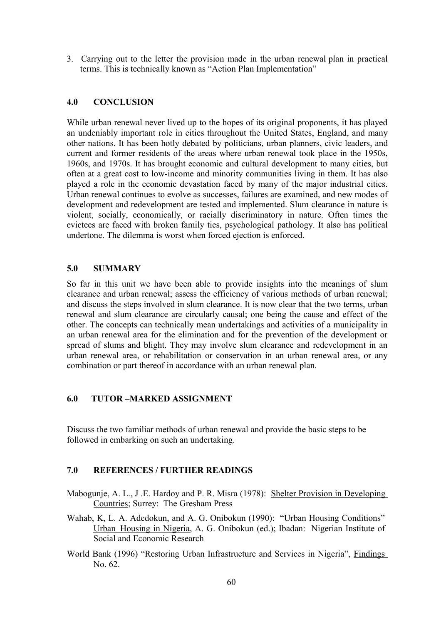3. Carrying out to the letter the provision made in the urban renewal plan in practical terms. This is technically known as "Action Plan Implementation"

#### **4.0 CONCLUSION**

While urban renewal never lived up to the hopes of its original proponents, it has played an undeniably important role in cities throughout the United States, England, and many other nations. It has been hotly debated by politicians, urban planners, civic leaders, and current and former residents of the areas where urban renewal took place in the 1950s, 1960s, and 1970s. It has brought economic and cultural development to many cities, but often at a great cost to low-income and minority communities living in them. It has also played a role in the economic devastation faced by many of the major industrial cities. Urban renewal continues to evolve as successes, failures are examined, and new modes of development and redevelopment are tested and implemented. Slum clearance in nature is violent, socially, economically, or racially discriminatory in nature. Often times the evictees are faced with broken family ties, psychological pathology. It also has political undertone. The dilemma is worst when forced ejection is enforced.

#### **5.0 SUMMARY**

So far in this unit we have been able to provide insights into the meanings of slum clearance and urban renewal; assess the efficiency of various methods of urban renewal; and discuss the steps involved in slum clearance. It is now clear that the two terms, urban renewal and slum clearance are circularly causal; one being the cause and effect of the other. The concepts can technically mean undertakings and activities of a municipality in an urban renewal area for the elimination and for the prevention of the development or spread of slums and blight. They may involve slum clearance and redevelopment in an urban renewal area, or rehabilitation or conservation in an urban renewal area, or any combination or part thereof in accordance with an urban renewal plan.

# **6.0 TUTOR –MARKED ASSIGNMENT**

Discuss the two familiar methods of urban renewal and provide the basic steps to be followed in embarking on such an undertaking.

# **7.0 REFERENCES / FURTHER READINGS**

- Mabogunje, A. L., J .E. Hardoy and P. R. Misra (1978): Shelter Provision in Developing Countries; Surrey: The Gresham Press
- Wahab, K, L. A. Adedokun, and A. G. Onibokun (1990): "Urban Housing Conditions" Urban Housing in Nigeria, A. G. Onibokun (ed.); Ibadan: Nigerian Institute of Social and Economic Research
- World Bank (1996) "Restoring Urban Infrastructure and Services in Nigeria", Findings No. 62.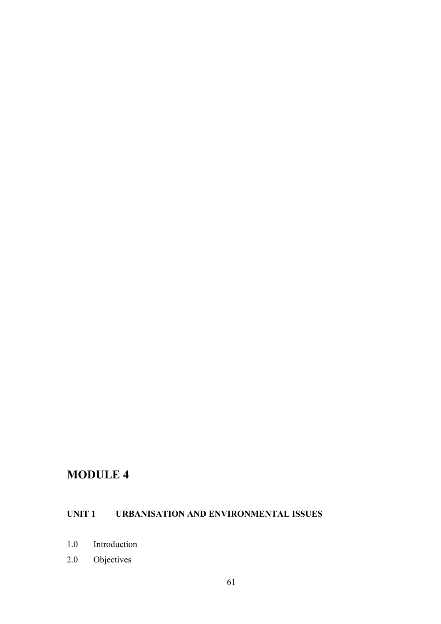# **MODULE 4**

# **UNIT 1 URBANISATION AND ENVIRONMENTAL ISSUES**

- 1.0 Introduction
- 2.0 Objectives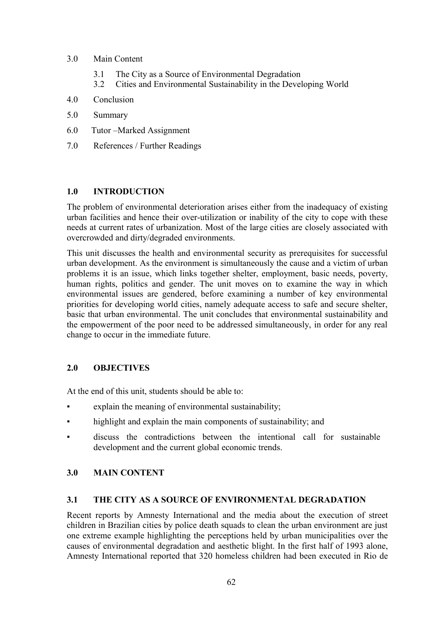#### 3.0 Main Content

- 3.1 The City as a Source of Environmental Degradation
- 3.2 Cities and Environmental Sustainability in the Developing World
- 4.0 Conclusion
- 5.0 Summary
- 6.0 Tutor –Marked Assignment
- 7.0 References / Further Readings

#### **1.0 INTRODUCTION**

The problem of environmental deterioration arises either from the inadequacy of existing urban facilities and hence their over-utilization or inability of the city to cope with these needs at current rates of urbanization. Most of the large cities are closely associated with overcrowded and dirty/degraded environments.

This unit discusses the health and environmental security as prerequisites for successful urban development. As the environment is simultaneously the cause and a victim of urban problems it is an issue, which links together shelter, employment, basic needs, poverty, human rights, politics and gender. The unit moves on to examine the way in which environmental issues are gendered, before examining a number of key environmental priorities for developing world cities, namely adequate access to safe and secure shelter, basic that urban environmental. The unit concludes that environmental sustainability and the empowerment of the poor need to be addressed simultaneously, in order for any real change to occur in the immediate future.

# **2.0 OBJECTIVES**

At the end of this unit, students should be able to:

- explain the meaning of environmental sustainability;
- highlight and explain the main components of sustainability; and
- discuss the contradictions between the intentional call for sustainable development and the current global economic trends.

# **3.0 MAIN CONTENT**

#### **3.1 THE CITY AS A SOURCE OF ENVIRONMENTAL DEGRADATION**

Recent reports by Amnesty International and the media about the execution of street children in Brazilian cities by police death squads to clean the urban environment are just one extreme example highlighting the perceptions held by urban municipalities over the causes of environmental degradation and aesthetic blight. In the first half of 1993 alone, Amnesty International reported that 320 homeless children had been executed in Rio de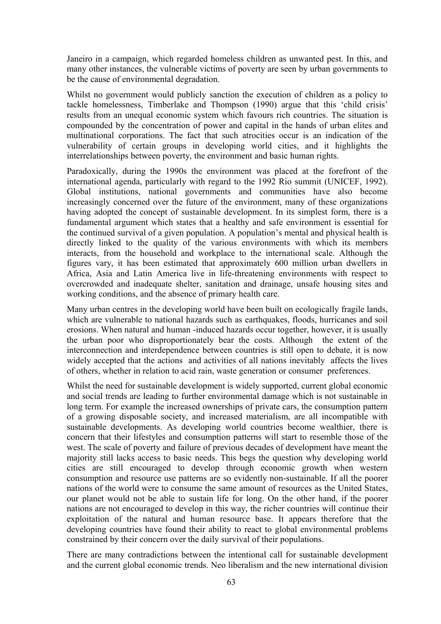Janeiro in a campaign, which regarded homeless children as unwanted pest. In this, and many other instances, the vulnerable victims of poverty are seen by urban governments to be the cause of environmental degradation.

Whilst no government would publicly sanction the execution of children as a policy to tackle homelessness, Timberlake and Thompson (1990) argue that this 'child crisis' results from an unequal economic system which favours rich countries. The situation is compounded by the concentration of power and capital in the hands of urban elites and multinational corporations. The fact that such atrocities occur is an indication of the vulnerability of certain groups in developing world cities, and it highlights the interrelationships between poverty, the environment and basic human rights.

Paradoxically, during the 1990s the environment was placed at the forefront of the international agenda, particularly with regard to the 1992 Rio summit (UNICEF, 1992). Global institutions, national governments and communities have also become increasingly concerned over the future of the environment, many of these organizations having adopted the concept of sustainable development. In its simplest form, there is a fundamental argument which states that a healthy and safe environment is essential for the continued survival of a given population. A population's mental and physical health is directly linked to the quality of the various environments with which its members interacts, from the household and workplace to the international scale. Although the figures vary, it has been estimated that approximately 600 million urban dwellers in Africa, Asia and Latin America live in life-threatening environments with respect to overcrowded and inadequate shelter, sanitation and drainage, unsafe housing sites and working conditions, and the absence of primary health care.

Many urban centres in the developing world have been built on ecologically fragile lands, which are vulnerable to national hazards such as earthquakes, floods, hurricanes and soil erosions. When natural and human -induced hazards occur together, however, it is usually the urban poor who disproportionately bear the costs. Although the extent of the interconnection and interdependence between countries is still open to debate, it is now widely accepted that the actions and activities of all nations inevitably affects the lives of others, whether in relation to acid rain, waste generation or consumer preferences.

Whilst the need for sustainable development is widely supported, current global economic and social trends are leading to further environmental damage which is not sustainable in long term. For example the increased ownerships of private cars, the consumption pattern of a growing disposable society, and increased materialism, are all incompatible with sustainable developments. As developing world countries become wealthier, there is concern that their lifestyles and consumption patterns will start to resemble those of the west. The scale of poverty and failure of previous decades of development have meant the majority still lacks access to basic needs. This begs the question why developing world cities are still encouraged to develop through economic growth when western consumption and resource use patterns are so evidently non-sustainable. If all the poorer nations of the world were to consume the same amount of resources as the United States, our planet would not be able to sustain life for long. On the other hand, if the poorer nations are not encouraged to develop in this way, the richer countries will continue their exploitation of the natural and human resource base. It appears therefore that the developing countries have found their ability to react to global environmental problems constrained by their concern over the daily survival of their populations.

There are many contradictions between the intentional call for sustainable development and the current global economic trends. Neo liberalism and the new international division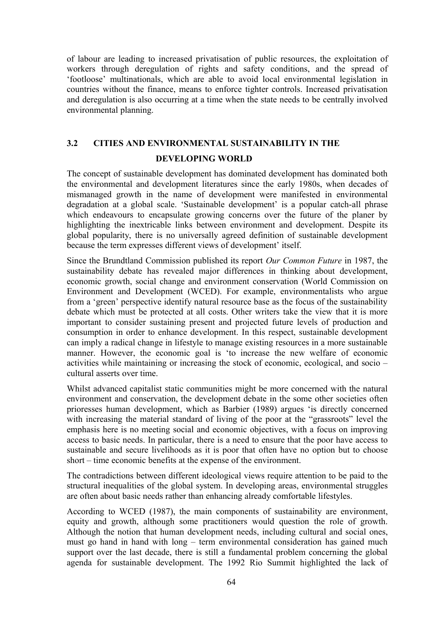of labour are leading to increased privatisation of public resources, the exploitation of workers through deregulation of rights and safety conditions, and the spread of 'footloose' multinationals, which are able to avoid local environmental legislation in countries without the finance, means to enforce tighter controls. Increased privatisation and deregulation is also occurring at a time when the state needs to be centrally involved environmental planning.

# **3.2 CITIES AND ENVIRONMENTAL SUSTAINABILITY IN THE DEVELOPING WORLD**

The concept of sustainable development has dominated development has dominated both the environmental and development literatures since the early 1980s, when decades of mismanaged growth in the name of development were manifested in environmental degradation at a global scale. 'Sustainable development' is a popular catch-all phrase which endeavours to encapsulate growing concerns over the future of the planer by highlighting the inextricable links between environment and development. Despite its global popularity, there is no universally agreed definition of sustainable development because the term expresses different views of development' itself.

Since the Brundtland Commission published its report *Our Common Future* in 1987, the sustainability debate has revealed major differences in thinking about development, economic growth, social change and environment conservation (World Commission on Environment and Development (WCED). For example, environmentalists who argue from a 'green' perspective identify natural resource base as the focus of the sustainability debate which must be protected at all costs. Other writers take the view that it is more important to consider sustaining present and projected future levels of production and consumption in order to enhance development. In this respect, sustainable development can imply a radical change in lifestyle to manage existing resources in a more sustainable manner. However, the economic goal is 'to increase the new welfare of economic activities while maintaining or increasing the stock of economic, ecological, and socio – cultural asserts over time.

Whilst advanced capitalist static communities might be more concerned with the natural environment and conservation, the development debate in the some other societies often prioresses human development, which as Barbier (1989) argues 'is directly concerned with increasing the material standard of living of the poor at the "grassroots" level the emphasis here is no meeting social and economic objectives, with a focus on improving access to basic needs. In particular, there is a need to ensure that the poor have access to sustainable and secure livelihoods as it is poor that often have no option but to choose short – time economic benefits at the expense of the environment.

The contradictions between different ideological views require attention to be paid to the structural inequalities of the global system. In developing areas, environmental struggles are often about basic needs rather than enhancing already comfortable lifestyles.

According to WCED (1987), the main components of sustainability are environment, equity and growth, although some practitioners would question the role of growth. Although the notion that human development needs, including cultural and social ones, must go hand in hand with long – term environmental consideration has gained much support over the last decade, there is still a fundamental problem concerning the global agenda for sustainable development. The 1992 Rio Summit highlighted the lack of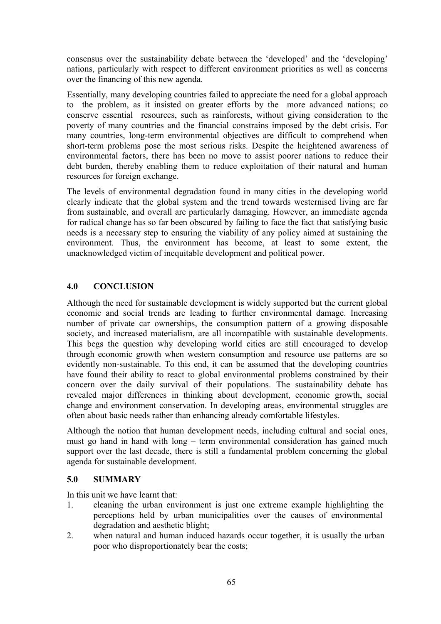consensus over the sustainability debate between the 'developed' and the 'developing' nations, particularly with respect to different environment priorities as well as concerns over the financing of this new agenda.

Essentially, many developing countries failed to appreciate the need for a global approach to the problem, as it insisted on greater efforts by the more advanced nations; co conserve essential resources, such as rainforests, without giving consideration to the poverty of many countries and the financial constrains imposed by the debt crisis. For many countries, long-term environmental objectives are difficult to comprehend when short-term problems pose the most serious risks. Despite the heightened awareness of environmental factors, there has been no move to assist poorer nations to reduce their debt burden, thereby enabling them to reduce exploitation of their natural and human resources for foreign exchange.

The levels of environmental degradation found in many cities in the developing world clearly indicate that the global system and the trend towards westernised living are far from sustainable, and overall are particularly damaging. However, an immediate agenda for radical change has so far been obscured by failing to face the fact that satisfying basic needs is a necessary step to ensuring the viability of any policy aimed at sustaining the environment. Thus, the environment has become, at least to some extent, the unacknowledged victim of inequitable development and political power.

# **4.0 CONCLUSION**

Although the need for sustainable development is widely supported but the current global economic and social trends are leading to further environmental damage. Increasing number of private car ownerships, the consumption pattern of a growing disposable society, and increased materialism, are all incompatible with sustainable developments. This begs the question why developing world cities are still encouraged to develop through economic growth when western consumption and resource use patterns are so evidently non-sustainable. To this end, it can be assumed that the developing countries have found their ability to react to global environmental problems constrained by their concern over the daily survival of their populations. The sustainability debate has revealed major differences in thinking about development, economic growth, social change and environment conservation. In developing areas, environmental struggles are often about basic needs rather than enhancing already comfortable lifestyles.

Although the notion that human development needs, including cultural and social ones, must go hand in hand with long – term environmental consideration has gained much support over the last decade, there is still a fundamental problem concerning the global agenda for sustainable development.

# **5.0 SUMMARY**

In this unit we have learnt that:

- 1. cleaning the urban environment is just one extreme example highlighting the perceptions held by urban municipalities over the causes of environmental degradation and aesthetic blight;
- 2. when natural and human induced hazards occur together, it is usually the urban poor who disproportionately bear the costs;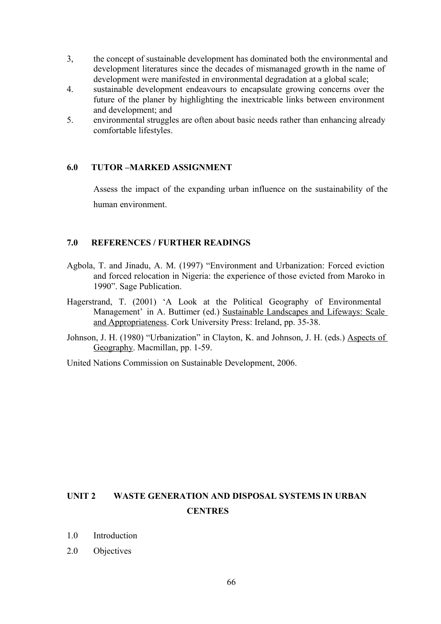- 3, the concept of sustainable development has dominated both the environmental and development literatures since the decades of mismanaged growth in the name of development were manifested in environmental degradation at a global scale;
- 4. sustainable development endeavours to encapsulate growing concerns over the future of the planer by highlighting the inextricable links between environment and development; and
- 5. environmental struggles are often about basic needs rather than enhancing already comfortable lifestyles.

#### **6.0 TUTOR –MARKED ASSIGNMENT**

Assess the impact of the expanding urban influence on the sustainability of the human environment.

#### **7.0 REFERENCES / FURTHER READINGS**

- Agbola, T. and Jinadu, A. M. (1997) "Environment and Urbanization: Forced eviction and forced relocation in Nigeria: the experience of those evicted from Maroko in 1990". Sage Publication.
- Hagerstrand, T. (2001) 'A Look at the Political Geography of Environmental Management' in A. Buttimer (ed.) Sustainable Landscapes and Lifeways: Scale and Appropriateness. Cork University Press: Ireland, pp. 35-38.
- Johnson, J. H. (1980) "Urbanization" in Clayton, K. and Johnson, J. H. (eds.) Aspects of Geography. Macmillan, pp. 1-59.

United Nations Commission on Sustainable Development, 2006.

# **UNIT 2 WASTE GENERATION AND DISPOSAL SYSTEMS IN URBAN CENTRES**

- 1.0 Introduction
- 2.0 Objectives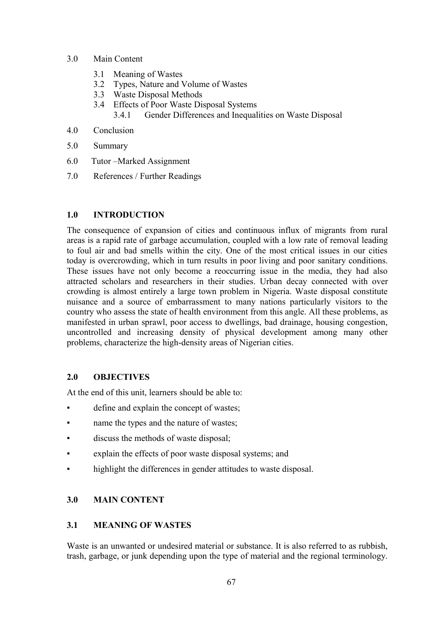#### 3.0 Main Content

- 3.1 Meaning of Wastes
- 3.2 Types, Nature and Volume of Wastes
- 3.3 Waste Disposal Methods
- 3.4 Effects of Poor Waste Disposal Systems
	- 3.4.1 Gender Differences and Inequalities on Waste Disposal
- 4.0 Conclusion
- 5.0 Summary
- 6.0 Tutor –Marked Assignment
- 7.0 References / Further Readings

# **1.0 INTRODUCTION**

The consequence of expansion of cities and continuous influx of migrants from rural areas is a rapid rate of garbage accumulation, coupled with a low rate of removal leading to foul air and bad smells within the city. One of the most critical issues in our cities today is overcrowding, which in turn results in poor living and poor sanitary conditions. These issues have not only become a reoccurring issue in the media, they had also attracted scholars and researchers in their studies. Urban decay connected with over crowding is almost entirely a large town problem in Nigeria. Waste disposal constitute nuisance and a source of embarrassment to many nations particularly visitors to the country who assess the state of health environment from this angle. All these problems, as manifested in urban sprawl, poor access to dwellings, bad drainage, housing congestion, uncontrolled and increasing density of physical development among many other problems, characterize the high-density areas of Nigerian cities.

# **2.0 OBJECTIVES**

At the end of this unit, learners should be able to:

- define and explain the concept of wastes;
- name the types and the nature of wastes;
- discuss the methods of waste disposal;
- explain the effects of poor waste disposal systems; and
- highlight the differences in gender attitudes to waste disposal.

# **3.0 MAIN CONTENT**

# **3.1 MEANING OF WASTES**

Waste is an unwanted or undesired material or substance. It is also referred to as rubbish, trash, garbage, or junk depending upon the type of material and the regional terminology.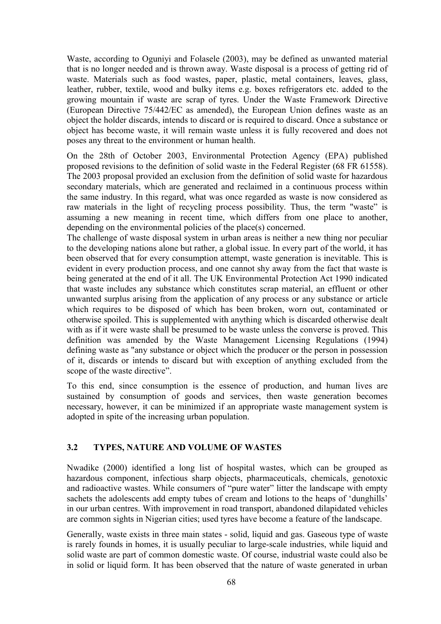Waste, according to Oguniyi and Folasele (2003), may be defined as unwanted material that is no longer needed and is thrown away. Waste disposal is a process of getting rid of waste. Materials such as food wastes, paper, plastic, metal containers, leaves, glass, leather, rubber, textile, wood and bulky items e.g. boxes refrigerators etc. added to the growing mountain if waste are scrap of tyres. Under the Waste Framework Directive (European Directive 75/442/EC as amended), the European Union defines waste as an object the holder discards, intends to discard or is required to discard. Once a substance or object has become waste, it will remain waste unless it is fully recovered and does not poses any threat to the environment or human health.

On the 28th of October 2003, Environmental Protection Agency (EPA) published proposed revisions to the definition of solid waste in the Federal Register (68 FR 61558). The 2003 proposal provided an exclusion from the definition of solid waste for hazardous secondary materials, which are generated and reclaimed in a continuous process within the same industry. In this regard, what was once regarded as waste is now considered as raw materials in the light of recycling process possibility. Thus, the term "waste" is assuming a new meaning in recent time, which differs from one place to another, depending on the environmental policies of the place(s) concerned.

The challenge of waste disposal system in urban areas is neither a new thing nor peculiar to the developing nations alone but rather, a global issue. In every part of the world, it has been observed that for every consumption attempt, waste generation is inevitable. This is evident in every production process, and one cannot shy away from the fact that waste is being generated at the end of it all. The UK Environmental Protection Act 1990 indicated that waste includes any substance which constitutes scrap material, an effluent or other unwanted surplus arising from the application of any process or any substance or article which requires to be disposed of which has been broken, worn out, contaminated or otherwise spoiled. This is supplemented with anything which is discarded otherwise dealt with as if it were waste shall be presumed to be waste unless the converse is proved. This definition was amended by the Waste Management Licensing Regulations (1994) defining waste as "any substance or object which the producer or the person in possession of it, discards or intends to discard but with exception of anything excluded from the scope of the waste directive".

To this end, since consumption is the essence of production, and human lives are sustained by consumption of goods and services, then waste generation becomes necessary, however, it can be minimized if an appropriate waste management system is adopted in spite of the increasing urban population.

# **3.2 TYPES, NATURE AND VOLUME OF WASTES**

Nwadike (2000) identified a long list of hospital wastes, which can be grouped as hazardous component, infectious sharp objects, pharmaceuticals, chemicals, genotoxic and radioactive wastes. While consumers of "pure water" litter the landscape with empty sachets the adolescents add empty tubes of cream and lotions to the heaps of 'dunghills' in our urban centres. With improvement in road transport, abandoned dilapidated vehicles are common sights in Nigerian cities; used tyres have become a feature of the landscape.

Generally, waste exists in three main states - solid, liquid and gas. Gaseous type of waste is rarely founds in homes, it is usually peculiar to large-scale industries, while liquid and solid waste are part of common domestic waste. Of course, industrial waste could also be in solid or liquid form. It has been observed that the nature of waste generated in urban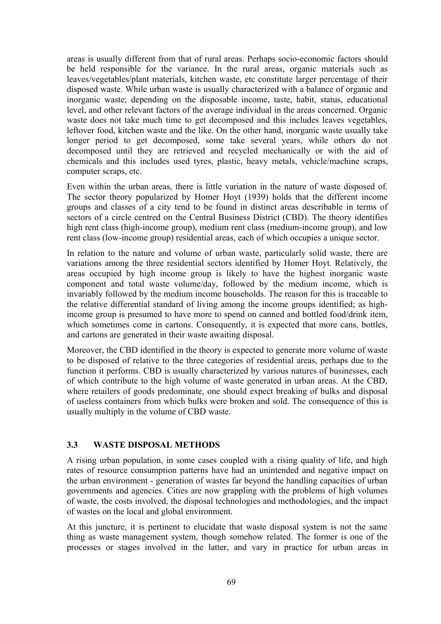areas is usually different from that of rural areas. Perhaps socio-economic factors should be held responsible for the variance. In the rural areas, organic materials such as leaves/vegetables/plant materials, kitchen waste, etc constitute larger percentage of their disposed waste. While urban waste is usually characterized with a balance of organic and inorganic waste; depending on the disposable income, taste, habit, status, educational level, and other relevant factors of the average individual in the areas concerned. Organic waste does not take much time to get decomposed and this includes leaves vegetables, leftover food, kitchen waste and the like. On the other hand, inorganic waste usually take longer period to get decomposed, some take several years, while others do not decomposed until they are retrieved and recycled mechanically or with the aid of chemicals and this includes used tyres, plastic, heavy metals, vehicle/machine scraps, computer scraps, etc.

Even within the urban areas, there is little variation in the nature of waste disposed of. The sector theory popularized by Homer Hoyt (1939) holds that the different income groups and classes of a city tend to be found in distinct areas describable in terms of sectors of a circle centred on the Central Business District (CBD). The theory identifies high rent class (high-income group), medium rent class (medium-income group), and low rent class (low-income group) residential areas, each of which occupies a unique sector.

In relation to the nature and volume of urban waste, particularly solid waste, there are variations among the three residential sectors identified by Homer Hoyt. Relatively, the areas occupied by high income group is likely to have the highest inorganic waste component and total waste volume/day, followed by the medium income, which is invariably followed by the medium income households. The reason for this is traceable to the relative differential standard of living among the income groups identified; as highincome group is presumed to have more to spend on canned and bottled food/drink item, which sometimes come in cartons. Consequently, it is expected that more cans, bottles, and cartons are generated in their waste awaiting disposal.

Moreover, the CBD identified in the theory is expected to generate more volume of waste to be disposed of relative to the three categories of residential areas, perhaps due to the function it performs. CBD is usually characterized by various natures of businesses, each of which contribute to the high volume of waste generated in urban areas. At the CBD, where retailers of goods predominate, one should expect breaking of bulks and disposal of useless containers from which bulks were broken and sold. The consequence of this is usually multiply in the volume of CBD waste.

#### **3.3 WASTE DISPOSAL METHODS**

A rising urban population, in some cases coupled with a rising quality of life, and high rates of resource consumption patterns have had an unintended and negative impact on the urban environment - generation of wastes far beyond the handling capacities of urban governments and agencies. Cities are now grappling with the problems of high volumes of waste, the costs involved, the disposal technologies and methodologies, and the impact of wastes on the local and global environment.

At this juncture, it is pertinent to elucidate that waste disposal system is not the same thing as waste management system, though somehow related. The former is one of the processes or stages involved in the latter, and vary in practice for urban areas in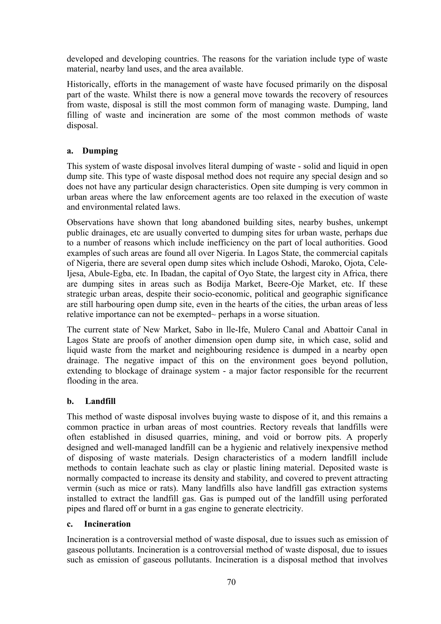developed and developing countries. The reasons for the variation include type of waste material, nearby land uses, and the area available.

Historically, efforts in the management of waste have focused primarily on the disposal part of the waste. Whilst there is now a general move towards the recovery of resources from waste, disposal is still the most common form of managing waste. Dumping, land filling of waste and incineration are some of the most common methods of waste disposal.

# **a. Dumping**

This system of waste disposal involves literal dumping of waste - solid and liquid in open dump site. This type of waste disposal method does not require any special design and so does not have any particular design characteristics. Open site dumping is very common in urban areas where the law enforcement agents are too relaxed in the execution of waste and environmental related laws.

Observations have shown that long abandoned building sites, nearby bushes, unkempt public drainages, etc are usually converted to dumping sites for urban waste, perhaps due to a number of reasons which include inefficiency on the part of local authorities. Good examples of such areas are found all over Nigeria. In Lagos State, the commercial capitals of Nigeria, there are several open dump sites which include Oshodi, Maroko, Ojota, Cele-Ijesa, Abule-Egba, etc. In Ibadan, the capital of Oyo State, the largest city in Africa, there are dumping sites in areas such as Bodija Market, Beere-Oje Market, etc. If these strategic urban areas, despite their socio-economic, political and geographic significance are still harbouring open dump site, even in the hearts of the cities, the urban areas of less relative importance can not be exempted~ perhaps in a worse situation.

The current state of New Market, Sabo in lle-Ife, Mulero Canal and Abattoir Canal in Lagos State are proofs of another dimension open dump site, in which case, solid and liquid waste from the market and neighbouring residence is dumped in a nearby open drainage. The negative impact of this on the environment goes beyond pollution, extending to blockage of drainage system - a major factor responsible for the recurrent flooding in the area.

# **b. Landfill**

This method of waste disposal involves buying waste to dispose of it, and this remains a common practice in urban areas of most countries. Rectory reveals that landfills were often established in disused quarries, mining, and void or borrow pits. A properly designed and well-managed landfill can be a hygienic and relatively inexpensive method of disposing of waste materials. Design characteristics of a modern landfill include methods to contain leachate such as clay or plastic lining material. Deposited waste is normally compacted to increase its density and stability, and covered to prevent attracting vermin (such as mice or rats). Many landfills also have landfill gas extraction systems installed to extract the landfill gas. Gas is pumped out of the landfill using perforated pipes and flared off or burnt in a gas engine to generate electricity.

# **c. Incineration**

Incineration is a controversial method of waste disposal, due to issues such as emission of gaseous pollutants. Incineration is a controversial method of waste disposal, due to issues such as emission of gaseous pollutants. Incineration is a disposal method that involves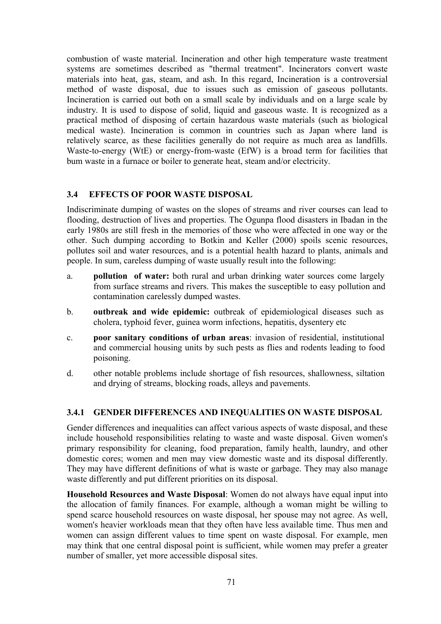combustion of waste material. Incineration and other high temperature waste treatment systems are sometimes described as "thermal treatment". Incinerators convert waste materials into heat, gas, steam, and ash. In this regard, Incineration is a controversial method of waste disposal, due to issues such as emission of gaseous pollutants. Incineration is carried out both on a small scale by individuals and on a large scale by industry. It is used to dispose of solid, liquid and gaseous waste. It is recognized as a practical method of disposing of certain hazardous waste materials (such as biological medical waste). Incineration is common in countries such as Japan where land is relatively scarce, as these facilities generally do not require as much area as landfills. Waste-to-energy (WtE) or energy-from-waste (EfW) is a broad term for facilities that bum waste in a furnace or boiler to generate heat, steam and/or electricity.

# **3.4 EFFECTS OF POOR WASTE DISPOSAL**

Indiscriminate dumping of wastes on the slopes of streams and river courses can lead to flooding, destruction of lives and properties. The Ogunpa flood disasters in Ibadan in the early 1980s are still fresh in the memories of those who were affected in one way or the other. Such dumping according to Botkin and Keller (2000) spoils scenic resources, pollutes soil and water resources, and is a potential health hazard to plants, animals and people. In sum, careless dumping of waste usually result into the following:

- a. **pollution of water:** both rural and urban drinking water sources come largely from surface streams and rivers. This makes the susceptible to easy pollution and contamination carelessly dumped wastes.
- b. **outbreak and wide epidemic:** outbreak of epidemiological diseases such as cholera, typhoid fever, guinea worm infections, hepatitis, dysentery etc
- c. **poor sanitary conditions of urban areas**: invasion of residential, institutional and commercial housing units by such pests as flies and rodents leading to food poisoning.
- d. other notable problems include shortage of fish resources, shallowness, siltation and drying of streams, blocking roads, alleys and pavements.

# **3.4.1 GENDER DIFFERENCES AND INEQUALITIES ON WASTE DISPOSAL**

Gender differences and inequalities can affect various aspects of waste disposal, and these include household responsibilities relating to waste and waste disposal. Given women's primary responsibility for cleaning, food preparation, family health, laundry, and other domestic cores; women and men may view domestic waste and its disposal differently. They may have different definitions of what is waste or garbage. They may also manage waste differently and put different priorities on its disposal.

**Household Resources and Waste Disposal**: Women do not always have equal input into the allocation of family finances. For example, although a woman might be willing to spend scarce household resources on waste disposal, her spouse may not agree. As well, women's heavier workloads mean that they often have less available time. Thus men and women can assign different values to time spent on waste disposal. For example, men may think that one central disposal point is sufficient, while women may prefer a greater number of smaller, yet more accessible disposal sites.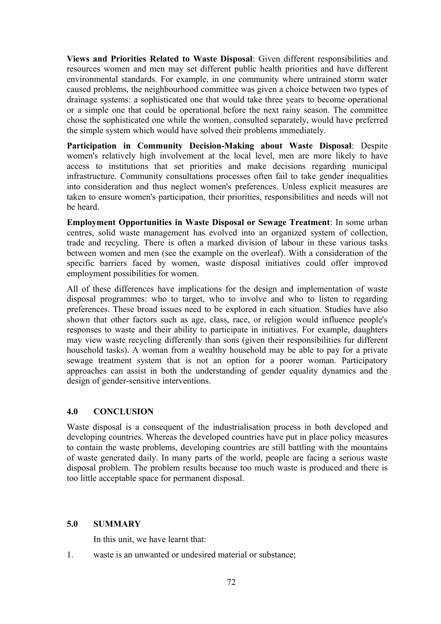**Views and Priorities Related to Waste Disposal**: Given different responsibilities and resources women and men may set different public health priorities and have different environmental standards. For example, in one community where untrained storm water caused problems, the neighbourhood committee was given a choice between two types of drainage systems: a sophisticated one that would take three years to become operational or a simple one that could be operational before the next rainy season. The committee chose the sophisticated one while the women, consulted separately, would have preferred the simple system which would have solved their problems immediately.

**Participation in Community Decision-Making about Waste Disposal**: Despite women's relatively high involvement at the local level, men are more likely to have access to institutions that set priorities and make decisions regarding municipal infrastructure. Community consultations processes often fail to take gender inequalities into consideration and thus neglect women's preferences. Unless explicit measures are taken to ensure women's participation, their priorities, responsibilities and needs will not be heard.

**Employment Opportunities in Waste Disposal or Sewage Treatment**: In some urban centres, solid waste management has evolved into an organized system of collection, trade and recycling. There is often a marked division of labour in these various tasks between women and men (see the example on the overleaf). With a consideration of the specific barriers faced by women, waste disposal initiatives could offer improved employment possibilities for women.

All of these differences have implications for the design and implementation of waste disposal programmes: who to target, who to involve and who to listen to regarding preferences. These broad issues need to be explored in each situation. Studies have also shown that other factors such as age, class, race, or religion would influence people's responses to waste and their ability to participate in initiatives. For example, daughters may view waste recycling differently than sons (given their responsibilities fur different household tasks). A woman from a wealthy household may be able to pay for a private sewage treatment system that is not an option for a poorer woman. Participatory approaches can assist in both the understanding of gender equality dynamics and the design of gender-sensitive interventions.

#### **4.0 CONCLUSION**

Waste disposal is a consequent of the industrialisation process in both developed and developing countries. Whereas the developed countries have put in place policy measures to contain the waste problems, developing countries are still battling with the mountains of waste generated daily. In many parts of the world, people are facing a serious waste disposal problem. The problem results because too much waste is produced and there is too little acceptable space for permanent disposal.

#### **5.0 SUMMARY**

In this unit, we have learnt that:

1. waste is an unwanted or undesired material or substance;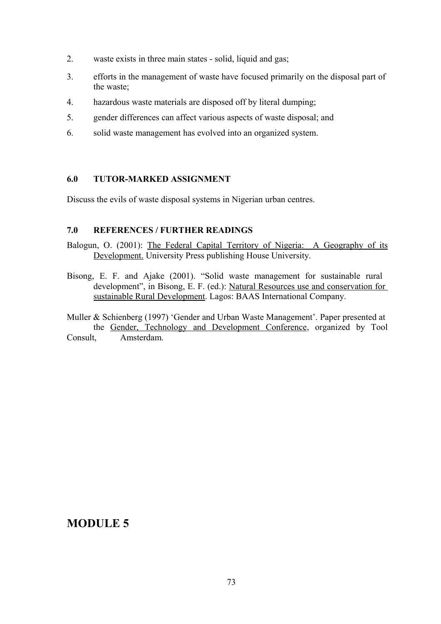- 2. waste exists in three main states solid, liquid and gas;
- 3. efforts in the management of waste have focused primarily on the disposal part of the waste;
- 4. hazardous waste materials are disposed off by literal dumping;
- 5. gender differences can affect various aspects of waste disposal; and
- 6. solid waste management has evolved into an organized system.

#### **6.0 TUTOR-MARKED ASSIGNMENT**

Discuss the evils of waste disposal systems in Nigerian urban centres.

# **7.0 REFERENCES / FURTHER READINGS**

- Balogun, O. (2001): The Federal Capital Territory of Nigeria: A Geography of its Development. University Press publishing House University.
- Bisong, E. F. and Ajake (2001). "Solid waste management for sustainable rural development", in Bisong, E. F. (ed.): Natural Resources use and conservation for sustainable Rural Development. Lagos: BAAS International Company.

Muller & Schienberg (1997) 'Gender and Urban Waste Management'. Paper presented at the Gender, Technology and Development Conference, organized by Tool Consult, Amsterdam.

# **MODULE 5**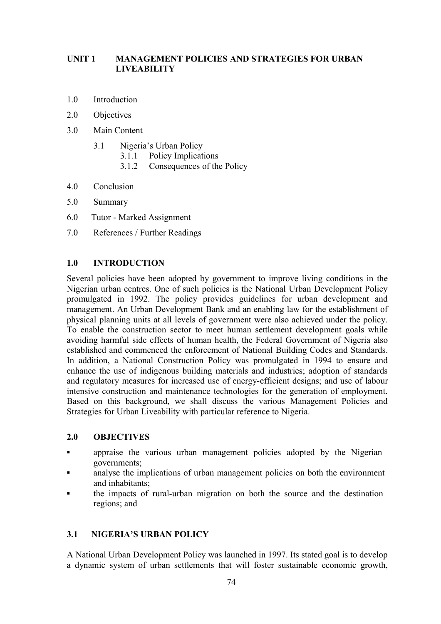# **UNIT 1 MANAGEMENT POLICIES AND STRATEGIES FOR URBAN LIVEABILITY**

- 1.0 Introduction
- 2.0 Objectives
- 3.0 Main Content
	- 3.1 Nigeria's Urban Policy
		- 3.1.1 Policy Implications
		- 3.1.2 Consequences of the Policy
- 4.0 Conclusion
- 5.0 Summary
- 6.0 Tutor Marked Assignment
- 7.0 References / Further Readings

#### **1.0 INTRODUCTION**

Several policies have been adopted by government to improve living conditions in the Nigerian urban centres. One of such policies is the National Urban Development Policy promulgated in 1992. The policy provides guidelines for urban development and management. An Urban Development Bank and an enabling law for the establishment of physical planning units at all levels of government were also achieved under the policy. To enable the construction sector to meet human settlement development goals while avoiding harmful side effects of human health, the Federal Government of Nigeria also established and commenced the enforcement of National Building Codes and Standards. In addition, a National Construction Policy was promulgated in 1994 to ensure and enhance the use of indigenous building materials and industries; adoption of standards and regulatory measures for increased use of energy-efficient designs; and use of labour intensive construction and maintenance technologies for the generation of employment. Based on this background, we shall discuss the various Management Policies and Strategies for Urban Liveability with particular reference to Nigeria.

#### **2.0 OBJECTIVES**

- **•** appraise the various urban management policies adopted by the Nigerian governments;
- **•** analyse the implications of urban management policies on both the environment and inhabitants;
- the impacts of rural-urban migration on both the source and the destination regions; and

# **3.1 NIGERIA'S URBAN POLICY**

A National Urban Development Policy was launched in 1997. Its stated goal is to develop a dynamic system of urban settlements that will foster sustainable economic growth,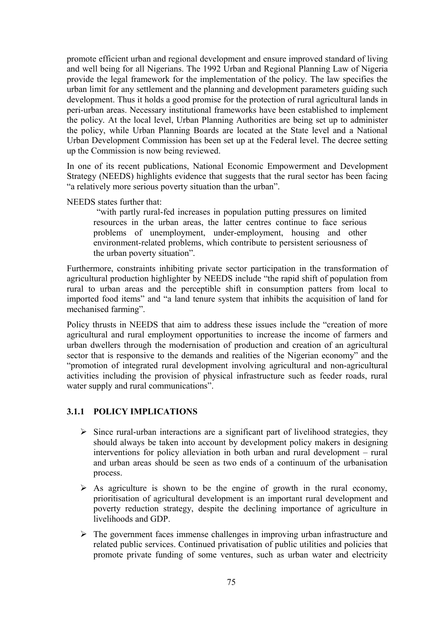promote efficient urban and regional development and ensure improved standard of living and well being for all Nigerians. The 1992 Urban and Regional Planning Law of Nigeria provide the legal framework for the implementation of the policy. The law specifies the urban limit for any settlement and the planning and development parameters guiding such development. Thus it holds a good promise for the protection of rural agricultural lands in peri-urban areas. Necessary institutional frameworks have been established to implement the policy. At the local level, Urban Planning Authorities are being set up to administer the policy, while Urban Planning Boards are located at the State level and a National Urban Development Commission has been set up at the Federal level. The decree setting up the Commission is now being reviewed.

In one of its recent publications, National Economic Empowerment and Development Strategy (NEEDS) highlights evidence that suggests that the rural sector has been facing "a relatively more serious poverty situation than the urban".

NEEDS states further that:

 "with partly rural-fed increases in population putting pressures on limited resources in the urban areas, the latter centres continue to face serious problems of unemployment, under-employment, housing and other environment-related problems, which contribute to persistent seriousness of the urban poverty situation".

Furthermore, constraints inhibiting private sector participation in the transformation of agricultural production highlighter by NEEDS include "the rapid shift of population from rural to urban areas and the perceptible shift in consumption patters from local to imported food items" and "a land tenure system that inhibits the acquisition of land for mechanised farming".

Policy thrusts in NEEDS that aim to address these issues include the "creation of more agricultural and rural employment opportunities to increase the income of farmers and urban dwellers through the modernisation of production and creation of an agricultural sector that is responsive to the demands and realities of the Nigerian economy" and the "promotion of integrated rural development involving agricultural and non-agricultural activities including the provision of physical infrastructure such as feeder roads, rural water supply and rural communications".

# **3.1.1 POLICY IMPLICATIONS**

- $\triangleright$  Since rural-urban interactions are a significant part of livelihood strategies, they should always be taken into account by development policy makers in designing interventions for policy alleviation in both urban and rural development – rural and urban areas should be seen as two ends of a continuum of the urbanisation process.
- $\triangleright$  As agriculture is shown to be the engine of growth in the rural economy, prioritisation of agricultural development is an important rural development and poverty reduction strategy, despite the declining importance of agriculture in livelihoods and GDP.
- $\triangleright$  The government faces immense challenges in improving urban infrastructure and related public services. Continued privatisation of public utilities and policies that promote private funding of some ventures, such as urban water and electricity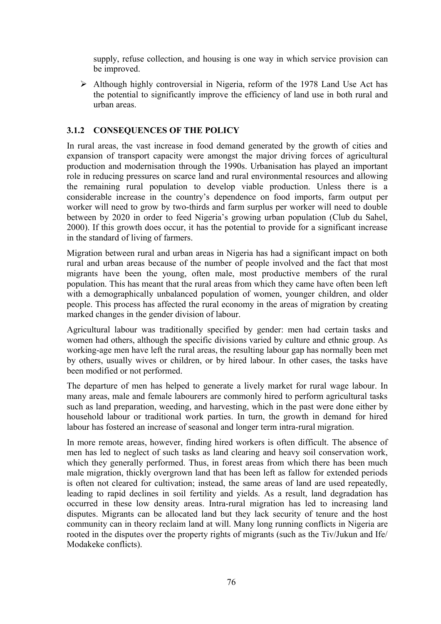supply, refuse collection, and housing is one way in which service provision can be improved.

 $\triangleright$  Although highly controversial in Nigeria, reform of the 1978 Land Use Act has the potential to significantly improve the efficiency of land use in both rural and urban areas.

# **3.1.2 CONSEQUENCES OF THE POLICY**

In rural areas, the vast increase in food demand generated by the growth of cities and expansion of transport capacity were amongst the major driving forces of agricultural production and modernisation through the 1990s. Urbanisation has played an important role in reducing pressures on scarce land and rural environmental resources and allowing the remaining rural population to develop viable production. Unless there is a considerable increase in the country's dependence on food imports, farm output per worker will need to grow by two-thirds and farm surplus per worker will need to double between by 2020 in order to feed Nigeria's growing urban population (Club du Sahel, 2000). If this growth does occur, it has the potential to provide for a significant increase in the standard of living of farmers.

Migration between rural and urban areas in Nigeria has had a significant impact on both rural and urban areas because of the number of people involved and the fact that most migrants have been the young, often male, most productive members of the rural population. This has meant that the rural areas from which they came have often been left with a demographically unbalanced population of women, younger children, and older people. This process has affected the rural economy in the areas of migration by creating marked changes in the gender division of labour.

Agricultural labour was traditionally specified by gender: men had certain tasks and women had others, although the specific divisions varied by culture and ethnic group. As working-age men have left the rural areas, the resulting labour gap has normally been met by others, usually wives or children, or by hired labour. In other cases, the tasks have been modified or not performed.

The departure of men has helped to generate a lively market for rural wage labour. In many areas, male and female labourers are commonly hired to perform agricultural tasks such as land preparation, weeding, and harvesting, which in the past were done either by household labour or traditional work parties. In turn, the growth in demand for hired labour has fostered an increase of seasonal and longer term intra-rural migration.

In more remote areas, however, finding hired workers is often difficult. The absence of men has led to neglect of such tasks as land clearing and heavy soil conservation work, which they generally performed. Thus, in forest areas from which there has been much male migration, thickly overgrown land that has been left as fallow for extended periods is often not cleared for cultivation; instead, the same areas of land are used repeatedly, leading to rapid declines in soil fertility and yields. As a result, land degradation has occurred in these low density areas. Intra-rural migration has led to increasing land disputes. Migrants can be allocated land but they lack security of tenure and the host community can in theory reclaim land at will. Many long running conflicts in Nigeria are rooted in the disputes over the property rights of migrants (such as the Tiv/Jukun and Ife/ Modakeke conflicts).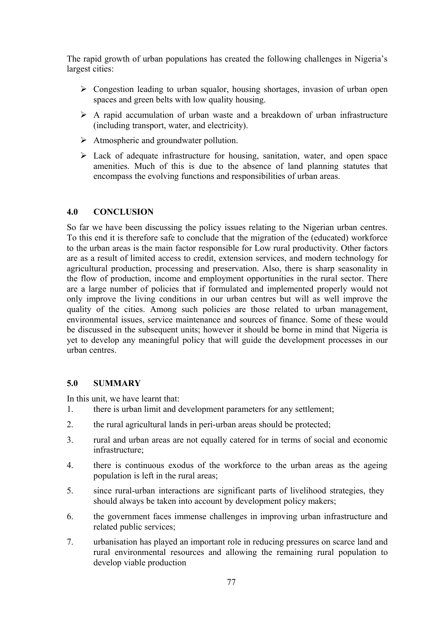The rapid growth of urban populations has created the following challenges in Nigeria's largest cities:

- $\triangleright$  Congestion leading to urban squalor, housing shortages, invasion of urban open spaces and green belts with low quality housing.
- $\triangleright$  A rapid accumulation of urban waste and a breakdown of urban infrastructure (including transport, water, and electricity).
- Atmospheric and groundwater pollution.
- $\triangleright$  Lack of adequate infrastructure for housing, sanitation, water, and open space amenities. Much of this is due to the absence of land planning statutes that encompass the evolving functions and responsibilities of urban areas.

# **4.0 CONCLUSION**

So far we have been discussing the policy issues relating to the Nigerian urban centres. To this end it is therefore safe to conclude that the migration of the (educated) workforce to the urban areas is the main factor responsible for Low rural productivity. Other factors are as a result of limited access to credit, extension services, and modern technology for agricultural production, processing and preservation. Also, there is sharp seasonality in the flow of production, income and employment opportunities in the rural sector. There are a large number of policies that if formulated and implemented properly would not only improve the living conditions in our urban centres but will as well improve the quality of the cities. Among such policies are those related to urban management, environmental issues, service maintenance and sources of finance. Some of these would be discussed in the subsequent units; however it should be borne in mind that Nigeria is yet to develop any meaningful policy that will guide the development processes in our urban centres.

# **5.0 SUMMARY**

In this unit, we have learnt that:

- 1. there is urban limit and development parameters for any settlement;
- 2. the rural agricultural lands in peri-urban areas should be protected;
- 3. rural and urban areas are not equally catered for in terms of social and economic infrastructure;
- 4. there is continuous exodus of the workforce to the urban areas as the ageing population is left in the rural areas;
- 5. since rural-urban interactions are significant parts of livelihood strategies, they should always be taken into account by development policy makers;
- 6. the government faces immense challenges in improving urban infrastructure and related public services;
- 7. urbanisation has played an important role in reducing pressures on scarce land and rural environmental resources and allowing the remaining rural population to develop viable production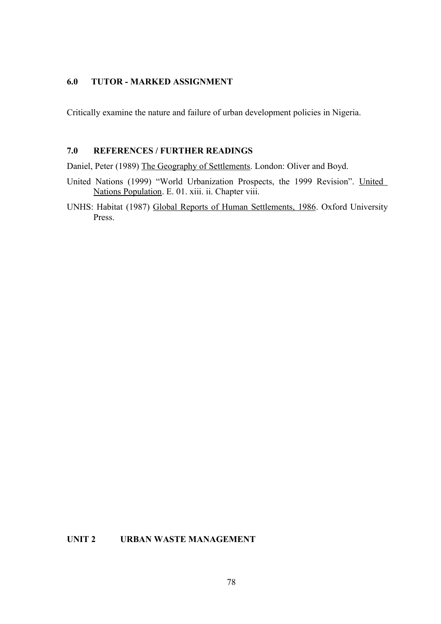#### **6.0 TUTOR - MARKED ASSIGNMENT**

Critically examine the nature and failure of urban development policies in Nigeria.

#### **7.0 REFERENCES / FURTHER READINGS**

Daniel, Peter (1989) The Geography of Settlements. London: Oliver and Boyd.

- United Nations (1999) "World Urbanization Prospects, the 1999 Revision". United Nations Population. E. 01. xiii. ii. Chapter viii.
- UNHS: Habitat (1987) Global Reports of Human Settlements, 1986. Oxford University Press.

# **UNIT 2 URBAN WASTE MANAGEMENT**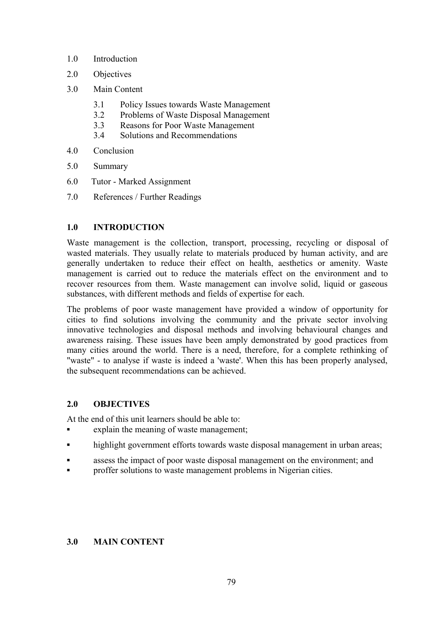- 1.0 Introduction
- 2.0 Objectives
- 3.0 Main Content
	- 3.1 Policy Issues towards Waste Management
	- 3.2 Problems of Waste Disposal Management
	- 3.3 Reasons for Poor Waste Management
	- 3.4 Solutions and Recommendations
- 4.0 Conclusion
- 5.0 Summary
- 6.0 Tutor Marked Assignment
- 7.0 References / Further Readings

# **1.0 INTRODUCTION**

Waste management is the collection, transport, processing, recycling or disposal of wasted materials. They usually relate to materials produced by human activity, and are generally undertaken to reduce their effect on health, aesthetics or amenity. Waste management is carried out to reduce the materials effect on the environment and to recover resources from them. Waste management can involve solid, liquid or gaseous substances, with different methods and fields of expertise for each.

The problems of poor waste management have provided a window of opportunity for cities to find solutions involving the community and the private sector involving innovative technologies and disposal methods and involving behavioural changes and awareness raising. These issues have been amply demonstrated by good practices from many cities around the world. There is a need, therefore, for a complete rethinking of "waste" - to analyse if waste is indeed a 'waste'. When this has been properly analysed, the subsequent recommendations can be achieved.

# **2.0 OBJECTIVES**

At the end of this unit learners should be able to:

- **•** explain the meaning of waste management;
- **•** highlight government efforts towards waste disposal management in urban areas;
- assess the impact of poor waste disposal management on the environment; and
- proffer solutions to waste management problems in Nigerian cities.

# **3.0 MAIN CONTENT**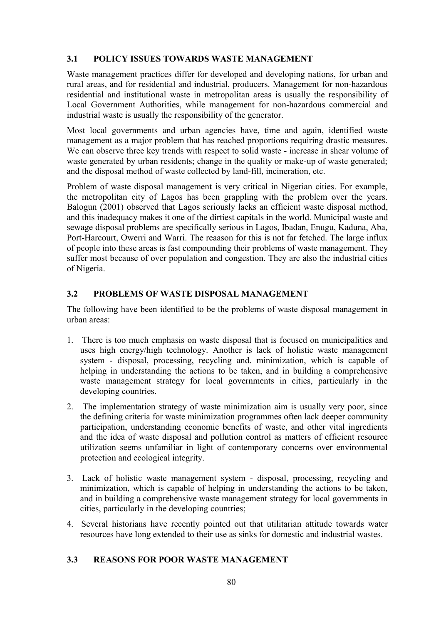# **3.1 POLICY ISSUES TOWARDS WASTE MANAGEMENT**

Waste management practices differ for developed and developing nations, for urban and rural areas, and for residential and industrial, producers. Management for non-hazardous residential and institutional waste in metropolitan areas is usually the responsibility of Local Government Authorities, while management for non-hazardous commercial and industrial waste is usually the responsibility of the generator.

Most local governments and urban agencies have, time and again, identified waste management as a major problem that has reached proportions requiring drastic measures. We can observe three key trends with respect to solid waste - increase in shear volume of waste generated by urban residents; change in the quality or make-up of waste generated; and the disposal method of waste collected by land-fill, incineration, etc.

Problem of waste disposal management is very critical in Nigerian cities. For example, the metropolitan city of Lagos has been grappling with the problem over the years. Balogun (2001) observed that Lagos seriously lacks an efficient waste disposal method, and this inadequacy makes it one of the dirtiest capitals in the world. Municipal waste and sewage disposal problems are specifically serious in Lagos, Ibadan, Enugu, Kaduna, Aba, Port-Harcourt, Owerri and Warri. The reaason for this is not far fetched. The large influx of people into these areas is fast compounding their problems of waste management. They suffer most because of over population and congestion. They are also the industrial cities of Nigeria.

# **3.2 PROBLEMS OF WASTE DISPOSAL MANAGEMENT**

The following have been identified to be the problems of waste disposal management in urban areas:

- 1. There is too much emphasis on waste disposal that is focused on municipalities and uses high energy/high technology. Another is lack of holistic waste management system - disposal, processing, recycling and. minimization, which is capable of helping in understanding the actions to be taken, and in building a comprehensive waste management strategy for local governments in cities, particularly in the developing countries.
- 2. The implementation strategy of waste minimization aim is usually very poor, since the defining criteria for waste minimization programmes often lack deeper community participation, understanding economic benefits of waste, and other vital ingredients and the idea of waste disposal and pollution control as matters of efficient resource utilization seems unfamiliar in light of contemporary concerns over environmental protection and ecological integrity.
- 3. Lack of holistic waste management system disposal, processing, recycling and minimization, which is capable of helping in understanding the actions to be taken, and in building a comprehensive waste management strategy for local governments in cities, particularly in the developing countries;
- 4. Several historians have recently pointed out that utilitarian attitude towards water resources have long extended to their use as sinks for domestic and industrial wastes.

# **3.3 REASONS FOR POOR WASTE MANAGEMENT**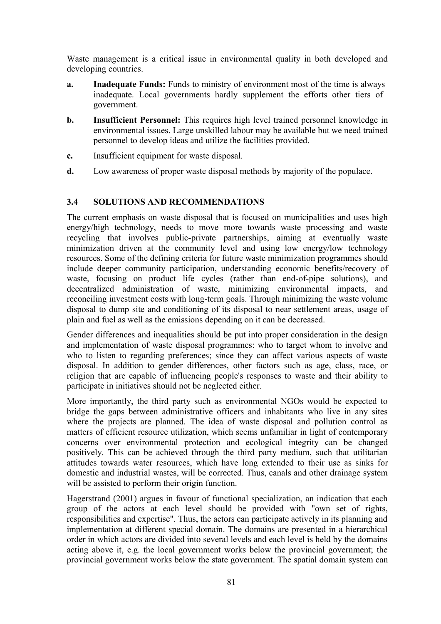Waste management is a critical issue in environmental quality in both developed and developing countries.

- **a. Inadequate Funds:** Funds to ministry of environment most of the time is always inadequate. Local governments hardly supplement the efforts other tiers of government.
- **b. Insufficient Personnel:** This requires high level trained personnel knowledge in environmental issues. Large unskilled labour may be available but we need trained personnel to develop ideas and utilize the facilities provided.
- **c.** Insufficient equipment for waste disposal.
- **d.** Low awareness of proper waste disposal methods by majority of the populace.

#### **3.4 SOLUTIONS AND RECOMMENDATIONS**

The current emphasis on waste disposal that is focused on municipalities and uses high energy/high technology, needs to move more towards waste processing and waste recycling that involves public-private partnerships, aiming at eventually waste minimization driven at the community level and using low energy/low technology resources. Some of the defining criteria for future waste minimization programmes should include deeper community participation, understanding economic benefits/recovery of waste, focusing on product life cycles (rather than end-of-pipe solutions), and decentralized administration of waste, minimizing environmental impacts, and reconciling investment costs with long-term goals. Through minimizing the waste volume disposal to dump site and conditioning of its disposal to near settlement areas, usage of plain and fuel as well as the emissions depending on it can be decreased.

Gender differences and inequalities should be put into proper consideration in the design and implementation of waste disposal programmes: who to target whom to involve and who to listen to regarding preferences; since they can affect various aspects of waste disposal. In addition to gender differences, other factors such as age, class, race, or religion that are capable of influencing people's responses to waste and their ability to participate in initiatives should not be neglected either.

More importantly, the third party such as environmental NGOs would be expected to bridge the gaps between administrative officers and inhabitants who live in any sites where the projects are planned. The idea of waste disposal and pollution control as matters of efficient resource utilization, which seems unfamiliar in light of contemporary concerns over environmental protection and ecological integrity can be changed positively. This can be achieved through the third party medium, such that utilitarian attitudes towards water resources, which have long extended to their use as sinks for domestic and industrial wastes, will be corrected. Thus, canals and other drainage system will be assisted to perform their origin function.

Hagerstrand (2001) argues in favour of functional specialization, an indication that each group of the actors at each level should be provided with "own set of rights, responsibilities and expertise". Thus, the actors can participate actively in its planning and implementation at different special domain. The domains are presented in a hierarchical order in which actors are divided into several levels and each level is held by the domains acting above it, e.g. the local government works below the provincial government; the provincial government works below the state government. The spatial domain system can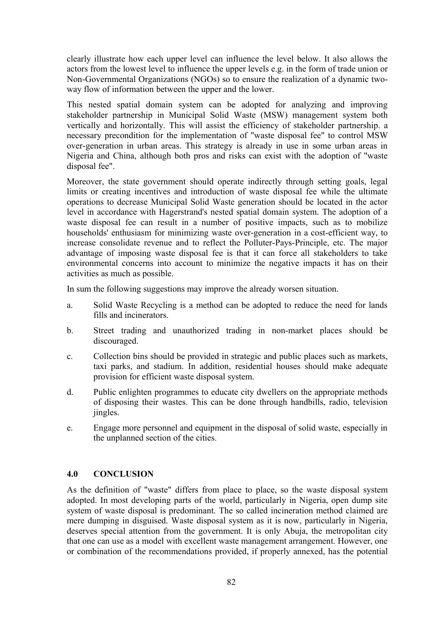clearly illustrate how each upper level can influence the level below. It also allows the actors from the lowest level to influence the upper levels e.g. in the form of trade union or Non-Governmental Organizations (NGOs) so to ensure the realization of a dynamic twoway flow of information between the upper and the lower.

This nested spatial domain system can be adopted for analyzing and improving stakeholder partnership in Municipal Solid Waste (MSW) management system both vertically and horizontally. This will assist the efficiency of stakeholder partnership. a necessary precondition for the implementation of "waste disposal fee" to control MSW over-generation in urban areas. This strategy is already in use in some urban areas in Nigeria and China, although both pros and risks can exist with the adoption of "waste disposal fee".

Moreover, the state government should operate indirectly through setting goals, legal limits or creating incentives and introduction of waste disposal fee while the ultimate operations to decrease Municipal Solid Waste generation should be located in the actor level in accordance with Hagerstrand's nested spatial domain system. The adoption of a waste disposal fee can result in a number of positive impacts, such as to mobilize households' enthusiasm for minimizing waste over-generation in a cost-efficient way, to increase consolidate revenue and to reflect the Polluter-Pays-Principle, etc. The major advantage of imposing waste disposal fee is that it can force all stakeholders to take environmental concerns into account to minimize the negative impacts it has on their activities as much as possible.

In sum the following suggestions may improve the already worsen situation.

- a. Solid Waste Recycling is a method can be adopted to reduce the need for lands fills and incinerators.
- b. Street trading and unauthorized trading in non-market places should be discouraged.
- c. Collection bins should be provided in strategic and public places such as markets, taxi parks, and stadium. In addition, residential houses should make adequate provision for efficient waste disposal system.
- d. Public enlighten programmes to educate city dwellers on the appropriate methods of disposing their wastes. This can be done through handbills, radio, television jingles.
- e. Engage more personnel and equipment in the disposal of solid waste, especially in the unplanned section of the cities.

# **4.0 CONCLUSION**

As the definition of "waste" differs from place to place, so the waste disposal system adopted. In most developing parts of the world, particularly in Nigeria, open dump site system of waste disposal is predominant. The so called incineration method claimed are mere dumping in disguised. Waste disposal system as it is now, particularly in Nigeria, deserves special attention from the government. It is only Abuja, the metropolitan city that one can use as a model with excellent waste management arrangement. However, one or combination of the recommendations provided, if properly annexed, has the potential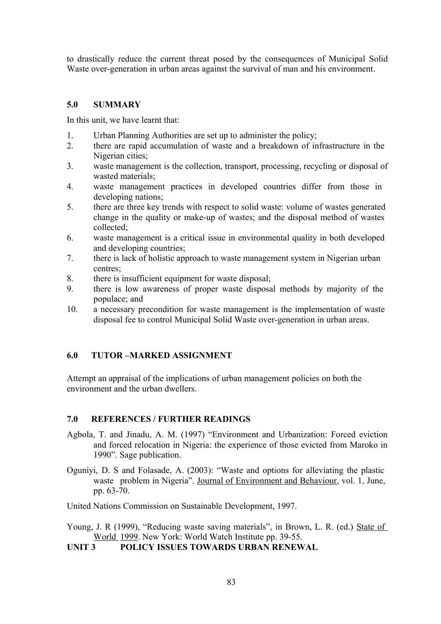to drastically reduce the current threat posed by the consequences of Municipal Solid Waste over-generation in urban areas against the survival of man and his environment.

# **5.0 SUMMARY**

In this unit, we have learnt that:

- 1. Urban Planning Authorities are set up to administer the policy;
- 2. there are rapid accumulation of waste and a breakdown of infrastructure in the Nigerian cities;
- 3. waste management is the collection, transport, processing, recycling or disposal of wasted materials;
- 4. waste management practices in developed countries differ from those in developing nations;
- 5. there are three key trends with respect to solid waste: volume of wastes generated change in the quality or make-up of wastes; and the disposal method of wastes collected;
- 6. waste management is a critical issue in environmental quality in both developed and developing countries;
- 7. there is lack of holistic approach to waste management system in Nigerian urban centres;
- 8. there is insufficient equipment for waste disposal;
- 9. there is low awareness of proper waste disposal methods by majority of the populace; and
- 10. a necessary precondition for waste management is the implementation of waste disposal fee to control Municipal Solid Waste over-generation in urban areas.

# **6.0 TUTOR –MARKED ASSIGNMENT**

Attempt an appraisal of the implications of urban management policies on both the environment and the urban dwellers.

# **7.0 REFERENCES / FURTHER READINGS**

- Agbola, T. and Jinadu, A. M. (1997) "Environment and Urbanization: Forced eviction and forced relocation in Nigeria: the experience of those evicted from Maroko in 1990". Sage publication.
- Oguniyi, D. S and Folasade, A. (2003): "Waste and options for alleviating the plastic waste problem in Nigeria". Journal of Environment and Behaviour, vol. 1, June, pp. 63-70.

United Nations Commission on Sustainable Development, 1997.

Young, J. R (1999), "Reducing waste saving materials", in Brown, L. R. (ed.) State of World 1999. New York: World Watch Institute pp. 39-55.

#### **UNIT 3 POLICY ISSUES TOWARDS URBAN RENEWAL**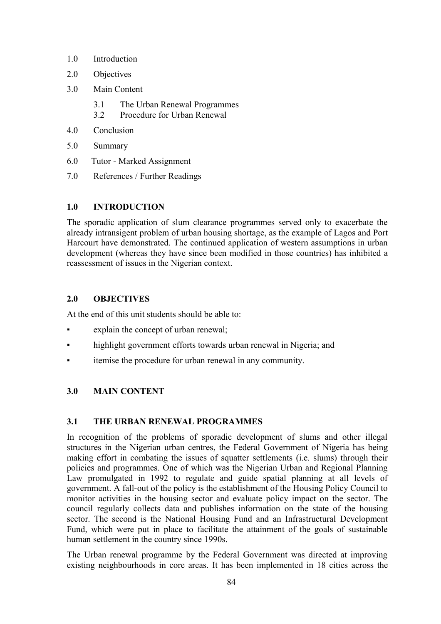- 1.0 Introduction
- 2.0 Objectives
- 3.0 Main Content
	- 3.1 The Urban Renewal Programmes
	- 3.2 Procedure for Urban Renewal
- 4.0 Conclusion
- 5.0 Summary
- 6.0 Tutor Marked Assignment
- 7.0 References / Further Readings

#### **1.0 INTRODUCTION**

The sporadic application of slum clearance programmes served only to exacerbate the already intransigent problem of urban housing shortage, as the example of Lagos and Port Harcourt have demonstrated. The continued application of western assumptions in urban development (whereas they have since been modified in those countries) has inhibited a reassessment of issues in the Nigerian context.

#### **2.0 OBJECTIVES**

At the end of this unit students should be able to:

- explain the concept of urban renewal;
- highlight government efforts towards urban renewal in Nigeria; and
- itemise the procedure for urban renewal in any community.

# **3.0 MAIN CONTENT**

#### **3.1 THE URBAN RENEWAL PROGRAMMES**

In recognition of the problems of sporadic development of slums and other illegal structures in the Nigerian urban centres, the Federal Government of Nigeria has being making effort in combating the issues of squatter settlements (i.e. slums) through their policies and programmes. One of which was the Nigerian Urban and Regional Planning Law promulgated in 1992 to regulate and guide spatial planning at all levels of government. A fall-out of the policy is the establishment of the Housing Policy Council to monitor activities in the housing sector and evaluate policy impact on the sector. The council regularly collects data and publishes information on the state of the housing sector. The second is the National Housing Fund and an Infrastructural Development Fund, which were put in place to facilitate the attainment of the goals of sustainable human settlement in the country since 1990s.

The Urban renewal programme by the Federal Government was directed at improving existing neighbourhoods in core areas. It has been implemented in 18 cities across the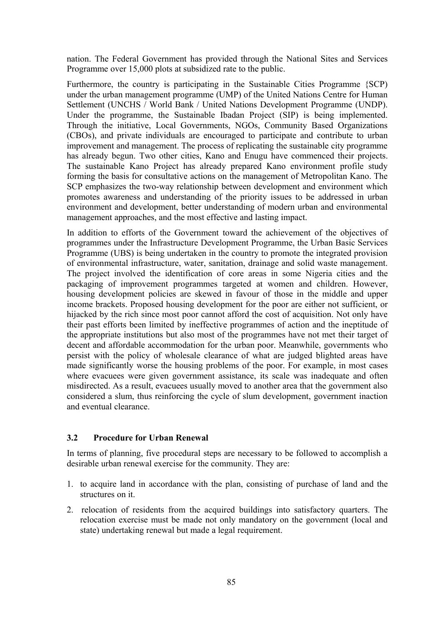nation. The Federal Government has provided through the National Sites and Services Programme over 15,000 plots at subsidized rate to the public.

Furthermore, the country is participating in the Sustainable Cities Programme {SCP) under the urban management programme (UMP) of the United Nations Centre for Human Settlement (UNCHS / World Bank / United Nations Development Programme (UNDP). Under the programme, the Sustainable Ibadan Project (SIP) is being implemented. Through the initiative, Local Governments, NGOs, Community Based Organizations (CBOs), and private individuals are encouraged to participate and contribute to urban improvement and management. The process of replicating the sustainable city programme has already begun. Two other cities, Kano and Enugu have commenced their projects. The sustainable Kano Project has already prepared Kano environment profile study forming the basis for consultative actions on the management of Metropolitan Kano. The SCP emphasizes the two-way relationship between development and environment which promotes awareness and understanding of the priority issues to be addressed in urban environment and development, better understanding of modern urban and environmental management approaches, and the most effective and lasting impact.

In addition to efforts of the Government toward the achievement of the objectives of programmes under the Infrastructure Development Programme, the Urban Basic Services Programme (UBS) is being undertaken in the country to promote the integrated provision of environmental infrastructure, water, sanitation, drainage and solid waste management. The project involved the identification of core areas in some Nigeria cities and the packaging of improvement programmes targeted at women and children. However, housing development policies are skewed in favour of those in the middle and upper income brackets. Proposed housing development for the poor are either not sufficient, or hijacked by the rich since most poor cannot afford the cost of acquisition. Not only have their past efforts been limited by ineffective programmes of action and the ineptitude of the appropriate institutions but also most of the programmes have not met their target of decent and affordable accommodation for the urban poor. Meanwhile, governments who persist with the policy of wholesale clearance of what are judged blighted areas have made significantly worse the housing problems of the poor. For example, in most cases where evacuees were given government assistance, its scale was inadequate and often misdirected. As a result, evacuees usually moved to another area that the government also considered a slum, thus reinforcing the cycle of slum development, government inaction and eventual clearance.

# **3.2 Procedure for Urban Renewal**

In terms of planning, five procedural steps are necessary to be followed to accomplish a desirable urban renewal exercise for the community. They are:

- 1. to acquire land in accordance with the plan, consisting of purchase of land and the structures on it.
- 2. relocation of residents from the acquired buildings into satisfactory quarters. The relocation exercise must be made not only mandatory on the government (local and state) undertaking renewal but made a legal requirement.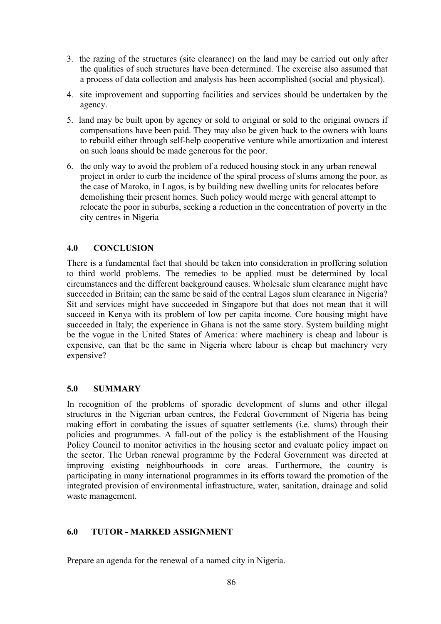- 3. the razing of the structures (site clearance) on the land may be carried out only after the qualities of such structures have been determined. The exercise also assumed that a process of data collection and analysis has been accomplished (social and physical).
- 4. site improvement and supporting facilities and services should be undertaken by the agency.
- 5. land may be built upon by agency or sold to original or sold to the original owners if compensations have been paid. They may also be given back to the owners with loans to rebuild either through self-help cooperative venture while amortization and interest on such loans should be made generous for the poor.
- 6. the only way to avoid the problem of a reduced housing stock in any urban renewal project in order to curb the incidence of the spiral process of slums among the poor, as the case of Maroko, in Lagos, is by building new dwelling units for relocates before demolishing their present homes. Such policy would merge with general attempt to relocate the poor in suburbs, seeking a reduction in the concentration of poverty in the city centres in Nigeria

# **4.0 CONCLUSION**

There is a fundamental fact that should be taken into consideration in proffering solution to third world problems. The remedies to be applied must be determined by local circumstances and the different background causes. Wholesale slum clearance might have succeeded in Britain; can the same be said of the central Lagos slum clearance in Nigeria? Sit and services might have succeeded in Singapore but that does not mean that it will succeed in Kenya with its problem of low per capita income. Core housing might have succeeded in Italy; the experience in Ghana is not the same story. System building might be the vogue in the United States of America: where machinery is cheap and labour is expensive, can that be the same in Nigeria where labour is cheap but machinery very expensive?

# **5.0 SUMMARY**

In recognition of the problems of sporadic development of slums and other illegal structures in the Nigerian urban centres, the Federal Government of Nigeria has being making effort in combating the issues of squatter settlements (i.e. slums) through their policies and programmes. A fall-out of the policy is the establishment of the Housing Policy Council to monitor activities in the housing sector and evaluate policy impact on the sector. The Urban renewal programme by the Federal Government was directed at improving existing neighbourhoods in core areas. Furthermore, the country is participating in many international programmes in its efforts toward the promotion of the integrated provision of environmental infrastructure, water, sanitation, drainage and solid waste management.

# **6.0 TUTOR - MARKED ASSIGNMENT**

Prepare an agenda for the renewal of a named city in Nigeria.